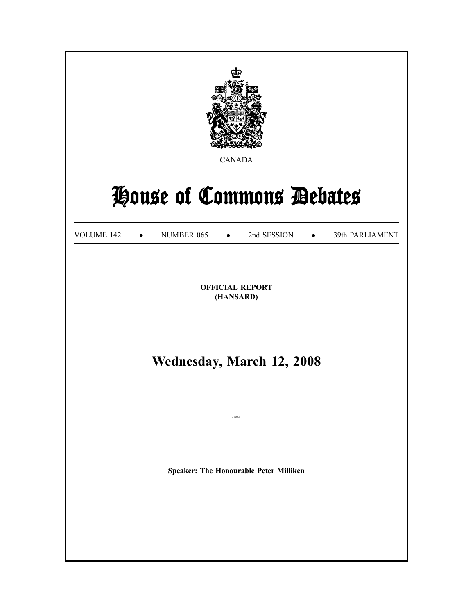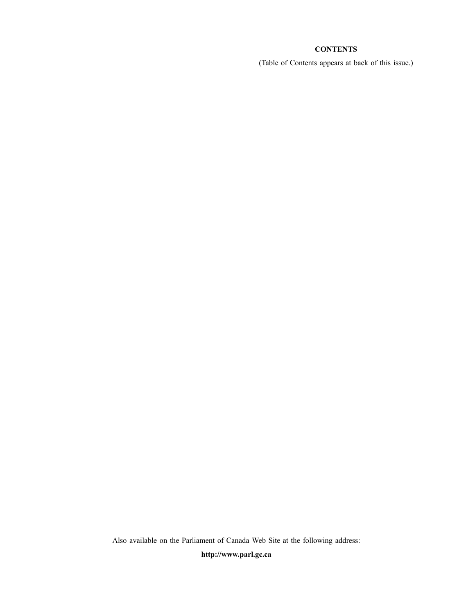# **CONTENTS**

(Table of Contents appears at back of this issue.)

Also available on the Parliament of Canada Web Site at the following address:

**http://www.parl.gc.ca**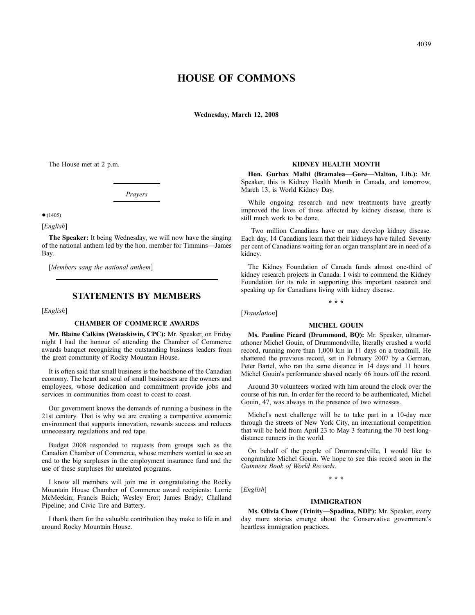# **HOUSE OF COMMONS**

**Wednesday, March 12, 2008**

The House met at 2 p.m.

*Prayers*

 $•(1405)$ 

[*English*]

**The Speaker:** It being Wednesday, we will now have the singing of the national anthem led by the hon. member for Timmins—James Bay.

[*Members sang the national anthem*]

# **STATEMENTS BY MEMBERS**

[*English*]

#### **CHAMBER OF COMMERCE AWARDS**

**Mr. Blaine Calkins (Wetaskiwin, CPC):** Mr. Speaker, on Friday night I had the honour of attending the Chamber of Commerce awards banquet recognizing the outstanding business leaders from the great community of Rocky Mountain House.

It is often said that small business is the backbone of the Canadian economy. The heart and soul of small businesses are the owners and employees, whose dedication and commitment provide jobs and services in communities from coast to coast to coast.

Our government knows the demands of running a business in the 21st century. That is why we are creating a competitive economic environment that supports innovation, rewards success and reduces unnecessary regulations and red tape.

Budget 2008 responded to requests from groups such as the Canadian Chamber of Commerce, whose members wanted to see an end to the big surpluses in the employment insurance fund and the use of these surpluses for unrelated programs.

I know all members will join me in congratulating the Rocky Mountain House Chamber of Commerce award recipients: Lorrie McMeekin; Francis Baich; Wesley Eror; James Brady; Challand Pipeline; and Civic Tire and Battery.

I thank them for the valuable contribution they make to life in and around Rocky Mountain House.

#### **KIDNEY HEALTH MONTH**

**Hon. Gurbax Malhi (Bramalea—Gore—Malton, Lib.):** Mr. Speaker, this is Kidney Health Month in Canada, and tomorrow, March 13, is World Kidney Day.

While ongoing research and new treatments have greatly improved the lives of those affected by kidney disease, there is still much work to be done.

Two million Canadians have or may develop kidney disease. Each day, 14 Canadians learn that their kidneys have failed. Seventy per cent of Canadians waiting for an organ transplant are in need of a kidney.

The Kidney Foundation of Canada funds almost one-third of kidney research projects in Canada. I wish to commend the Kidney Foundation for its role in supporting this important research and speaking up for Canadians living with kidney disease.

**\* \* \***

[*Translation*]

#### **MICHEL GOUIN**

**Ms. Pauline Picard (Drummond, BQ):** Mr. Speaker, ultramarathoner Michel Gouin, of Drummondville, literally crushed a world record, running more than 1,000 km in 11 days on a treadmill. He shattered the previous record, set in February 2007 by a German, Peter Bartel, who ran the same distance in 14 days and 11 hours. Michel Gouin's performance shaved nearly 66 hours off the record.

Around 30 volunteers worked with him around the clock over the course of his run. In order for the record to be authenticated, Michel Gouin, 47, was always in the presence of two witnesses.

Michel's next challenge will be to take part in a 10-day race through the streets of New York City, an international competition that will be held from April 23 to May 3 featuring the 70 best longdistance runners in the world.

On behalf of the people of Drummondville, I would like to congratulate Michel Gouin. We hope to see this record soon in the *Guinness Book of World Records*.

**\* \* \***

# [*English*]

#### **IMMIGRATION**

**Ms. Olivia Chow (Trinity—Spadina, NDP):** Mr. Speaker, every day more stories emerge about the Conservative government's heartless immigration practices.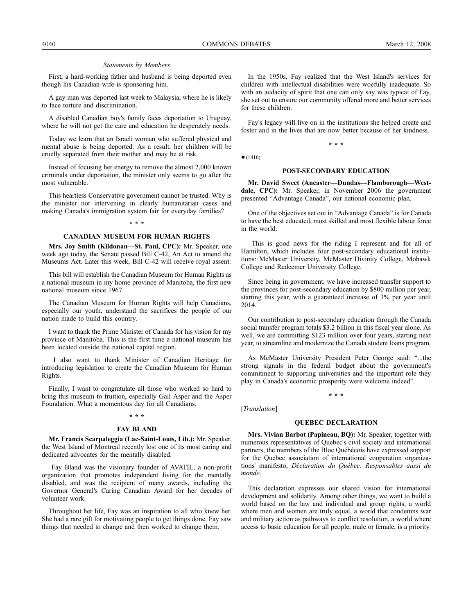#### *Statements by Members*

First, a hard-working father and husband is being deported even though his Canadian wife is sponsoring him.

A gay man was deported last week to Malaysia, where he is likely to face torture and discrimination.

A disabled Canadian boy's family faces deportation to Uruguay, where he will not get the care and education he desperately needs.

Today we learn that an Israeli woman who suffered physical and mental abuse is being deported. As a result, her children will be cruelly separated from their mother and may be at risk.

Instead of focusing her energy to remove the almost 2,000 known criminals under deportation, the minister only seems to go after the most vulnerable.

This heartless Conservative government cannot be trusted. Why is the minister not intervening in clearly humanitarian cases and making Canada's immigration system fair for everyday families?

#### **\* \* \***

#### **CANADIAN MUSEUM FOR HUMAN RIGHTS**

**Mrs. Joy Smith (Kildonan—St. Paul, CPC):** Mr. Speaker, one week ago today, the Senate passed Bill C-42, An Act to amend the Museums Act. Later this week, Bill C-42 will receive royal assent.

This bill will establish the Canadian Museum for Human Rights as a national museum in my home province of Manitoba, the first new national museum since 1967.

The Canadian Museum for Human Rights will help Canadians, especially our youth, understand the sacrifices the people of our nation made to build this country.

I want to thank the Prime Minister of Canada for his vision for my province of Manitoba. This is the first time a national museum has been located outside the national capital region.

I also want to thank Minister of Canadian Heritage for introducing legislation to create the Canadian Museum for Human Rights.

Finally, I want to congratulate all those who worked so hard to bring this museum to fruition, especially Gail Asper and the Asper Foundation. What a momentous day for all Canadians.

#### **\* \* \***

#### **FAY BLAND**

**Mr. Francis Scarpaleggia (Lac-Saint-Louis, Lib.):** Mr. Speaker, the West Island of Montreal recently lost one of its most caring and dedicated advocates for the mentally disabled.

Fay Bland was the visionary founder of AVATIL, a non-profit organization that promotes independent living for the mentally disabled, and was the recipient of many awards, including the Governor General's Caring Canadian Award for her decades of volunteer work.

Throughout her life, Fay was an inspiration to all who knew her. She had a rare gift for motivating people to get things done. Fay saw things that needed to change and then worked to change them.

In the 1950s, Fay realized that the West Island's services for children with intellectual disabilities were woefully inadequate. So with an audacity of spirit that one can only say was typical of Fay, she set out to ensure our community offered more and better services for these children.

Fay's legacy will live on in the institutions she helped create and foster and in the lives that are now better because of her kindness.

**\* \* \***

 $•(1410)$ 

#### **POST-SECONDARY EDUCATION**

**Mr. David Sweet (Ancaster—Dundas—Flamborough—Westdale, CPC):** Mr. Speaker, in November 2006 the government presented "Advantage Canada", our national economic plan.

One of the objectives set out in "Advantage Canada" is for Canada to have the best educated, most skilled and most flexible labour force in the world.

This is good news for the riding I represent and for all of Hamilton, which includes four post-secondary educational institutions: McMaster University, McMaster Divinity College, Mohawk College and Redeemer University College.

Since being in government, we have increased transfer support to the provinces for post-secondary education by \$800 million per year, starting this year, with a guaranteed increase of 3% per year until 2014.

Our contribution to post-secondary education through the Canada social transfer program totals \$3.2 billion in this fiscal year alone. As well, we are committing \$123 million over four years, starting next year, to streamline and modernize the Canada student loans program.

As McMaster University President Peter George said: "...the strong signals in the federal budget about the government's commitment to supporting universities and the important role they play in Canada's economic prosperity were welcome indeed".

**\* \* \***

[*Translation*]

# **QUEBEC DECLARATION**

**Mrs. Vivian Barbot (Papineau, BQ):** Mr. Speaker, together with numerous representatives of Quebec's civil society and international partners, the members of the Bloc Québécois have expressed support for the Quebec association of international cooperation organizations' manifesto, *Déclaration du Québec: Responsables aussi du monde*.

This declaration expresses our shared vision for international development and solidarity. Among other things, we want to build a world based on the law and individual and group rights, a world where men and women are truly equal, a world that condemns war and military action as pathways to conflict resolution, a world where access to basic education for all people, male or female, is a priority.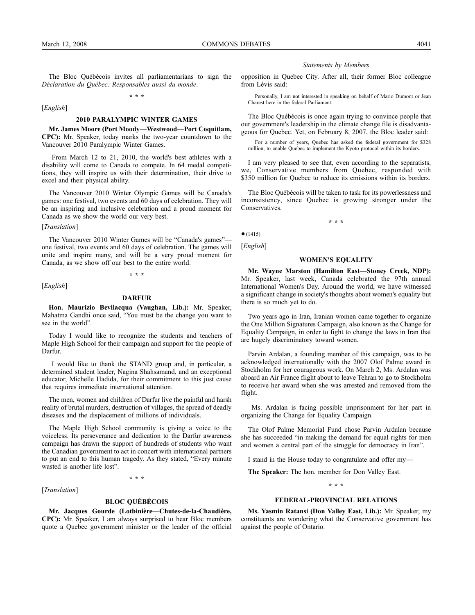[*English*]

The Bloc Québécois invites all parliamentarians to sign the *Déclaration du Québec: Responsables aussi du monde*. **\* \* \***

#### **2010 PARALYMPIC WINTER GAMES**

**Mr. James Moore (Port Moody—Westwood—Port Coquitlam, CPC):** Mr. Speaker, today marks the two-year countdown to the Vancouver 2010 Paralympic Winter Games.

From March 12 to 21, 2010, the world's best athletes with a disability will come to Canada to compete. In 64 medal competitions, they will inspire us with their determination, their drive to excel and their physical ability.

The Vancouver 2010 Winter Olympic Games will be Canada's games: one festival, two events and 60 days of celebration. They will be an inspiring and inclusive celebration and a proud moment for Canada as we show the world our very best.

#### [*Translation*]

The Vancouver 2010 Winter Games will be "Canada's games"one festival, two events and 60 days of celebration. The games will unite and inspire many, and will be a very proud moment for Canada, as we show off our best to the entire world.

**\* \* \***

[*English*]

#### **DARFUR**

**Hon. Maurizio Bevilacqua (Vaughan, Lib.):** Mr. Speaker, Mahatma Gandhi once said, "You must be the change you want to see in the world".

Today I would like to recognize the students and teachers of Maple High School for their campaign and support for the people of Darfur.

I would like to thank the STAND group and, in particular, a determined student leader, Nagina Shahsamand, and an exceptional educator, Michelle Hadida, for their commitment to this just cause that requires immediate international attention.

The men, women and children of Darfur live the painful and harsh reality of brutal murders, destruction of villages, the spread of deadly diseases and the displacement of millions of individuals.

The Maple High School community is giving a voice to the voiceless. Its perseverance and dedication to the Darfur awareness campaign has drawn the support of hundreds of students who want the Canadian government to act in concert with international partners to put an end to this human tragedy. As they stated, "Every minute wasted is another life lost".

**\* \* \***

[*Translation*]

### **BLOC QUÉBÉCOIS**

**Mr. Jacques Gourde (Lotbinière—Chutes-de-la-Chaudière, CPC):** Mr. Speaker, I am always surprised to hear Bloc members quote a Quebec government minister or the leader of the official

#### *Statements by Members*

opposition in Quebec City. After all, their former Bloc colleague from Lévis said:

Personally, I am not interested in speaking on behalf of Mario Dumont or Jean Charest here in the federal Parliament.

The Bloc Québécois is once again trying to convince people that our government's leadership in the climate change file is disadvantageous for Quebec. Yet, on February 8, 2007, the Bloc leader said:

For a number of years, Quebec has asked the federal government for \$328 million, to enable Quebec to implement the Kyoto protocol within its borders.

I am very pleased to see that, even according to the separatists, we, Conservative members from Quebec, responded with \$350 million for Quebec to reduce its emissions within its borders.

The Bloc Québécois will be taken to task for its powerlessness and inconsistency, since Quebec is growing stronger under the Conservatives.

**\* \* \***

[*English*]

 $•(1415)$ 

#### **WOMEN'S EQUALITY**

**Mr. Wayne Marston (Hamilton East—Stoney Creek, NDP):** Mr. Speaker, last week, Canada celebrated the 97th annual International Women's Day. Around the world, we have witnessed a significant change in society's thoughts about women's equality but there is so much yet to do.

Two years ago in Iran, Iranian women came together to organize the One Million Signatures Campaign, also known as the Change for Equality Campaign, in order to fight to change the laws in Iran that are hugely discriminatory toward women.

Parvin Ardalan, a founding member of this campaign, was to be acknowledged internationally with the 2007 Olof Palme award in Stockholm for her courageous work. On March 2, Ms. Ardalan was aboard an Air France flight about to leave Tehran to go to Stockholm to receive her award when she was arrested and removed from the flight.

Ms. Ardalan is facing possible imprisonment for her part in organizing the Change for Equality Campaign.

The Olof Palme Memorial Fund chose Parvin Ardalan because she has succeeded "in making the demand for equal rights for men and women a central part of the struggle for democracy in Iran".

I stand in the House today to congratulate and offer my—

**The Speaker:** The hon. member for Don Valley East.

**\* \* \***

#### **FEDERAL-PROVINCIAL RELATIONS**

**Ms. Yasmin Ratansi (Don Valley East, Lib.):** Mr. Speaker, my constituents are wondering what the Conservative government has against the people of Ontario.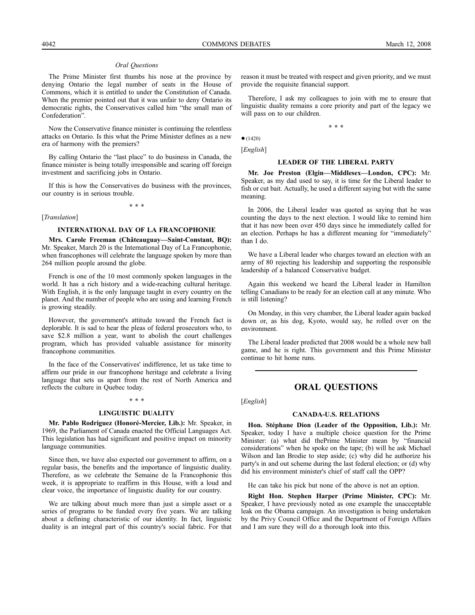#### *Oral Questions*

The Prime Minister first thumbs his nose at the province by denying Ontario the legal number of seats in the House of Commons, which it is entitled to under the Constitution of Canada. When the premier pointed out that it was unfair to deny Ontario its democratic rights, the Conservatives called him "the small man of Confederation".

Now the Conservative finance minister is continuing the relentless attacks on Ontario. Is this what the Prime Minister defines as a new era of harmony with the premiers?

By calling Ontario the "last place" to do business in Canada, the finance minister is being totally irresponsible and scaring off foreign investment and sacrificing jobs in Ontario.

If this is how the Conservatives do business with the provinces, our country is in serious trouble.

**\* \* \***

#### [*Translation*]

# **INTERNATIONAL DAY OF LA FRANCOPHONIE**

**Mrs. Carole Freeman (Châteauguay—Saint-Constant, BQ):** Mr. Speaker, March 20 is the International Day of La Francophonie, when francophones will celebrate the language spoken by more than 264 million people around the globe.

French is one of the 10 most commonly spoken languages in the world. It has a rich history and a wide-reaching cultural heritage. With English, it is the only language taught in every country on the planet. And the number of people who are using and learning French is growing steadily.

However, the government's attitude toward the French fact is deplorable. It is sad to hear the pleas of federal prosecutors who, to save \$2.8 million a year, want to abolish the court challenges program, which has provided valuable assistance for minority francophone communities.

In the face of the Conservatives' indifference, let us take time to affirm our pride in our francophone heritage and celebrate a living language that sets us apart from the rest of North America and reflects the culture in Quebec today.

#### **\* \* \***

#### **LINGUISTIC DUALITY**

**Mr. Pablo Rodriguez (Honoré-Mercier, Lib.):** Mr. Speaker, in 1969, the Parliament of Canada enacted the Official Languages Act. This legislation has had significant and positive impact on minority language communities.

Since then, we have also expected our government to affirm, on a regular basis, the benefits and the importance of linguistic duality. Therefore, as we celebrate the Semaine de la Francophonie this week, it is appropriate to reaffirm in this House, with a loud and clear voice, the importance of linguistic duality for our country.

We are talking about much more than just a simple asset or a series of programs to be funded every five years. We are talking about a defining characteristic of our identity. In fact, linguistic duality is an integral part of this country's social fabric. For that reason it must be treated with respect and given priority, and we must provide the requisite financial support.

Therefore, I ask my colleagues to join with me to ensure that linguistic duality remains a core priority and part of the legacy we will pass on to our children.

**\* \* \***

 $•(1420)$ [*English*]

# **LEADER OF THE LIBERAL PARTY**

**Mr. Joe Preston (Elgin—Middlesex—London, CPC):** Mr. Speaker, as my dad used to say, it is time for the Liberal leader to fish or cut bait. Actually, he used a different saying but with the same meaning.

In 2006, the Liberal leader was quoted as saying that he was counting the days to the next election. I would like to remind him that it has now been over 450 days since he immediately called for an election. Perhaps he has a different meaning for "immediately" than I do.

We have a Liberal leader who charges toward an election with an army of 80 rejecting his leadership and supporting the responsible leadership of a balanced Conservative budget.

Again this weekend we heard the Liberal leader in Hamilton telling Canadians to be ready for an election call at any minute. Who is still listening?

On Monday, in this very chamber, the Liberal leader again backed down or, as his dog, Kyoto, would say, he rolled over on the environment.

The Liberal leader predicted that 2008 would be a whole new ball game, and he is right. This government and this Prime Minister continue to hit home runs.

# **ORAL QUESTIONS**

[*English*]

# **CANADA-U.S. RELATIONS**

**Hon. Stéphane Dion (Leader of the Opposition, Lib.):** Mr. Speaker, today I have a multiple choice question for the Prime Minister: (a) what did thePrime Minister mean by "financial considerations" when he spoke on the tape; (b) will he ask Michael Wilson and Ian Brodie to step aside; (c) why did he authorize his party's in and out scheme during the last federal election; or (d) why did his environment minister's chief of staff call the OPP?

He can take his pick but none of the above is not an option.

**Right Hon. Stephen Harper (Prime Minister, CPC):** Mr. Speaker, I have previously noted as one example the unacceptable leak on the Obama campaign. An investigation is being undertaken by the Privy Council Office and the Department of Foreign Affairs and I am sure they will do a thorough look into this.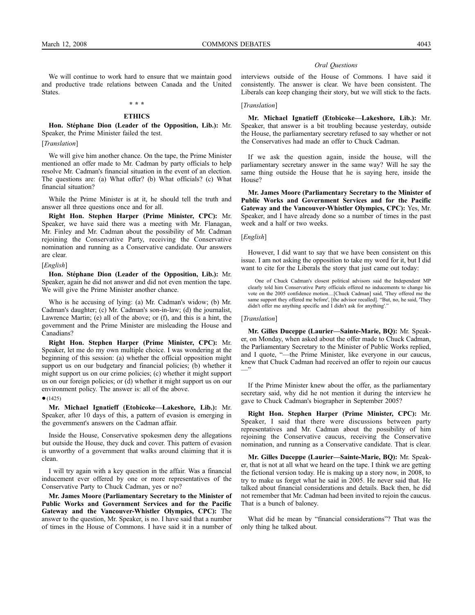We will continue to work hard to ensure that we maintain good and productive trade relations between Canada and the United States.

# **\* \* \* ETHICS**

**Hon. Stéphane Dion (Leader of the Opposition, Lib.):** Mr. Speaker, the Prime Minister failed the test.

[*Translation*]

We will give him another chance. On the tape, the Prime Minister mentioned an offer made to Mr. Cadman by party officials to help resolve Mr. Cadman's financial situation in the event of an election. The questions are: (a) What offer? (b) What officials? (c) What financial situation?

While the Prime Minister is at it, he should tell the truth and answer all three questions once and for all.

**Right Hon. Stephen Harper (Prime Minister, CPC):** Mr. Speaker, we have said there was a meeting with Mr. Flanagan, Mr. Finley and Mr. Cadman about the possibility of Mr. Cadman rejoining the Conservative Party, receiving the Conservative nomination and running as a Conservative candidate. Our answers are clear.

#### [*English*]

**Hon. Stéphane Dion (Leader of the Opposition, Lib.):** Mr. Speaker, again he did not answer and did not even mention the tape. We will give the Prime Minister another chance.

Who is he accusing of lying: (a) Mr. Cadman's widow; (b) Mr. Cadman's daughter; (c) Mr. Cadman's son-in-law; (d) the journalist, Lawrence Martin; (e) all of the above; or (f), and this is a hint, the government and the Prime Minister are misleading the House and Canadians?

**Right Hon. Stephen Harper (Prime Minister, CPC):** Mr. Speaker, let me do my own multiple choice. I was wondering at the beginning of this session: (a) whether the official opposition might support us on our budgetary and financial policies; (b) whether it might support us on our crime policies; (c) whether it might support us on our foreign policies; or (d) whether it might support us on our environment policy. The answer is: all of the above.

#### $•(1425)$

**Mr. Michael Ignatieff (Etobicoke—Lakeshore, Lib.):** Mr. Speaker, after 10 days of this, a pattern of evasion is emerging in the government's answers on the Cadman affair.

Inside the House, Conservative spokesmen deny the allegations but outside the House, they duck and cover. This pattern of evasion is unworthy of a government that walks around claiming that it is clean.

I will try again with a key question in the affair. Was a financial inducement ever offered by one or more representatives of the Conservative Party to Chuck Cadman, yes or no?

**Mr. James Moore (Parliamentary Secretary to the Minister of Public Works and Government Services and for the Pacific Gateway and the Vancouver-Whistler Olympics, CPC):** The answer to the question, Mr. Speaker, is no. I have said that a number of times in the House of Commons. I have said it in a number of

#### *Oral Questions*

interviews outside of the House of Commons. I have said it consistently. The answer is clear. We have been consistent. The Liberals can keep changing their story, but we will stick to the facts.

#### [*Translation*]

**Mr. Michael Ignatieff (Etobicoke—Lakeshore, Lib.):** Mr. Speaker, that answer is a bit troubling because yesterday, outside the House, the parliamentary secretary refused to say whether or not the Conservatives had made an offer to Chuck Cadman.

If we ask the question again, inside the house, will the parliamentary secretary answer in the same way? Will he say the same thing outside the House that he is saying here, inside the House?

**Mr. James Moore (Parliamentary Secretary to the Minister of Public Works and Government Services and for the Pacific Gateway and the Vancouver-Whistler Olympics, CPC):** Yes, Mr. Speaker, and I have already done so a number of times in the past week and a half or two weeks.

#### [*English*]

However, I did want to say that we have been consistent on this issue. I am not asking the opposition to take my word for it, but I did want to cite for the Liberals the story that just came out today:

One of Chuck Cadman's closest political advisors said the Independent MP clearly told him Conservative Party officials offered no inducements to change his vote on the 2005 confidence motion....[Chuck Cadman] said, 'They offered me the same support they offered me before', [the advisor recalled]. "But, no, he said, 'They didn't offer me anything specific and I didn't ask for anything'."

#### [*Translation*]

**Mr. Gilles Duceppe (Laurier—Sainte-Marie, BQ):** Mr. Speaker, on Monday, when asked about the offer made to Chuck Cadman, the Parliamentary Secretary to the Minister of Public Works replied, and I quote, "—the Prime Minister, like everyone in our caucus, knew that Chuck Cadman had received an offer to rejoin our caucus —"

If the Prime Minister knew about the offer, as the parliamentary secretary said, why did he not mention it during the interview he gave to Chuck Cadman's biographer in September 2005?

**Right Hon. Stephen Harper (Prime Minister, CPC):** Mr. Speaker, I said that there were discussions between party representatives and Mr. Cadman about the possibility of him rejoining the Conservative caucus, receiving the Conservative nomination, and running as a Conservative candidate. That is clear.

**Mr. Gilles Duceppe (Laurier—Sainte-Marie, BQ):** Mr. Speaker, that is not at all what we heard on the tape. I think we are getting the fictional version today. He is making up a story now, in 2008, to try to make us forget what he said in 2005. He never said that. He talked about financial considerations and details. Back then, he did not remember that Mr. Cadman had been invited to rejoin the caucus. That is a bunch of baloney.

What did he mean by "financial considerations"? That was the only thing he talked about.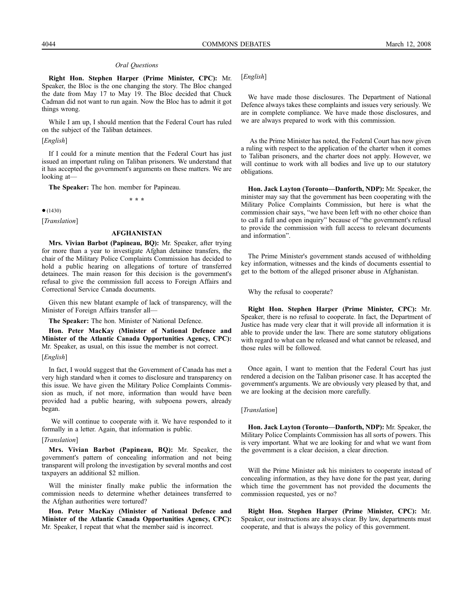#### *Oral Questions*

**Right Hon. Stephen Harper (Prime Minister, CPC):** Mr. Speaker, the Bloc is the one changing the story. The Bloc changed the date from May 17 to May 19. The Bloc decided that Chuck Cadman did not want to run again. Now the Bloc has to admit it got things wrong.

While I am up, I should mention that the Federal Court has ruled on the subject of the Taliban detainees.

[*English*]

If I could for a minute mention that the Federal Court has just issued an important ruling on Taliban prisoners. We understand that it has accepted the government's arguments on these matters. We are looking at—

**The Speaker:** The hon. member for Papineau.

**\* \* \***

 $•(1430)$ 

[*Translation*]

#### **AFGHANISTAN**

**Mrs. Vivian Barbot (Papineau, BQ):** Mr. Speaker, after trying for more than a year to investigate Afghan detainee transfers, the chair of the Military Police Complaints Commission has decided to hold a public hearing on allegations of torture of transferred detainees. The main reason for this decision is the government's refusal to give the commission full access to Foreign Affairs and Correctional Service Canada documents.

Given this new blatant example of lack of transparency, will the Minister of Foreign Affairs transfer all—

**The Speaker:** The hon. Minister of National Defence.

**Hon. Peter MacKay (Minister of National Defence and Minister of the Atlantic Canada Opportunities Agency, CPC):** Mr. Speaker, as usual, on this issue the member is not correct.

#### [*English*]

In fact, I would suggest that the Government of Canada has met a very high standard when it comes to disclosure and transparency on this issue. We have given the Military Police Complaints Commission as much, if not more, information than would have been provided had a public hearing, with subpoena powers, already began.

We will continue to cooperate with it. We have responded to it formally in a letter. Again, that information is public.

#### [*Translation*]

**Mrs. Vivian Barbot (Papineau, BQ):** Mr. Speaker, the government's pattern of concealing information and not being transparent will prolong the investigation by several months and cost taxpayers an additional \$2 million.

Will the minister finally make public the information the commission needs to determine whether detainees transferred to the Afghan authorities were tortured?

**Hon. Peter MacKay (Minister of National Defence and Minister of the Atlantic Canada Opportunities Agency, CPC):** Mr. Speaker, I repeat that what the member said is incorrect.

[*English*]

We have made those disclosures. The Department of National Defence always takes these complaints and issues very seriously. We are in complete compliance. We have made those disclosures, and we are always prepared to work with this commission.

As the Prime Minister has noted, the Federal Court has now given a ruling with respect to the application of the charter when it comes to Taliban prisoners, and the charter does not apply. However, we will continue to work with all bodies and live up to our statutory obligations.

**Hon. Jack Layton (Toronto—Danforth, NDP):** Mr. Speaker, the minister may say that the government has been cooperating with the Military Police Complaints Commission, but here is what the commission chair says, "we have been left with no other choice than to call a full and open inquiry" because of "the government's refusal to provide the commission with full access to relevant documents and information".

The Prime Minister's government stands accused of withholding key information, witnesses and the kinds of documents essential to get to the bottom of the alleged prisoner abuse in Afghanistan.

Why the refusal to cooperate?

**Right Hon. Stephen Harper (Prime Minister, CPC):** Mr. Speaker, there is no refusal to cooperate. In fact, the Department of Justice has made very clear that it will provide all information it is able to provide under the law. There are some statutory obligations with regard to what can be released and what cannot be released, and those rules will be followed.

Once again, I want to mention that the Federal Court has just rendered a decision on the Taliban prisoner case. It has accepted the government's arguments. We are obviously very pleased by that, and we are looking at the decision more carefully.

#### [*Translation*]

**Hon. Jack Layton (Toronto—Danforth, NDP):** Mr. Speaker, the Military Police Complaints Commission has all sorts of powers. This is very important. What we are looking for and what we want from the government is a clear decision, a clear direction.

Will the Prime Minister ask his ministers to cooperate instead of concealing information, as they have done for the past year, during which time the government has not provided the documents the commission requested, yes or no?

**Right Hon. Stephen Harper (Prime Minister, CPC):** Mr. Speaker, our instructions are always clear. By law, departments must cooperate, and that is always the policy of this government.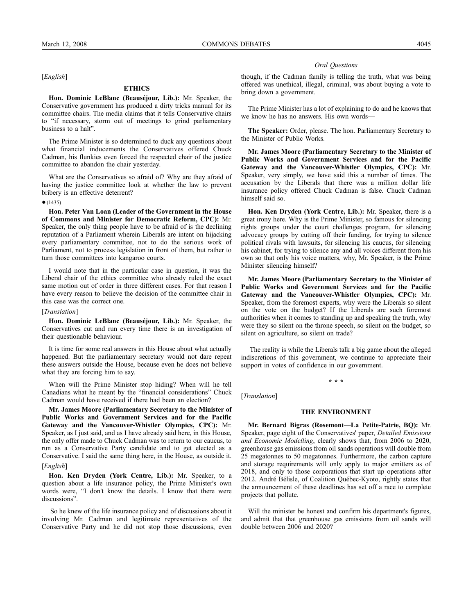[*English*]

# **ETHICS**

**Hon. Dominic LeBlanc (Beauséjour, Lib.):** Mr. Speaker, the Conservative government has produced a dirty tricks manual for its committee chairs. The media claims that it tells Conservative chairs to "if necessary, storm out of meetings to grind parliamentary business to a halt".

The Prime Minister is so determined to duck any questions about what financial inducements the Conservatives offered Chuck Cadman, his flunkies even forced the respected chair of the justice committee to abandon the chair yesterday.

What are the Conservatives so afraid of? Why are they afraid of having the justice committee look at whether the law to prevent bribery is an effective deterrent?

#### $•(1435)$

**Hon. Peter Van Loan (Leader of the Government in the House of Commons and Minister for Democratic Reform, CPC):** Mr. Speaker, the only thing people have to be afraid of is the declining reputation of a Parliament wherein Liberals are intent on hijacking every parliamentary committee, not to do the serious work of Parliament, not to process legislation in front of them, but rather to turn those committees into kangaroo courts.

I would note that in the particular case in question, it was the Liberal chair of the ethics committee who already ruled the exact same motion out of order in three different cases. For that reason I have every reason to believe the decision of the committee chair in this case was the correct one.

#### [*Translation*]

**Hon. Dominic LeBlanc (Beauséjour, Lib.):** Mr. Speaker, the Conservatives cut and run every time there is an investigation of their questionable behaviour.

It is time for some real answers in this House about what actually happened. But the parliamentary secretary would not dare repeat these answers outside the House, because even he does not believe what they are forcing him to say.

When will the Prime Minister stop hiding? When will he tell Canadians what he meant by the "financial considerations" Chuck Cadman would have received if there had been an election?

**Mr. James Moore (Parliamentary Secretary to the Minister of Public Works and Government Services and for the Pacific Gateway and the Vancouver-Whistler Olympics, CPC):** Mr. Speaker, as I just said, and as I have already said here, in this House, the only offer made to Chuck Cadman was to return to our caucus, to run as a Conservative Party candidate and to get elected as a Conservative. I said the same thing here, in the House, as outside it. [*English*]

**Hon. Ken Dryden (York Centre, Lib.):** Mr. Speaker, to a question about a life insurance policy, the Prime Minister's own words were, "I don't know the details. I know that there were discussions".

So he knew of the life insurance policy and of discussions about it involving Mr. Cadman and legitimate representatives of the Conservative Party and he did not stop those discussions, even

#### *Oral Questions*

though, if the Cadman family is telling the truth, what was being offered was unethical, illegal, criminal, was about buying a vote to bring down a government.

The Prime Minister has a lot of explaining to do and he knows that we know he has no answers. His own words—

**The Speaker:** Order, please. The hon. Parliamentary Secretary to the Minister of Public Works.

**Mr. James Moore (Parliamentary Secretary to the Minister of Public Works and Government Services and for the Pacific Gateway and the Vancouver-Whistler Olympics, CPC):** Mr. Speaker, very simply, we have said this a number of times. The accusation by the Liberals that there was a million dollar life insurance policy offered Chuck Cadman is false. Chuck Cadman himself said so.

**Hon. Ken Dryden (York Centre, Lib.):** Mr. Speaker, there is a great irony here. Why is the Prime Minister, so famous for silencing rights groups under the court challenges program, for silencing advocacy groups by cutting off their funding, for trying to silence political rivals with lawsuits, for silencing his caucus, for silencing his cabinet, for trying to silence any and all voices different from his own so that only his voice matters, why, Mr. Speaker, is the Prime Minister silencing himself?

**Mr. James Moore (Parliamentary Secretary to the Minister of Public Works and Government Services and for the Pacific Gateway and the Vancouver-Whistler Olympics, CPC):** Mr. Speaker, from the foremost experts, why were the Liberals so silent on the vote on the budget? If the Liberals are such foremost authorities when it comes to standing up and speaking the truth, why were they so silent on the throne speech, so silent on the budget, so silent on agriculture, so silent on trade?

The reality is while the Liberals talk a big game about the alleged indiscretions of this government, we continue to appreciate their support in votes of confidence in our government.

**\* \* \***

[*Translation*]

#### **THE ENVIRONMENT**

**Mr. Bernard Bigras (Rosemont—La Petite-Patrie, BQ):** Mr. Speaker, page eight of the Conservatives' paper, *Detailed Emissions and Economic Modelling*, clearly shows that, from 2006 to 2020, greenhouse gas emissions from oil sands operations will double from 25 megatonnes to 50 megatonnes. Furthermore, the carbon capture and storage requirements will only apply to major emitters as of 2018, and only to those corporations that start up operations after 2012. André Bélisle, of Coalition Québec-Kyoto, rightly states that the announcement of these deadlines has set off a race to complete projects that pollute.

Will the minister be honest and confirm his department's figures, and admit that that greenhouse gas emissions from oil sands will double between 2006 and 2020?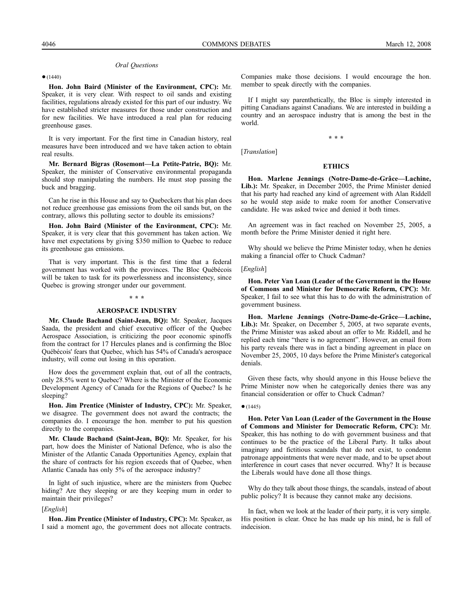#### *Oral Questions*

●(1440)

**Hon. John Baird (Minister of the Environment, CPC):** Mr. Speaker, it is very clear. With respect to oil sands and existing facilities, regulations already existed for this part of our industry. We have established stricter measures for those under construction and for new facilities. We have introduced a real plan for reducing greenhouse gases.

It is very important. For the first time in Canadian history, real measures have been introduced and we have taken action to obtain real results.

**Mr. Bernard Bigras (Rosemont—La Petite-Patrie, BQ):** Mr. Speaker, the minister of Conservative environmental propaganda should stop manipulating the numbers. He must stop passing the buck and bragging.

Can he rise in this House and say to Quebeckers that his plan does not reduce greenhouse gas emissions from the oil sands but, on the contrary, allows this polluting sector to double its emissions?

**Hon. John Baird (Minister of the Environment, CPC):** Mr. Speaker, it is very clear that this government has taken action. We have met expectations by giving \$350 million to Quebec to reduce its greenhouse gas emissions.

That is very important. This is the first time that a federal government has worked with the provinces. The Bloc Québécois will be taken to task for its powerlessness and inconsistency, since Quebec is growing stronger under our government.

#### **\* \* \***

#### **AEROSPACE INDUSTRY**

**Mr. Claude Bachand (Saint-Jean, BQ):** Mr. Speaker, Jacques Saada, the president and chief executive officer of the Quebec Aerospace Association, is criticizing the poor economic spinoffs from the contract for 17 Hercules planes and is confirming the Bloc Québécois' fears that Quebec, which has 54% of Canada's aerospace industry, will come out losing in this operation.

How does the government explain that, out of all the contracts, only 28.5% went to Quebec? Where is the Minister of the Economic Development Agency of Canada for the Regions of Quebec? Is he sleeping?

**Hon. Jim Prentice (Minister of Industry, CPC):** Mr. Speaker, we disagree. The government does not award the contracts; the companies do. I encourage the hon. member to put his question directly to the companies.

**Mr. Claude Bachand (Saint-Jean, BQ):** Mr. Speaker, for his part, how does the Minister of National Defence, who is also the Minister of the Atlantic Canada Opportunities Agency, explain that the share of contracts for his region exceeds that of Quebec, when Atlantic Canada has only 5% of the aerospace industry?

In light of such injustice, where are the ministers from Quebec hiding? Are they sleeping or are they keeping mum in order to maintain their privileges?

#### [*English*]

**Hon. Jim Prentice (Minister of Industry, CPC):** Mr. Speaker, as I said a moment ago, the government does not allocate contracts.

Companies make those decisions. I would encourage the hon. member to speak directly with the companies.

If I might say parenthetically, the Bloc is simply interested in pitting Canadians against Canadians. We are interested in building a country and an aerospace industry that is among the best in the world.

**\* \* \***

# **ETHICS**

**Hon. Marlene Jennings (Notre-Dame-de-Grâce—Lachine, Lib.):** Mr. Speaker, in December 2005, the Prime Minister denied that his party had reached any kind of agreement with Alan Riddell so he would step aside to make room for another Conservative candidate. He was asked twice and denied it both times.

An agreement was in fact reached on November 25, 2005, a month before the Prime Minister denied it right here.

Why should we believe the Prime Minister today, when he denies making a financial offer to Chuck Cadman?

# [*English*]

[*Translation*]

**Hon. Peter Van Loan (Leader of the Government in the House of Commons and Minister for Democratic Reform, CPC):** Mr. Speaker, I fail to see what this has to do with the administration of government business.

**Hon. Marlene Jennings (Notre-Dame-de-Grâce—Lachine, Lib.):** Mr. Speaker, on December 5, 2005, at two separate events, the Prime Minister was asked about an offer to Mr. Riddell, and he replied each time "there is no agreement". However, an email from his party reveals there was in fact a binding agreement in place on November 25, 2005, 10 days before the Prime Minister's categorical denials.

Given these facts, why should anyone in this House believe the Prime Minister now when he categorically denies there was any financial consideration or offer to Chuck Cadman?

#### $•(1445)$

**Hon. Peter Van Loan (Leader of the Government in the House of Commons and Minister for Democratic Reform, CPC):** Mr. Speaker, this has nothing to do with government business and that continues to be the practice of the Liberal Party. It talks about imaginary and fictitious scandals that do not exist, to condemn patronage appointments that were never made, and to be upset about interference in court cases that never occurred. Why? It is because the Liberals would have done all those things.

Why do they talk about those things, the scandals, instead of about public policy? It is because they cannot make any decisions.

In fact, when we look at the leader of their party, it is very simple. His position is clear. Once he has made up his mind, he is full of indecision.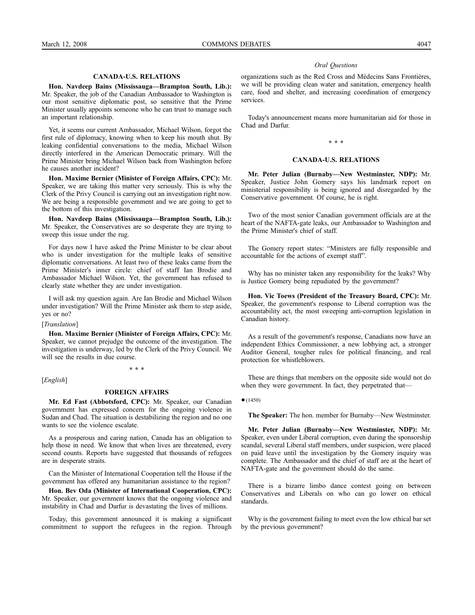# **CANADA-U.S. RELATIONS**

**Hon. Navdeep Bains (Mississauga—Brampton South, Lib.):** Mr. Speaker, the job of the Canadian Ambassador to Washington is our most sensitive diplomatic post, so sensitive that the Prime Minister usually appoints someone who he can trust to manage such an important relationship.

Yet, it seems our current Ambassador, Michael Wilson, forgot the first rule of diplomacy, knowing when to keep his mouth shut. By leaking confidential conversations to the media, Michael Wilson directly interfered in the American Democratic primary. Will the Prime Minister bring Michael Wilson back from Washington before he causes another incident?

**Hon. Maxime Bernier (Minister of Foreign Affairs, CPC):** Mr. Speaker, we are taking this matter very seriously. This is why the Clerk of the Privy Council is carrying out an investigation right now. We are being a responsible government and we are going to get to the bottom of this investigation.

**Hon. Navdeep Bains (Mississauga—Brampton South, Lib.):** Mr. Speaker, the Conservatives are so desperate they are trying to sweep this issue under the rug.

For days now I have asked the Prime Minister to be clear about who is under investigation for the multiple leaks of sensitive diplomatic conversations. At least two of these leaks came from the Prime Minister's inner circle: chief of staff Ian Brodie and Ambassador Michael Wilson. Yet, the government has refused to clearly state whether they are under investigation.

I will ask my question again. Are Ian Brodie and Michael Wilson under investigation? Will the Prime Minister ask them to step aside, yes or no?

[*Translation*]

**Hon. Maxime Bernier (Minister of Foreign Affairs, CPC):** Mr. Speaker, we cannot prejudge the outcome of the investigation. The investigation is underway, led by the Clerk of the Privy Council. We will see the results in due course.

[*English*]

#### **FOREIGN AFFAIRS**

**\* \* \***

**Mr. Ed Fast (Abbotsford, CPC):** Mr. Speaker, our Canadian government has expressed concern for the ongoing violence in Sudan and Chad. The situation is destabilizing the region and no one wants to see the violence escalate.

As a prosperous and caring nation, Canada has an obligation to help those in need. We know that when lives are threatened, every second counts. Reports have suggested that thousands of refugees are in desperate straits.

Can the Minister of International Cooperation tell the House if the government has offered any humanitarian assistance to the region?

**Hon. Bev Oda (Minister of International Cooperation, CPC):** Mr. Speaker, our government knows that the ongoing violence and instability in Chad and Darfur is devastating the lives of millions.

Today, this government announced it is making a significant commitment to support the refugees in the region. Through

#### *Oral Questions*

organizations such as the Red Cross and Médecins Sans Frontières, we will be providing clean water and sanitation, emergency health care, food and shelter, and increasing coordination of emergency services.

Today's announcement means more humanitarian aid for those in Chad and Darfur.

#### **\* \* \***

#### **CANADA-U.S. RELATIONS**

**Mr. Peter Julian (Burnaby—New Westminster, NDP):** Mr. Speaker, Justice John Gomery says his landmark report on ministerial responsibility is being ignored and disregarded by the Conservative government. Of course, he is right.

Two of the most senior Canadian government officials are at the heart of the NAFTA-gate leaks, our Ambassador to Washington and the Prime Minister's chief of staff.

The Gomery report states: "Ministers are fully responsible and accountable for the actions of exempt staff".

Why has no minister taken any responsibility for the leaks? Why is Justice Gomery being repudiated by the government?

**Hon. Vic Toews (President of the Treasury Board, CPC):** Mr. Speaker, the government's response to Liberal corruption was the accountability act, the most sweeping anti-corruption legislation in Canadian history.

As a result of the government's response, Canadians now have an independent Ethics Commissioner, a new lobbying act, a stronger Auditor General, tougher rules for political financing, and real protection for whistleblowers.

These are things that members on the opposite side would not do when they were government. In fact, they perpetrated that—

 $•(1450)$ 

**The Speaker:** The hon. member for Burnaby—New Westminster.

**Mr. Peter Julian (Burnaby—New Westminster, NDP):** Mr. Speaker, even under Liberal corruption, even during the sponsorship scandal, several Liberal staff members, under suspicion, were placed on paid leave until the investigation by the Gomery inquiry was complete. The Ambassador and the chief of staff are at the heart of NAFTA-gate and the government should do the same.

There is a bizarre limbo dance contest going on between Conservatives and Liberals on who can go lower on ethical standards.

Why is the government failing to meet even the low ethical bar set by the previous government?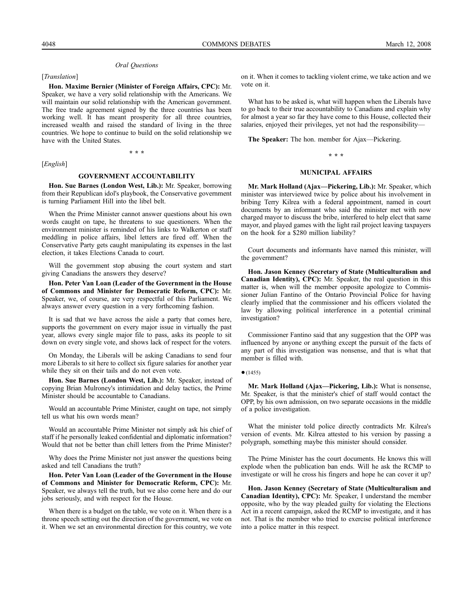#### *Oral Questions*

[*Translation*]

**Hon. Maxime Bernier (Minister of Foreign Affairs, CPC):** Mr. Speaker, we have a very solid relationship with the Americans. We will maintain our solid relationship with the American government. The free trade agreement signed by the three countries has been working well. It has meant prosperity for all three countries, increased wealth and raised the standard of living in the three countries. We hope to continue to build on the solid relationship we have with the United States.

[*English*]

#### **GOVERNMENT ACCOUNTABILITY**

**\* \* \***

**Hon. Sue Barnes (London West, Lib.):** Mr. Speaker, borrowing from their Republican idol's playbook, the Conservative government is turning Parliament Hill into the libel belt.

When the Prime Minister cannot answer questions about his own words caught on tape, he threatens to sue questioners. When the environment minister is reminded of his links to Walkerton or staff meddling in police affairs, libel letters are fired off. When the Conservative Party gets caught manipulating its expenses in the last election, it takes Elections Canada to court.

Will the government stop abusing the court system and start giving Canadians the answers they deserve?

**Hon. Peter Van Loan (Leader of the Government in the House of Commons and Minister for Democratic Reform, CPC):** Mr. Speaker, we, of course, are very respectful of this Parliament. We always answer every question in a very forthcoming fashion.

It is sad that we have across the aisle a party that comes here, supports the government on every major issue in virtually the past year, allows every single major file to pass, asks its people to sit down on every single vote, and shows lack of respect for the voters.

On Monday, the Liberals will be asking Canadians to send four more Liberals to sit here to collect six figure salaries for another year while they sit on their tails and do not even vote.

**Hon. Sue Barnes (London West, Lib.):** Mr. Speaker, instead of copying Brian Mulroney's intimidation and delay tactics, the Prime Minister should be accountable to Canadians.

Would an accountable Prime Minister, caught on tape, not simply tell us what his own words mean?

Would an accountable Prime Minister not simply ask his chief of staff if he personally leaked confidential and diplomatic information? Would that not be better than chill letters from the Prime Minister?

Why does the Prime Minister not just answer the questions being asked and tell Canadians the truth?

**Hon. Peter Van Loan (Leader of the Government in the House of Commons and Minister for Democratic Reform, CPC):** Mr. Speaker, we always tell the truth, but we also come here and do our jobs seriously, and with respect for the House.

When there is a budget on the table, we vote on it. When there is a throne speech setting out the direction of the government, we vote on it. When we set an environmental direction for this country, we vote on it. When it comes to tackling violent crime, we take action and we vote on it.

What has to be asked is, what will happen when the Liberals have to go back to their true accountability to Canadians and explain why for almost a year so far they have come to this House, collected their salaries, enjoyed their privileges, yet not had the responsibility—

**The Speaker:** The hon. member for Ajax—Pickering.

#### **\* \* \***

#### **MUNICIPAL AFFAIRS**

**Mr. Mark Holland (Ajax—Pickering, Lib.):** Mr. Speaker, which minister was interviewed twice by police about his involvement in bribing Terry Kilrea with a federal appointment, named in court documents by an informant who said the minister met with now charged mayor to discuss the bribe, interfered to help elect that same mayor, and played games with the light rail project leaving taxpayers on the hook for a \$280 million liability?

Court documents and informants have named this minister, will the government?

**Hon. Jason Kenney (Secretary of State (Multiculturalism and Canadian Identity), CPC):** Mr. Speaker, the real question in this matter is, when will the member opposite apologize to Commissioner Julian Fantino of the Ontario Provincial Police for having clearly implied that the commissioner and his officers violated the law by allowing political interference in a potential criminal investigation?

Commissioner Fantino said that any suggestion that the OPP was influenced by anyone or anything except the pursuit of the facts of any part of this investigation was nonsense, and that is what that member is filled with.

#### $•(1455)$

**Mr. Mark Holland (Ajax—Pickering, Lib.):** What is nonsense, Mr. Speaker, is that the minister's chief of staff would contact the OPP, by his own admission, on two separate occasions in the middle of a police investigation.

What the minister told police directly contradicts Mr. Kilrea's version of events. Mr. Kilrea attested to his version by passing a polygraph, something maybe this minister should consider.

The Prime Minister has the court documents. He knows this will explode when the publication ban ends. Will he ask the RCMP to investigate or will he cross his fingers and hope he can cover it up?

**Hon. Jason Kenney (Secretary of State (Multiculturalism and Canadian Identity), CPC):** Mr. Speaker, I understand the member opposite, who by the way pleaded guilty for violating the Elections Act in a recent campaign, asked the RCMP to investigate, and it has not. That is the member who tried to exercise political interference into a police matter in this respect.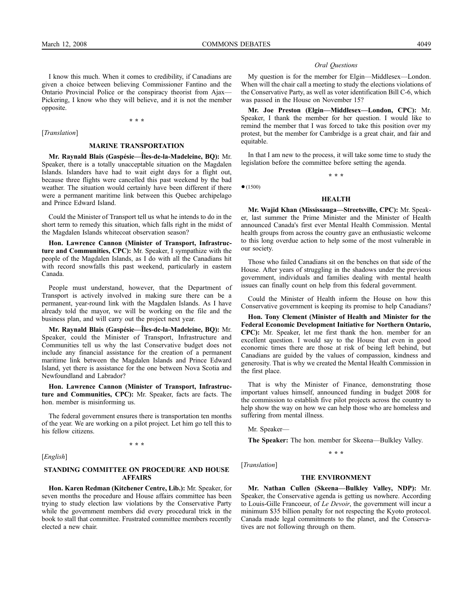I know this much. When it comes to credibility, if Canadians are given a choice between believing Commissioner Fantino and the Ontario Provincial Police or the conspiracy theorist from Ajax— Pickering, I know who they will believe, and it is not the member opposite.

**\* \* \***

[*Translation*]

#### **MARINE TRANSPORTATION**

**Mr. Raynald Blais (Gaspésie—Îles-de-la-Madeleine, BQ):** Mr. Speaker, there is a totally unacceptable situation on the Magdalen Islands. Islanders have had to wait eight days for a flight out, because three flights were cancelled this past weekend by the bad weather. The situation would certainly have been different if there were a permanent maritime link between this Quebec archipelago and Prince Edward Island.

Could the Minister of Transport tell us what he intends to do in the short term to remedy this situation, which falls right in the midst of the Magdalen Islands whitecoat observation season?

**Hon. Lawrence Cannon (Minister of Transport, Infrastructure and Communities, CPC):** Mr. Speaker, I sympathize with the people of the Magdalen Islands, as I do with all the Canadians hit with record snowfalls this past weekend, particularly in eastern Canada.

People must understand, however, that the Department of Transport is actively involved in making sure there can be a permanent, year-round link with the Magdalen Islands. As I have already told the mayor, we will be working on the file and the business plan, and will carry out the project next year.

**Mr. Raynald Blais (Gaspésie—Îles-de-la-Madeleine, BQ):** Mr. Speaker, could the Minister of Transport, Infrastructure and Communities tell us why the last Conservative budget does not include any financial assistance for the creation of a permanent maritime link between the Magdalen Islands and Prince Edward Island, yet there is assistance for the one between Nova Scotia and Newfoundland and Labrador?

**Hon. Lawrence Cannon (Minister of Transport, Infrastructure and Communities, CPC):** Mr. Speaker, facts are facts. The hon. member is misinforming us.

The federal government ensures there is transportation ten months of the year. We are working on a pilot project. Let him go tell this to his fellow citizens.

**\* \* \***

[*English*]

# **STANDING COMMITTEE ON PROCEDURE AND HOUSE AFFAIRS**

**Hon. Karen Redman (Kitchener Centre, Lib.):** Mr. Speaker, for seven months the procedure and House affairs committee has been trying to study election law violations by the Conservative Party while the government members did every procedural trick in the book to stall that committee. Frustrated committee members recently elected a new chair.

#### *Oral Questions*

My question is for the member for Elgin—Middlesex—London. When will the chair call a meeting to study the elections violations of the Conservative Party, as well as voter identification Bill C-6, which was passed in the House on November 15?

**Mr. Joe Preston (Elgin—Middlesex—London, CPC):** Mr. Speaker, I thank the member for her question. I would like to remind the member that I was forced to take this position over my protest, but the member for Cambridge is a great chair, and fair and equitable.

In that I am new to the process, it will take some time to study the legislation before the committee before setting the agenda. **\* \* \***

 $•(1500)$ 

#### **HEALTH**

**Mr. Wajid Khan (Mississauga—Streetsville, CPC):** Mr. Speaker, last summer the Prime Minister and the Minister of Health announced Canada's first ever Mental Health Commission. Mental health groups from across the country gave an enthusiastic welcome to this long overdue action to help some of the most vulnerable in our society.

Those who failed Canadians sit on the benches on that side of the House. After years of struggling in the shadows under the previous government, individuals and families dealing with mental health issues can finally count on help from this federal government.

Could the Minister of Health inform the House on how this Conservative government is keeping its promise to help Canadians?

**Hon. Tony Clement (Minister of Health and Minister for the Federal Economic Development Initiative for Northern Ontario, CPC):** Mr. Speaker, let me first thank the hon. member for an excellent question. I would say to the House that even in good economic times there are those at risk of being left behind, but Canadians are guided by the values of compassion, kindness and generosity. That is why we created the Mental Health Commission in the first place.

That is why the Minister of Finance, demonstrating those important values himself, announced funding in budget 2008 for the commission to establish five pilot projects across the country to help show the way on how we can help those who are homeless and suffering from mental illness.

Mr. Speaker—

**The Speaker:** The hon. member for Skeena—Bulkley Valley.

**\* \* \***

[*Translation*]

#### **THE ENVIRONMENT**

**Mr. Nathan Cullen (Skeena—Bulkley Valley, NDP):** Mr. Speaker, the Conservative agenda is getting us nowhere. According to Louis-Gille Francoeur, of *Le Devoir*, the government will incur a minimum \$35 billion penalty for not respecting the Kyoto protocol. Canada made legal commitments to the planet, and the Conservatives are not following through on them.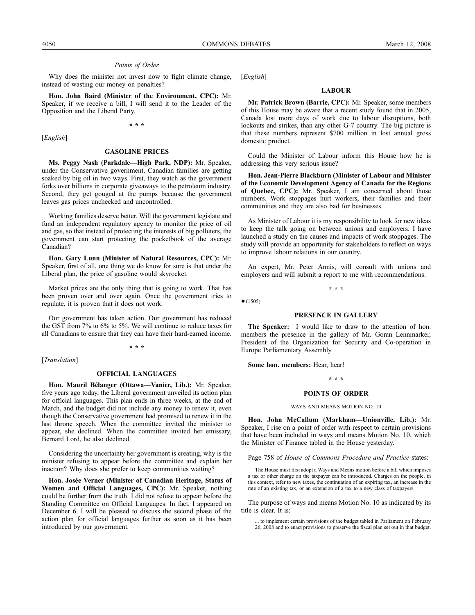#### *Points of Order*

Why does the minister not invest now to fight climate change, instead of wasting our money on penalties?

**Hon. John Baird (Minister of the Environment, CPC):** Mr. Speaker, if we receive a bill, I will send it to the Leader of the Opposition and the Liberal Party.

**\* \* \***

[*English*]

#### **GASOLINE PRICES**

**Ms. Peggy Nash (Parkdale—High Park, NDP):** Mr. Speaker, under the Conservative government, Canadian families are getting soaked by big oil in two ways. First, they watch as the government forks over billions in corporate giveaways to the petroleum industry. Second, they get gouged at the pumps because the government leaves gas prices unchecked and uncontrolled.

Working families deserve better. Will the government legislate and fund an independent regulatory agency to monitor the price of oil and gas, so that instead of protecting the interests of big polluters, the government can start protecting the pocketbook of the average Canadian?

**Hon. Gary Lunn (Minister of Natural Resources, CPC):** Mr. Speaker, first of all, one thing we do know for sure is that under the Liberal plan, the price of gasoline would skyrocket.

Market prices are the only thing that is going to work. That has been proven over and over again. Once the government tries to regulate, it is proven that it does not work.

Our government has taken action. Our government has reduced the GST from 7% to 6% to 5%. We will continue to reduce taxes for all Canadians to ensure that they can have their hard-earned income.

**\* \* \***

[*Translation*]

#### **OFFICIAL LANGUAGES**

**Hon. Mauril Bélanger (Ottawa—Vanier, Lib.):** Mr. Speaker, five years ago today, the Liberal government unveiled its action plan for official languages. This plan ends in three weeks, at the end of March, and the budget did not include any money to renew it, even though the Conservative government had promised to renew it in the last throne speech. When the committee invited the minister to appear, she declined. When the committee invited her emissary, Bernard Lord, he also declined.

Considering the uncertainty her government is creating, why is the minister refusing to appear before the committee and explain her inaction? Why does she prefer to keep communities waiting?

**Hon. Josée Verner (Minister of Canadian Heritage, Status of Women and Official Languages, CPC):** Mr. Speaker, nothing could be further from the truth. I did not refuse to appear before the Standing Committee on Official Languages. In fact, I appeared on December 6. I will be pleased to discuss the second phase of the action plan for official languages further as soon as it has been introduced by our government.

[*English*]

# **LABOUR**

**Mr. Patrick Brown (Barrie, CPC):** Mr. Speaker, some members of this House may be aware that a recent study found that in 2005, Canada lost more days of work due to labour disruptions, both lockouts and strikes, than any other G-7 country. The big picture is that these numbers represent \$700 million in lost annual gross domestic product.

Could the Minister of Labour inform this House how he is addressing this very serious issue?

**Hon. Jean-Pierre Blackburn (Minister of Labour and Minister of the Economic Development Agency of Canada for the Regions of Quebec, CPC):** Mr. Speaker, I am concerned about those numbers. Work stoppages hurt workers, their families and their communities and they are also bad for businesses.

As Minister of Labour it is my responsibility to look for new ideas to keep the talk going on between unions and employers. I have launched a study on the causes and impacts of work stoppages. The study will provide an opportunity for stakeholders to reflect on ways to improve labour relations in our country.

An expert, Mr. Peter Annis, will consult with unions and employers and will submit a report to me with recommendations.

**\* \* \***

 $•(1505)$ 

#### **PRESENCE IN GALLERY**

**The Speaker:** I would like to draw to the attention of hon. members the presence in the gallery of Mr. Goran Lennmarker, President of the Organization for Security and Co-operation in Europe Parliamentary Assembly.

**Some hon. members:** Hear, hear!

**\* \* \***

#### **POINTS OF ORDER**

WAYS AND MEANS MOTION NO. 10

**Hon. John McCallum (Markham—Unionville, Lib.):** Mr. Speaker, I rise on a point of order with respect to certain provisions that have been included in ways and means Motion No. 10, which the Minister of Finance tabled in the House yesterday.

Page 758 of *House of Commons Procedure and Practice* states:

The House must first adopt a Ways and Means motion before a bill which imposes a tax or other charge on the taxpayer can be introduced. Charges on the people, in this context, refer to new taxes, the continuation of an expiring tax, an increase in the rate of an existing tax, or an extension of a tax to a new class of taxpayers.

The purpose of ways and means Motion No. 10 as indicated by its title is clear. It is:

... to implement certain provisions of the budget tabled in Parliament on February 26, 2008 and to enact provisions to preserve the fiscal plan set out in that budget.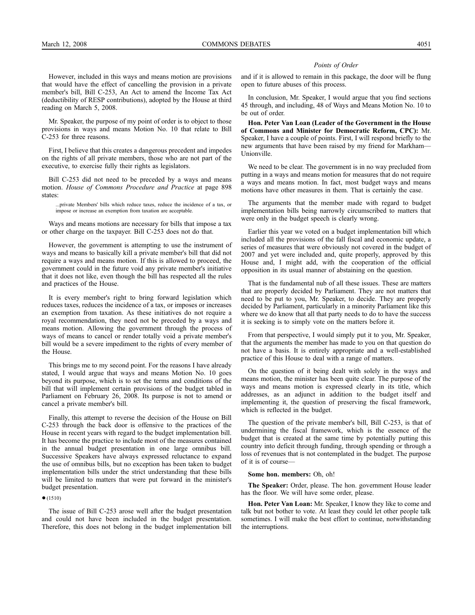However, included in this ways and means motion are provisions that would have the effect of cancelling the provision in a private member's bill, Bill C-253, An Act to amend the Income Tax Act (deductibility of RESP contributions), adopted by the House at third reading on March 5, 2008.

Mr. Speaker, the purpose of my point of order is to object to those provisions in ways and means Motion No. 10 that relate to Bill C-253 for three reasons.

First, I believe that this creates a dangerous precedent and impedes on the rights of all private members, those who are not part of the executive, to exercise fully their rights as legislators.

Bill C-253 did not need to be preceded by a ways and means motion. *House of Commons Procedure and Practice* at page 898 states:

...private Members' bills which reduce taxes, reduce the incidence of a tax, or impose or increase an exemption from taxation are acceptable.

Ways and means motions are necessary for bills that impose a tax or other charge on the taxpayer. Bill C-253 does not do that.

However, the government is attempting to use the instrument of ways and means to basically kill a private member's bill that did not require a ways and means motion. If this is allowed to proceed, the government could in the future void any private member's initiative that it does not like, even though the bill has respected all the rules and practices of the House.

It is every member's right to bring forward legislation which reduces taxes, reduces the incidence of a tax, or imposes or increases an exemption from taxation. As these initiatives do not require a royal recommendation, they need not be preceded by a ways and means motion. Allowing the government through the process of ways of means to cancel or render totally void a private member's bill would be a severe impediment to the rights of every member of the House.

This brings me to my second point. For the reasons I have already stated, I would argue that ways and means Motion No. 10 goes beyond its purpose, which is to set the terms and conditions of the bill that will implement certain provisions of the budget tabled in Parliament on February 26, 2008. Its purpose is not to amend or cancel a private member's bill.

Finally, this attempt to reverse the decision of the House on Bill C-253 through the back door is offensive to the practices of the House in recent years with regard to the budget implementation bill. It has become the practice to include most of the measures contained in the annual budget presentation in one large omnibus bill. Successive Speakers have always expressed reluctance to expand the use of omnibus bills, but no exception has been taken to budget implementation bills under the strict understanding that these bills will be limited to matters that were put forward in the minister's budget presentation.

#### $•(1510)$

The issue of Bill C-253 arose well after the budget presentation and could not have been included in the budget presentation. Therefore, this does not belong in the budget implementation bill

#### *Points of Order*

and if it is allowed to remain in this package, the door will be flung open to future abuses of this process.

In conclusion, Mr. Speaker, I would argue that you find sections 45 through, and including, 48 of Ways and Means Motion No. 10 to be out of order.

**Hon. Peter Van Loan (Leader of the Government in the House of Commons and Minister for Democratic Reform, CPC):** Mr. Speaker, I have a couple of points. First, I will respond briefly to the new arguments that have been raised by my friend for Markham— Unionville.

We need to be clear. The government is in no way precluded from putting in a ways and means motion for measures that do not require a ways and means motion. In fact, most budget ways and means motions have other measures in them. That is certainly the case.

The arguments that the member made with regard to budget implementation bills being narrowly circumscribed to matters that were only in the budget speech is clearly wrong.

Earlier this year we voted on a budget implementation bill which included all the provisions of the fall fiscal and economic update, a series of measures that were obviously not covered in the budget of 2007 and yet were included and, quite properly, approved by this House and, I might add, with the cooperation of the official opposition in its usual manner of abstaining on the question.

That is the fundamental nub of all these issues. These are matters that are properly decided by Parliament. They are not matters that need to be put to you, Mr. Speaker, to decide. They are properly decided by Parliament, particularly in a minority Parliament like this where we do know that all that party needs to do to have the success it is seeking is to simply vote on the matters before it.

From that perspective, I would simply put it to you, Mr. Speaker, that the arguments the member has made to you on that question do not have a basis. It is entirely appropriate and a well-established practice of this House to deal with a range of matters.

On the question of it being dealt with solely in the ways and means motion, the minister has been quite clear. The purpose of the ways and means motion is expressed clearly in its title, which addresses, as an adjunct in addition to the budget itself and implementing it, the question of preserving the fiscal framework, which is reflected in the budget.

The question of the private member's bill, Bill C-253, is that of undermining the fiscal framework, which is the essence of the budget that is created at the same time by potentially putting this country into deficit through funding, through spending or through a loss of revenues that is not contemplated in the budget. The purpose of it is of course—

#### **Some hon. members:** Oh, oh!

**The Speaker:** Order, please. The hon. government House leader has the floor. We will have some order, please.

**Hon. Peter Van Loan:** Mr. Speaker, I know they like to come and talk but not bother to vote. At least they could let other people talk sometimes. I will make the best effort to continue, notwithstanding the interruptions.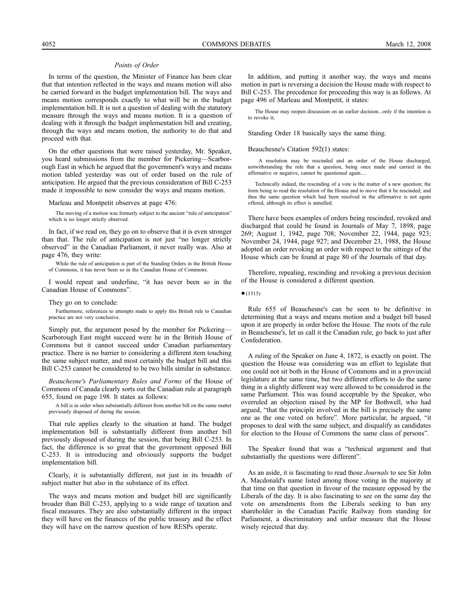#### *Points of Order*

In terms of the question, the Minister of Finance has been clear that that intention reflected in the ways and means motion will also be carried forward in the budget implementation bill. The ways and means motion corresponds exactly to what will be in the budget implementation bill. It is not a question of dealing with the statutory measure through the ways and means motion. It is a question of dealing with it through the budget implementation bill and creating, through the ways and means motion, the authority to do that and proceed with that.

On the other questions that were raised yesterday, Mr. Speaker, you heard submissions from the member for Pickering—Scarborough East in which he argued that the government's ways and means motion tabled yesterday was out of order based on the rule of anticipation. He argued that the previous consideration of Bill C-253 made it impossible to now consider the ways and means motion.

Marleau and Montpetit observes at page 476:

The moving of a motion was formerly subject to the ancient "rule of anticipation" which is no longer strictly observed.

In fact, if we read on, they go on to observe that it is even stronger than that. The rule of anticipation is not just "no longer strictly observed" in the Canadian Parliament, it never really was. Also at page 476, they write:

While the rule of anticipation is part of the Standing Orders in the British House of Commons, it has never been so in the Canadian House of Commons.

I would repeat and underline, "it has never been so in the Canadian House of Commons".

They go on to conclude:

Furthermore, references to attempts made to apply this British rule to Canadian practice are not very conclusive.

Simply put, the argument posed by the member for Pickering— Scarborough East might succeed were he in the British House of Commons but it cannot succeed under Canadian parliamentary practice. There is no barrier to considering a different item touching the same subject matter, and most certainly the budget bill and this Bill C-253 cannot be considered to be two bills similar in substance.

*Beauchesne's Parliamentary Rules and Forms* of the House of Commons of Canada clearly sorts out the Canadian rule at paragraph 655, found on page 198. It states as follows:

A bill is in order when substantially different from another bill on the same matter previously disposed of during the session.

That rule applies clearly to the situation at hand. The budget implementation bill is substantially different from another bill previously disposed of during the session, that being Bill C-253. In fact, the difference is so great that the government opposed Bill C-253. It is introducing and obviously supports the budget implementation bill.

Clearly, it is substantially different, not just in its breadth of subject matter but also in the substance of its effect.

The ways and means motion and budget bill are significantly broader than Bill C-253, applying to a wide range of taxation and fiscal measures. They are also substantially different in the impact they will have on the finances of the public treasury and the effect they will have on the narrow question of how RESPs operate.

In addition, and putting it another way, the ways and means motion in part is reversing a decision the House made with respect to Bill C-253. The precedence for proceeding this way is as follows. At page 496 of Marleau and Montpetit, it states:

The House may reopen discussion on an earlier decision...only if the intention is to revoke it;

Standing Order 18 basically says the same thing.

Beauchesne's Citation 592(1) states:

A resolution may be rescinded and an order of the House discharged, notwithstanding the rule that a question, being once made and carried in the affirmative or negative, cannot be questioned again....

Technically indeed, the rescinding of a vote is the matter of a new question; the form being to read the resolution of the House and to move that it be rescinded; and thus the same question which had been resolved in the affirmative is not again offered, although its effect is annulled.

There have been examples of orders being rescinded, revoked and discharged that could be found in Journals of May 7, 1898, page 269; August 1, 1942, page 708; November 22, 1944, page 923; November 24, 1944, page 927; and December 23, 1988, the House adopted an order revoking an order with respect to the sittings of the House which can be found at page 80 of the Journals of that day.

Therefore, repealing, rescinding and revoking a previous decision of the House is considered a different question.

 $•(1515)$ 

Rule 655 of Beauchesne's can be seen to be definitive in determining that a ways and means motion and a budget bill based upon it are properly in order before the House. The roots of the rule in Beauchesne's, let us call it the Canadian rule, go back to just after Confederation.

A ruling of the Speaker on June 4, 1872, is exactly on point. The question the House was considering was an effort to legislate that one could not sit both in the House of Commons and in a provincial legislature at the same time, but two different efforts to do the same thing in a slightly different way were allowed to be considered in the same Parliament. This was found acceptable by the Speaker, who overruled an objection raised by the MP for Bothwell, who had argued, "that the principle involved in the bill is precisely the same one as the one voted on before". More particular, he argued, "it proposes to deal with the same subject, and disqualify as candidates for election to the House of Commons the same class of persons".

The Speaker found that was a "technical argument and that substantially the questions were different".

As an aside, it is fascinating to read those *Journals* to see Sir John A. Macdonald's name listed among those voting in the majority at that time on that question in favour of the measure opposed by the Liberals of the day. It is also fascinating to see on the same day the vote on amendments from the Liberals seeking to ban any shareholder in the Canadian Pacific Railway from standing for Parliament, a discriminatory and unfair measure that the House wisely rejected that day.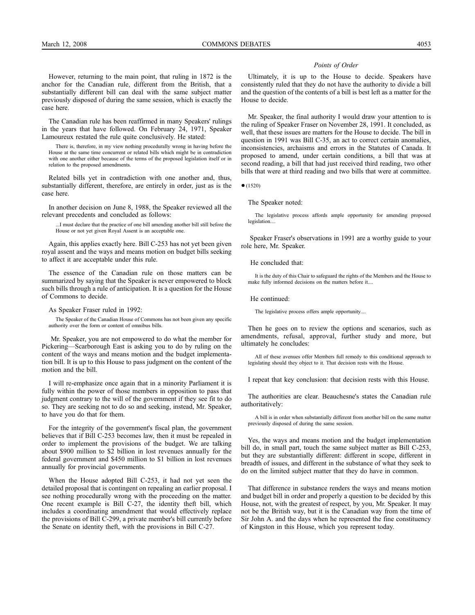The Canadian rule has been reaffirmed in many Speakers' rulings in the years that have followed. On February 24, 1971, Speaker Lamoureux restated the rule quite conclusively. He stated:

There is, therefore, in my view nothing procedurally wrong in having before the House at the same time concurrent or related bills which might be in contradiction with one another either because of the terms of the proposed legislation itself or in relation to the proposed amendments.

Related bills yet in contradiction with one another and, thus, substantially different, therefore, are entirely in order, just as is the case here.

In another decision on June 8, 1988, the Speaker reviewed all the relevant precedents and concluded as follows:

...I must declare that the practice of one bill amending another bill still before the House or not yet given Royal Assent is an acceptable one.

Again, this applies exactly here. Bill C-253 has not yet been given royal assent and the ways and means motion on budget bills seeking to affect it are acceptable under this rule.

The essence of the Canadian rule on those matters can be summarized by saying that the Speaker is never empowered to block such bills through a rule of anticipation. It is a question for the House of Commons to decide.

As Speaker Fraser ruled in 1992:

The Speaker of the Canadian House of Commons has not been given any specific authority over the form or content of omnibus bills.

Mr. Speaker, you are not empowered to do what the member for Pickering—Scarborough East is asking you to do by ruling on the content of the ways and means motion and the budget implementation bill. It is up to this House to pass judgment on the content of the motion and the bill.

I will re-emphasize once again that in a minority Parliament it is fully within the power of those members in opposition to pass that judgment contrary to the will of the government if they see fit to do so. They are seeking not to do so and seeking, instead, Mr. Speaker, to have you do that for them.

For the integrity of the government's fiscal plan, the government believes that if Bill C-253 becomes law, then it must be repealed in order to implement the provisions of the budget. We are talking about \$900 million to \$2 billion in lost revenues annually for the federal government and \$450 million to \$1 billion in lost revenues annually for provincial governments.

When the House adopted Bill C-253, it had not yet seen the detailed proposal that is contingent on repealing an earlier proposal. I see nothing procedurally wrong with the proceeding on the matter. One recent example is Bill C-27, the identity theft bill, which includes a coordinating amendment that would effectively replace the provisions of Bill C-299, a private member's bill currently before the Senate on identity theft, with the provisions in Bill C-27.

#### *Points of Order*

Ultimately, it is up to the House to decide. Speakers have consistently ruled that they do not have the authority to divide a bill and the question of the contents of a bill is best left as a matter for the House to decide.

Mr. Speaker, the final authority I would draw your attention to is the ruling of Speaker Fraser on November 28, 1991. It concluded, as well, that these issues are matters for the House to decide. The bill in question in 1991 was Bill C-35, an act to correct certain anomalies, inconsistencies, archaisms and errors in the Statutes of Canada. It proposed to amend, under certain conditions, a bill that was at second reading, a bill that had just received third reading, two other bills that were at third reading and two bills that were at committee.

●(1520)

The Speaker noted:

The legislative process affords ample opportunity for amending proposed legislation...

Speaker Fraser's observations in 1991 are a worthy guide to your role here, Mr. Speaker.

He concluded that:

It is the duty of this Chair to safeguard the rights of the Members and the House to make fully informed decisions on the matters before it....

He continued:

The legislative process offers ample opportunity....

Then he goes on to review the options and scenarios, such as amendments, refusal, approval, further study and more, but ultimately he concludes:

All of these avenues offer Members full remedy to this conditional approach to legislating should they object to it. That decision rests with the House.

I repeat that key conclusion: that decision rests with this House.

The authorities are clear. Beauchesne's states the Canadian rule authoritatively:

A bill is in order when substantially different from another bill on the same matter previously disposed of during the same session.

Yes, the ways and means motion and the budget implementation bill do, in small part, touch the same subject matter as Bill C-253, but they are substantially different: different in scope, different in breadth of issues, and different in the substance of what they seek to do on the limited subject matter that they do have in common.

That difference in substance renders the ways and means motion and budget bill in order and properly a question to be decided by this House, not, with the greatest of respect, by you, Mr. Speaker. It may not be the British way, but it is the Canadian way from the time of Sir John A. and the days when he represented the fine constituency of Kingston in this House, which you represent today.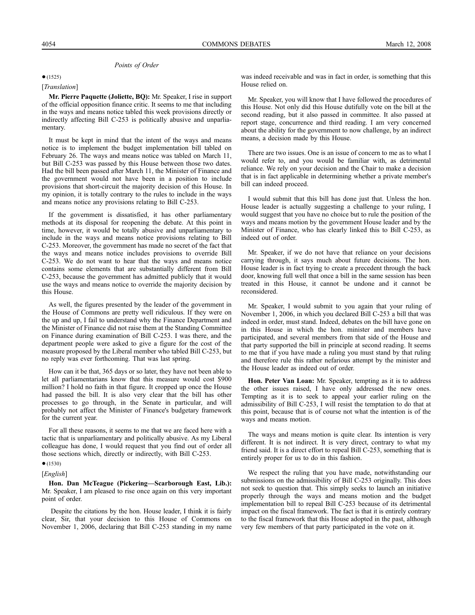#### *Points of Order*

#### $•(1525)$

# [*Translation*]

**Mr. Pierre Paquette (Joliette, BQ):** Mr. Speaker, I rise in support of the official opposition finance critic. It seems to me that including in the ways and means notice tabled this week provisions directly or indirectly affecting Bill C-253 is politically abusive and unparliamentary.

It must be kept in mind that the intent of the ways and means notice is to implement the budget implementation bill tabled on February 26. The ways and means notice was tabled on March 11, but Bill C-253 was passed by this House between those two dates. Had the bill been passed after March 11, the Minister of Finance and the government would not have been in a position to include provisions that short-circuit the majority decision of this House. In my opinion, it is totally contrary to the rules to include in the ways and means notice any provisions relating to Bill C-253.

If the government is dissatisfied, it has other parliamentary methods at its disposal for reopening the debate. At this point in time, however, it would be totally abusive and unparliamentary to include in the ways and means notice provisions relating to Bill C-253. Moreover, the government has made no secret of the fact that the ways and means notice includes provisions to override Bill C-253. We do not want to hear that the ways and means notice contains some elements that are substantially different from Bill C-253, because the government has admitted publicly that it would use the ways and means notice to override the majority decision by this House.

As well, the figures presented by the leader of the government in the House of Commons are pretty well ridiculous. If they were on the up and up, I fail to understand why the Finance Department and the Minister of Finance did not raise them at the Standing Committee on Finance during examination of Bill C-253. I was there, and the department people were asked to give a figure for the cost of the measure proposed by the Liberal member who tabled Bill C-253, but no reply was ever forthcoming. That was last spring.

How can it be that, 365 days or so later, they have not been able to let all parliamentarians know that this measure would cost \$900 million? I hold no faith in that figure. It cropped up once the House had passed the bill. It is also very clear that the bill has other processes to go through, in the Senate in particular, and will probably not affect the Minister of Finance's budgetary framework for the current year.

For all these reasons, it seems to me that we are faced here with a tactic that is unparliamentary and politically abusive. As my Liberal colleague has done, I would request that you find out of order all those sections which, directly or indirectly, with Bill C-253.

### ●(1530)

### [*English*]

**Hon. Dan McTeague (Pickering—Scarborough East, Lib.):** Mr. Speaker, I am pleased to rise once again on this very important point of order.

Despite the citations by the hon. House leader, I think it is fairly clear, Sir, that your decision to this House of Commons on November 1, 2006, declaring that Bill C-253 standing in my name

was indeed receivable and was in fact in order, is something that this House relied on.

Mr. Speaker, you will know that I have followed the procedures of this House. Not only did this House dutifully vote on the bill at the second reading, but it also passed in committee. It also passed at report stage, concurrence and third reading. I am very concerned about the ability for the government to now challenge, by an indirect means, a decision made by this House.

There are two issues. One is an issue of concern to me as to what I would refer to, and you would be familiar with, as detrimental reliance. We rely on your decision and the Chair to make a decision that is in fact applicable in determining whether a private member's bill can indeed proceed.

I would submit that this bill has done just that. Unless the hon. House leader is actually suggesting a challenge to your ruling, I would suggest that you have no choice but to rule the position of the ways and means motion by the government House leader and by the Minister of Finance, who has clearly linked this to Bill C-253, as indeed out of order.

Mr. Speaker, if we do not have that reliance on your decisions carrying through, it says much about future decisions. The hon. House leader is in fact trying to create a precedent through the back door, knowing full well that once a bill in the same session has been treated in this House, it cannot be undone and it cannot be reconsidered.

Mr. Speaker, I would submit to you again that your ruling of November 1, 2006, in which you declared Bill C-253 a bill that was indeed in order, must stand. Indeed, debates on the bill have gone on in this House in which the hon. minister and members have participated, and several members from that side of the House and that party supported the bill in principle at second reading. It seems to me that if you have made a ruling you must stand by that ruling and therefore rule this rather nefarious attempt by the minister and the House leader as indeed out of order.

**Hon. Peter Van Loan:** Mr. Speaker, tempting as it is to address the other issues raised, I have only addressed the new ones. Tempting as it is to seek to appeal your earlier ruling on the admissibility of Bill C-253, I will resist the temptation to do that at this point, because that is of course not what the intention is of the ways and means motion.

The ways and means motion is quite clear. Its intention is very different. It is not indirect. It is very direct, contrary to what my friend said. It is a direct effort to repeal Bill C-253, something that is entirely proper for us to do in this fashion.

We respect the ruling that you have made, notwithstanding our submissions on the admissibility of Bill C-253 originally. This does not seek to question that. This simply seeks to launch an initiative properly through the ways and means motion and the budget implementation bill to repeal Bill C-253 because of its detrimental impact on the fiscal framework. The fact is that it is entirely contrary to the fiscal framework that this House adopted in the past, although very few members of that party participated in the vote on it.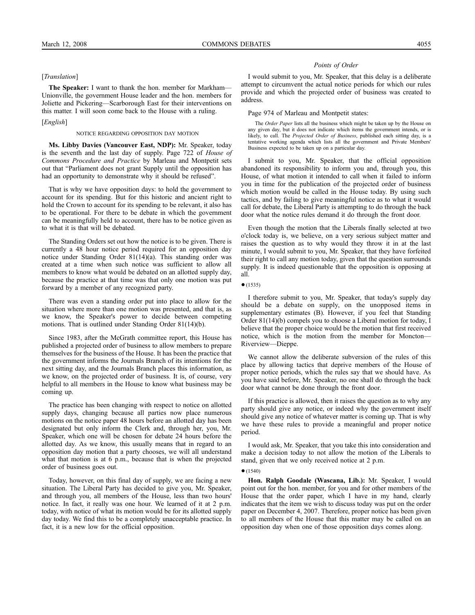#### [*Translation*]

**The Speaker:** I want to thank the hon. member for Markham— Unionville, the government House leader and the hon. members for Joliette and Pickering—Scarborough East for their interventions on this matter. I will soon come back to the House with a ruling.

#### [*English*]

#### NOTICE REGARDING OPPOSITION DAY MOTION

**Ms. Libby Davies (Vancouver East, NDP):** Mr. Speaker, today is the seventh and the last day of supply. Page 722 of *House of Commons Procedure and Practice* by Marleau and Montpetit sets out that "Parliament does not grant Supply until the opposition has had an opportunity to demonstrate why it should be refused".

That is why we have opposition days: to hold the government to account for its spending. But for this historic and ancient right to hold the Crown to account for its spending to be relevant, it also has to be operational. For there to be debate in which the government can be meaningfully held to account, there has to be notice given as to what it is that will be debated.

The Standing Orders set out how the notice is to be given. There is currently a 48 hour notice period required for an opposition day notice under Standing Order 81(14)(a). This standing order was created at a time when such notice was sufficient to allow all members to know what would be debated on an allotted supply day, because the practice at that time was that only one motion was put forward by a member of any recognized party.

There was even a standing order put into place to allow for the situation where more than one motion was presented, and that is, as we know, the Speaker's power to decide between competing motions. That is outlined under Standing Order 81(14)(b).

Since 1983, after the McGrath committee report, this House has published a projected order of business to allow members to prepare themselves for the business of the House. It has been the practice that the government informs the Journals Branch of its intentions for the next sitting day, and the Journals Branch places this information, as we know, on the projected order of business. It is, of course, very helpful to all members in the House to know what business may be coming up.

The practice has been changing with respect to notice on allotted supply days, changing because all parties now place numerous motions on the notice paper 48 hours before an allotted day has been designated but only inform the Clerk and, through her, you, Mr. Speaker, which one will be chosen for debate 24 hours before the allotted day. As we know, this usually means that in regard to an opposition day motion that a party chooses, we will all understand what that motion is at 6 p.m., because that is when the projected order of business goes out.

Today, however, on this final day of supply, we are facing a new situation. The Liberal Party has decided to give you, Mr. Speaker, and through you, all members of the House, less than two hours' notice. In fact, it really was one hour. We learned of it at 2 p.m. today, with notice of what its motion would be for its allotted supply day today. We find this to be a completely unacceptable practice. In fact, it is a new low for the official opposition.

### *Points of Order*

I would submit to you, Mr. Speaker, that this delay is a deliberate attempt to circumvent the actual notice periods for which our rules provide and which the projected order of business was created to address.

#### Page 974 of Marleau and Montpetit states:

The *Order Paper* lists all the business which might be taken up by the House on any given day, but it does not indicate which items the government intends, or is likely, to call. The *Projected Order of Business*, published each sitting day, is a tentative working agenda which lists all the government and Private Members' Business expected to be taken up on a particular day.

I submit to you, Mr. Speaker, that the official opposition abandoned its responsibility to inform you and, through you, this House, of what motion it intended to call when it failed to inform you in time for the publication of the projected order of business which motion would be called in the House today. By using such tactics, and by failing to give meaningful notice as to what it would call for debate, the Liberal Party is attempting to do through the back door what the notice rules demand it do through the front door.

Even though the motion that the Liberals finally selected at two o'clock today is, we believe, on a very serious subject matter and raises the question as to why would they throw it in at the last minute, I would submit to you, Mr. Speaker, that they have forfeited their right to call any motion today, given that the question surrounds supply. It is indeed questionable that the opposition is opposing at all.

 $•(1535)$ 

I therefore submit to you, Mr. Speaker, that today's supply day should be a debate on supply, on the unopposed items in supplementary estimates (B). However, if you feel that Standing Order 81(14)(b) compels you to choose a Liberal motion for today, I believe that the proper choice would be the motion that first received notice, which is the motion from the member for Moncton— Riverview—Dieppe.

We cannot allow the deliberate subversion of the rules of this place by allowing tactics that deprive members of the House of proper notice periods, which the rules say that we should have. As you have said before, Mr. Speaker, no one shall do through the back door what cannot be done through the front door.

If this practice is allowed, then it raises the question as to why any party should give any notice, or indeed why the government itself should give any notice of whatever matter is coming up. That is why we have these rules to provide a meaningful and proper notice period.

I would ask, Mr. Speaker, that you take this into consideration and make a decision today to not allow the motion of the Liberals to stand, given that we only received notice at 2 p.m.

#### $•(1540)$

**Hon. Ralph Goodale (Wascana, Lib.):** Mr. Speaker, I would point out for the hon. member, for you and for other members of the House that the order paper, which I have in my hand, clearly indicates that the item we wish to discuss today was put on the order paper on December 4, 2007. Therefore, proper notice has been given to all members of the House that this matter may be called on an opposition day when one of those opposition days comes along.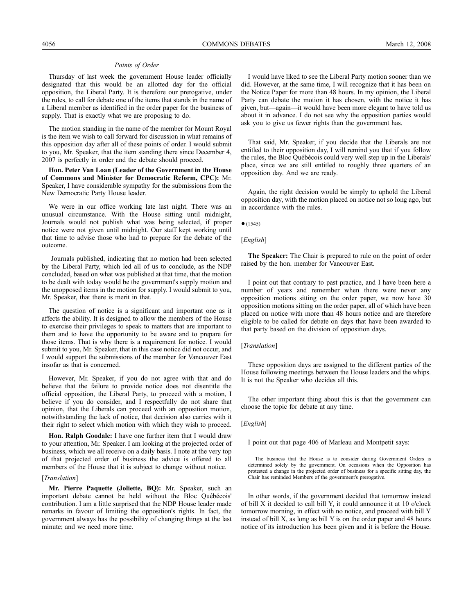#### *Points of Order*

Thursday of last week the government House leader officially designated that this would be an allotted day for the official opposition, the Liberal Party. It is therefore our prerogative, under the rules, to call for debate one of the items that stands in the name of a Liberal member as identified in the order paper for the business of supply. That is exactly what we are proposing to do.

The motion standing in the name of the member for Mount Royal is the item we wish to call forward for discussion in what remains of this opposition day after all of these points of order. I would submit to you, Mr. Speaker, that the item standing there since December 4, 2007 is perfectly in order and the debate should proceed.

**Hon. Peter Van Loan (Leader of the Government in the House of Commons and Minister for Democratic Reform, CPC):** Mr. Speaker, I have considerable sympathy for the submissions from the New Democratic Party House leader.

We were in our office working late last night. There was an unusual circumstance. With the House sitting until midnight, Journals would not publish what was being selected, if proper notice were not given until midnight. Our staff kept working until that time to advise those who had to prepare for the debate of the outcome.

Journals published, indicating that no motion had been selected by the Liberal Party, which led all of us to conclude, as the NDP concluded, based on what was published at that time, that the motion to be dealt with today would be the government's supply motion and the unopposed items in the motion for supply. I would submit to you, Mr. Speaker, that there is merit in that.

The question of notice is a significant and important one as it affects the ability. It is designed to allow the members of the House to exercise their privileges to speak to matters that are important to them and to have the opportunity to be aware and to prepare for those items. That is why there is a requirement for notice. I would submit to you, Mr. Speaker, that in this case notice did not occur, and I would support the submissions of the member for Vancouver East insofar as that is concerned.

However, Mr. Speaker, if you do not agree with that and do believe that the failure to provide notice does not disentitle the official opposition, the Liberal Party, to proceed with a motion, I believe if you do consider, and I respectfully do not share that opinion, that the Liberals can proceed with an opposition motion, notwithstanding the lack of notice, that decision also carries with it their right to select which motion with which they wish to proceed.

**Hon. Ralph Goodale:** I have one further item that I would draw to your attention, Mr. Speaker. I am looking at the projected order of business, which we all receive on a daily basis. I note at the very top of that projected order of business the advice is offered to all members of the House that it is subject to change without notice.

#### [*Translation*]

**Mr. Pierre Paquette (Joliette, BQ):** Mr. Speaker, such an important debate cannot be held without the Bloc Québécois' contribution. I am a little surprised that the NDP House leader made remarks in favour of limiting the opposition's rights. In fact, the government always has the possibility of changing things at the last minute; and we need more time.

I would have liked to see the Liberal Party motion sooner than we did. However, at the same time, I will recognize that it has been on the Notice Paper for more than 48 hours. In my opinion, the Liberal Party can debate the motion it has chosen, with the notice it has given, but—again—it would have been more elegant to have told us about it in advance. I do not see why the opposition parties would ask you to give us fewer rights than the government has.

That said, Mr. Speaker, if you decide that the Liberals are not entitled to their opposition day, I will remind you that if you follow the rules, the Bloc Québécois could very well step up in the Liberals' place, since we are still entitled to roughly three quarters of an opposition day. And we are ready.

Again, the right decision would be simply to uphold the Liberal opposition day, with the motion placed on notice not so long ago, but in accordance with the rules.

 $•(1545)$ 

#### [*English*]

**The Speaker:** The Chair is prepared to rule on the point of order raised by the hon. member for Vancouver East.

I point out that contrary to past practice, and I have been here a number of years and remember when there were never any opposition motions sitting on the order paper, we now have 30 opposition motions sitting on the order paper, all of which have been placed on notice with more than 48 hours notice and are therefore eligible to be called for debate on days that have been awarded to that party based on the division of opposition days.

#### [*Translation*]

These opposition days are assigned to the different parties of the House following meetings between the House leaders and the whips. It is not the Speaker who decides all this.

The other important thing about this is that the government can choose the topic for debate at any time.

#### [*English*]

I point out that page 406 of Marleau and Montpetit says:

The business that the House is to consider during Government Orders is determined solely by the government. On occasions when the Opposition has protested a change in the projected order of business for a specific sitting day, the Chair has reminded Members of the government's prerogative.

In other words, if the government decided that tomorrow instead of bill X it decided to call bill Y, it could announce it at 10 o'clock tomorrow morning, in effect with no notice, and proceed with bill Y instead of bill X, as long as bill Y is on the order paper and 48 hours notice of its introduction has been given and it is before the House.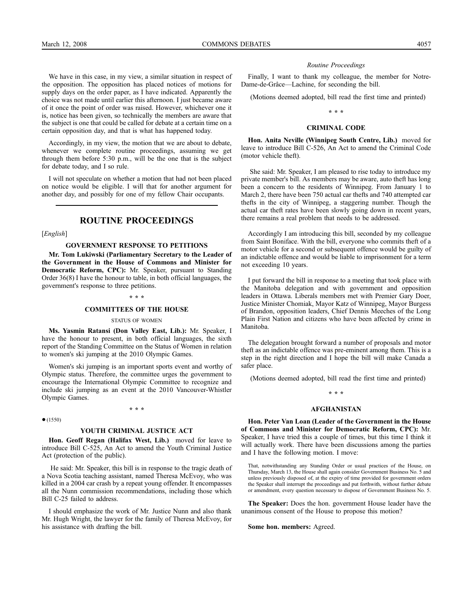We have in this case, in my view, a similar situation in respect of the opposition. The opposition has placed notices of motions for supply days on the order paper, as I have indicated. Apparently the choice was not made until earlier this afternoon. I just became aware of it once the point of order was raised. However, whichever one it is, notice has been given, so technically the members are aware that the subject is one that could be called for debate at a certain time on a certain opposition day, and that is what has happened today.

Accordingly, in my view, the motion that we are about to debate, whenever we complete routine proceedings, assuming we get through them before 5:30 p.m., will be the one that is the subject for debate today, and I so rule.

I will not speculate on whether a motion that had not been placed on notice would be eligible. I will that for another argument for another day, and possibly for one of my fellow Chair occupants.

# **ROUTINE PROCEEDINGS**

[*English*]

#### **GOVERNMENT RESPONSE TO PETITIONS**

**Mr. Tom Lukiwski (Parliamentary Secretary to the Leader of the Government in the House of Commons and Minister for Democratic Reform, CPC):** Mr. Speaker, pursuant to Standing Order 36(8) I have the honour to table, in both official languages, the government's response to three petitions.

#### **\* \* \***

#### **COMMITTEES OF THE HOUSE**

#### STATUS OF WOMEN

**Ms. Yasmin Ratansi (Don Valley East, Lib.):** Mr. Speaker, I have the honour to present, in both official languages, the sixth report of the Standing Committee on the Status of Women in relation to women's ski jumping at the 2010 Olympic Games.

Women's ski jumping is an important sports event and worthy of Olympic status. Therefore, the committee urges the government to encourage the International Olympic Committee to recognize and include ski jumping as an event at the 2010 Vancouver-Whistler Olympic Games.

**\* \* \***

●(1550)

#### **YOUTH CRIMINAL JUSTICE ACT**

**Hon. Geoff Regan (Halifax West, Lib.)** moved for leave to introduce Bill C-525, An Act to amend the Youth Criminal Justice Act (protection of the public).

He said: Mr. Speaker, this bill is in response to the tragic death of a Nova Scotia teaching assistant, named Theresa McEvoy, who was killed in a 2004 car crash by a repeat young offender. It encompasses all the Nunn commission recommendations, including those which Bill C-25 failed to address.

I should emphasize the work of Mr. Justice Nunn and also thank Mr. Hugh Wright, the lawyer for the family of Theresa McEvoy, for his assistance with drafting the bill.

#### *Routine Proceedings*

Finally, I want to thank my colleague, the member for Notre-Dame-de-Grâce—Lachine, for seconding the bill.

(Motions deemed adopted, bill read the first time and printed)

# **\* \* \***

# **CRIMINAL CODE**

**Hon. Anita Neville (Winnipeg South Centre, Lib.)** moved for leave to introduce Bill C-526, An Act to amend the Criminal Code (motor vehicle theft).

She said: Mr. Speaker, I am pleased to rise today to introduce my private member's bill. As members may be aware, auto theft has long been a concern to the residents of Winnipeg. From January 1 to March 2, there have been 750 actual car thefts and 740 attempted car thefts in the city of Winnipeg, a staggering number. Though the actual car theft rates have been slowly going down in recent years, there remains a real problem that needs to be addressed.

Accordingly I am introducing this bill, seconded by my colleague from Saint Boniface. With the bill, everyone who commits theft of a motor vehicle for a second or subsequent offence would be guilty of an indictable offence and would be liable to imprisonment for a term not exceeding 10 years.

I put forward the bill in response to a meeting that took place with the Manitoba delegation and with government and opposition leaders in Ottawa. Liberals members met with Premier Gary Doer, Justice Minister Chomiak, Mayor Katz of Winnipeg, Mayor Burgess of Brandon, opposition leaders, Chief Dennis Meeches of the Long Plain First Nation and citizens who have been affected by crime in Manitoba.

The delegation brought forward a number of proposals and motor theft as an indictable offence was pre-eminent among them. This is a step in the right direction and I hope the bill will make Canada a safer place.

(Motions deemed adopted, bill read the first time and printed)

# **\* \* \***

#### **AFGHANISTAN**

**Hon. Peter Van Loan (Leader of the Government in the House of Commons and Minister for Democratic Reform, CPC):** Mr. Speaker, I have tried this a couple of times, but this time I think it will actually work. There have been discussions among the parties and I have the following motion. I move:

That, notwithstanding any Standing Order or usual practices of the House, on Thursday, March 13, the House shall again consider Government Business No. 5 and unless previously disposed of, at the expiry of time provided for government orders the Speaker shall interrupt the proceedings and put forthwith, without further debate or amendment, every question necessary to dispose of Government Business No. 5.

**The Speaker:** Does the hon. government House leader have the unanimous consent of the House to propose this motion?

**Some hon. members:** Agreed.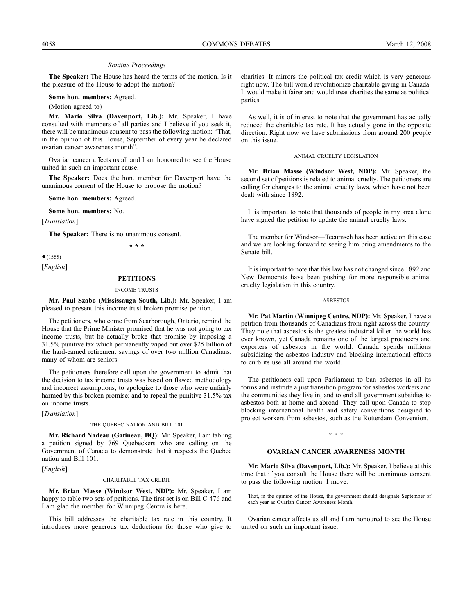#### *Routine Proceedings*

**The Speaker:** The House has heard the terms of the motion. Is it the pleasure of the House to adopt the motion?

**Some hon. members:** Agreed.

(Motion agreed to)

**Mr. Mario Silva (Davenport, Lib.):** Mr. Speaker, I have consulted with members of all parties and I believe if you seek it, there will be unanimous consent to pass the following motion: "That, in the opinion of this House, September of every year be declared ovarian cancer awareness month".

Ovarian cancer affects us all and I am honoured to see the House united in such an important cause.

**The Speaker:** Does the hon. member for Davenport have the unanimous consent of the House to propose the motion?

**Some hon. members:** Agreed.

**Some hon. members:** No.

[*Translation*]

**The Speaker:** There is no unanimous consent.

**\* \* \***

 $•(1555)$ 

#### [*English*]

#### **PETITIONS**

#### INCOME TRUSTS

**Mr. Paul Szabo (Mississauga South, Lib.):** Mr. Speaker, I am pleased to present this income trust broken promise petition.

The petitioners, who come from Scarborough, Ontario, remind the House that the Prime Minister promised that he was not going to tax income trusts, but he actually broke that promise by imposing a 31.5% punitive tax which permanently wiped out over \$25 billion of the hard-earned retirement savings of over two million Canadians, many of whom are seniors.

The petitioners therefore call upon the government to admit that the decision to tax income trusts was based on flawed methodology and incorrect assumptions; to apologize to those who were unfairly harmed by this broken promise; and to repeal the punitive 31.5% tax on income trusts.

[*Translation*]

#### THE QUEBEC NATION AND BILL 101

**Mr. Richard Nadeau (Gatineau, BQ):** Mr. Speaker, I am tabling a petition signed by 769 Quebeckers who are calling on the Government of Canada to demonstrate that it respects the Quebec nation and Bill 101.

[*English*]

#### CHARITABLE TAX CREDIT

**Mr. Brian Masse (Windsor West, NDP):** Mr. Speaker, I am happy to table two sets of petitions. The first set is on Bill C-476 and I am glad the member for Winnipeg Centre is here.

This bill addresses the charitable tax rate in this country. It introduces more generous tax deductions for those who give to charities. It mirrors the political tax credit which is very generous right now. The bill would revolutionize charitable giving in Canada. It would make it fairer and would treat charities the same as political parties.

As well, it is of interest to note that the government has actually reduced the charitable tax rate. It has actually gone in the opposite direction. Right now we have submissions from around 200 people on this issue.

#### ANIMAL CRUELTY LEGISLATION

**Mr. Brian Masse (Windsor West, NDP):** Mr. Speaker, the second set of petitions is related to animal cruelty. The petitioners are calling for changes to the animal cruelty laws, which have not been dealt with since 1892.

It is important to note that thousands of people in my area alone have signed the petition to update the animal cruelty laws.

The member for Windsor—Tecumseh has been active on this case and we are looking forward to seeing him bring amendments to the Senate bill.

It is important to note that this law has not changed since 1892 and New Democrats have been pushing for more responsible animal cruelty legislation in this country.

#### ASBESTOS

**Mr. Pat Martin (Winnipeg Centre, NDP):** Mr. Speaker, I have a petition from thousands of Canadians from right across the country. They note that asbestos is the greatest industrial killer the world has ever known, yet Canada remains one of the largest producers and exporters of asbestos in the world. Canada spends millions subsidizing the asbestos industry and blocking international efforts to curb its use all around the world.

The petitioners call upon Parliament to ban asbestos in all its forms and institute a just transition program for asbestos workers and the communities they live in, and to end all government subsidies to asbestos both at home and abroad. They call upon Canada to stop blocking international health and safety conventions designed to protect workers from asbestos, such as the Rotterdam Convention.

### **\* \* \***

#### **OVARIAN CANCER AWARENESS MONTH**

**Mr. Mario Silva (Davenport, Lib.):** Mr. Speaker, I believe at this time that if you consult the House there will be unanimous consent to pass the following motion: I move:

That, in the opinion of the House, the government should designate September of each year as Ovarian Cancer Awareness Month.

Ovarian cancer affects us all and I am honoured to see the House united on such an important issue.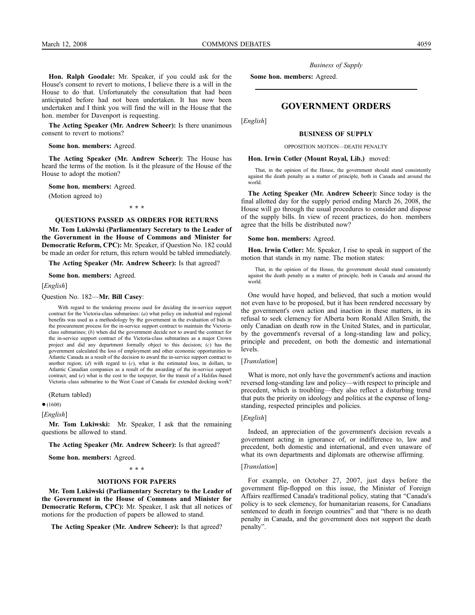**Hon. Ralph Goodale:** Mr. Speaker, if you could ask for the House's consent to revert to motions, I believe there is a will in the House to do that. Unfortunately the consultation that had been anticipated before had not been undertaken. It has now been undertaken and I think you will find the will in the House that the hon. member for Davenport is requesting.

**The Acting Speaker (Mr. Andrew Scheer):** Is there unanimous consent to revert to motions?

**Some hon. members:** Agreed.

**The Acting Speaker (Mr. Andrew Scheer):** The House has heard the terms of the motion. Is it the pleasure of the House of the House to adopt the motion?

**Some hon. members:** Agreed.

(Motion agreed to)

**\* \* \***

#### **QUESTIONS PASSED AS ORDERS FOR RETURNS**

**Mr. Tom Lukiwski (Parliamentary Secretary to the Leader of the Government in the House of Commons and Minister for Democratic Reform, CPC):** Mr. Speaker, if Question No. 182 could be made an order for return, this return would be tabled immediately.

**The Acting Speaker (Mr. Andrew Scheer):** Is that agreed?

**Some hon. members:** Agreed.

[*English*]

Question No. 182—**Mr. Bill Casey**:

With regard to the tendering process used for deciding the in-service support contract for the Victoria-class submarines: (*a*) what policy on industrial and regional benefits was used as a methodology by the government in the evaluation of bids in the procurement process for the in-service support contract to maintain the Victoriaclass submarines; (*b*) when did the government decide not to award the contract for the in-service support contract of the Victoria-class submarines as a major Crown project and did any department formally object to this decision; (*c*) has the government calculated the loss of employment and other economic opportunities to Atlantic Canada as a result of the decision to award the in-service support contract to another region; (*d*) with regard to (*c*), what is the estimated loss, in dollars, to Atlantic Canadian companies as a result of the awarding of the in-service support contract; and (*e*) what is the cost to the taxpayer, for the transit of a Halifax-based Victoria–class submarine to the West Coast of Canada for extended docking work?

(Return tabled)

●(1600)

[*English*]

**Mr. Tom Lukiwski:** Mr. Speaker, I ask that the remaining questions be allowed to stand.

**The Acting Speaker (Mr. Andrew Scheer):** Is that agreed?

**Some hon. members:** Agreed.

**\* \* \***

#### **MOTIONS FOR PAPERS**

**Mr. Tom Lukiwski (Parliamentary Secretary to the Leader of the Government in the House of Commons and Minister for Democratic Reform, CPC):** Mr. Speaker, I ask that all notices of motions for the production of papers be allowed to stand.

**The Acting Speaker (Mr. Andrew Scheer):** Is that agreed?

*Business of Supply*

**Some hon. members:** Agreed.

# **GOVERNMENT ORDERS**

[*English*]

#### **BUSINESS OF SUPPLY**

OPPOSITION MOTION—DEATH PENALTY

#### **Hon. Irwin Cotler (Mount Royal, Lib.)** moved:

That, in the opinion of the House, the government should stand consistently against the death penalty as a matter of principle, both in Canada and around the world.

**The Acting Speaker (Mr. Andrew Scheer):** Since today is the final allotted day for the supply period ending March 26, 2008, the House will go through the usual procedures to consider and dispose of the supply bills. In view of recent practices, do hon. members agree that the bills be distributed now?

#### **Some hon. members:** Agreed.

**Hon. Irwin Cotler:** Mr. Speaker, I rise to speak in support of the motion that stands in my name. The motion states:

That, in the opinion of the House, the government should stand consistently against the death penalty as a matter of principle, both in Canada and around the world.

One would have hoped, and believed, that such a motion would not even have to be proposed, but it has been rendered necessary by the government's own action and inaction in these matters, in its refusal to seek clemency for Alberta born Ronald Allen Smith, the only Canadian on death row in the United States, and in particular, by the government's reversal of a long-standing law and policy, principle and precedent, on both the domestic and international levels.

## [*Translation*]

What is more, not only have the government's actions and inaction reversed long-standing law and policy—with respect to principle and precedent, which is troubling—they also reflect a disturbing trend that puts the priority on ideology and politics at the expense of longstanding, respected principles and policies.

#### [*English*]

Indeed, an appreciation of the government's decision reveals a government acting in ignorance of, or indifference to, law and precedent, both domestic and international, and even unaware of what its own departments and diplomats are otherwise affirming.

#### [*Translation*]

For example, on October 27, 2007, just days before the government flip-flopped on this issue, the Minister of Foreign Affairs reaffirmed Canada's traditional policy, stating that "Canada's policy is to seek clemency, for humanitarian reasons, for Canadians sentenced to death in foreign countries" and that "there is no death penalty in Canada, and the government does not support the death penalty".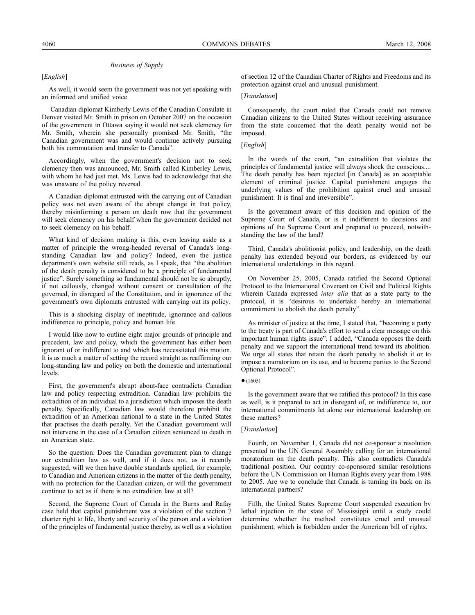[*English*]

As well, it would seem the government was not yet speaking with an informed and unified voice.

Canadian diplomat Kimberly Lewis of the Canadian Consulate in Denver visited Mr. Smith in prison on October 2007 on the occasion of the government in Ottawa saying it would not seek clemency for Mr. Smith, wherein she personally promised Mr. Smith, "the Canadian government was and would continue actively pursuing both his commutation and transfer to Canada".

Accordingly, when the government's decision not to seek clemency then was announced, Mr. Smith called Kimberley Lewis, with whom he had just met. Ms. Lewis had to acknowledge that she was unaware of the policy reversal.

A Canadian diplomat entrusted with the carrying out of Canadian policy was not even aware of the abrupt change in that policy, thereby misinforming a person on death row that the government will seek clemency on his behalf when the government decided not to seek clemency on his behalf.

What kind of decision making is this, even leaving aside as a matter of principle the wrong-headed reversal of Canada's longstanding Canadian law and policy? Indeed, even the justice department's own website still reads, as I speak, that "the abolition of the death penalty is considered to be a principle of fundamental justice". Surely something so fundamental should not be so abruptly, if not callously, changed without consent or consultation of the governed, in disregard of the Constitution, and in ignorance of the government's own diplomats entrusted with carrying out its policy.

This is a shocking display of ineptitude, ignorance and callous indifference to principle, policy and human life.

I would like now to outline eight major grounds of principle and precedent, law and policy, which the government has either been ignorant of or indifferent to and which has necessitated this motion. It is as much a matter of setting the record straight as reaffirming our long-standing law and policy on both the domestic and international levels.

First, the government's abrupt about-face contradicts Canadian law and policy respecting extradition. Canadian law prohibits the extradition of an individual to a jurisdiction which imposes the death penalty. Specifically, Canadian law would therefore prohibit the extradition of an American national to a state in the United States that practises the death penalty. Yet the Canadian government will not intervene in the case of a Canadian citizen sentenced to death in an American state.

So the question: Does the Canadian government plan to change our extradition law as well, and if it does not, as it recently suggested, will we then have double standards applied, for example, to Canadian and American citizens in the matter of the death penalty, with no protection for the Canadian citizen, or will the government continue to act as if there is no extradition law at all?

Second, the Supreme Court of Canada in the Burns and Rafay case held that capital punishment was a violation of the section 7 charter right to life, liberty and security of the person and a violation of the principles of fundamental justice thereby, as well as a violation

of section 12 of the Canadian Charter of Rights and Freedoms and its protection against cruel and unusual punishment.

### [*Translation*]

Consequently, the court ruled that Canada could not remove Canadian citizens to the United States without receiving assurance from the state concerned that the death penalty would not be imposed.

#### [*English*]

In the words of the court, "an extradition that violates the principles of fundamental justice will always shock the conscious.... The death penalty has been rejected [in Canada] as an acceptable element of criminal justice. Capital punishment engages the underlying values of the prohibition against cruel and unusual punishment. It is final and irreversible".

Is the government aware of this decision and opinion of the Supreme Court of Canada, or is it indifferent to decisions and opinions of the Supreme Court and prepared to proceed, notwithstanding the law of the land?

Third, Canada's abolitionist policy, and leadership, on the death penalty has extended beyond our borders, as evidenced by our international undertakings in this regard.

On November 25, 2005, Canada ratified the Second Optional Protocol to the International Covenant on Civil and Political Rights wherein Canada expressed *inter alia* that as a state party to the protocol, it is "desirous to undertake hereby an international commitment to abolish the death penalty".

As minister of justice at the time, I stated that, "becoming a party to the treaty is part of Canada's effort to send a clear message on this important human rights issue". I added, "Canada opposes the death penalty and we support the international trend toward its abolition. We urge all states that retain the death penalty to abolish it or to impose a moratorium on its use, and to become parties to the Second Optional Protocol".

#### $•(1605)$

Is the government aware that we ratified this protocol? In this case as well, is it prepared to act in disregard of, or indifference to, our international commitments let alone our international leadership on these matters?

#### [*Translation*]

Fourth, on November 1, Canada did not co-sponsor a resolution presented to the UN General Assembly calling for an international moratorium on the death penalty. This also contradicts Canada's traditional position. Our country co-sponsored similar resolutions before the UN Commission on Human Rights every year from 1988 to 2005. Are we to conclude that Canada is turning its back on its international partners?

Fifth, the United States Supreme Court suspended execution by lethal injection in the state of Mississippi until a study could determine whether the method constitutes cruel and unusual punishment, which is forbidden under the American bill of rights.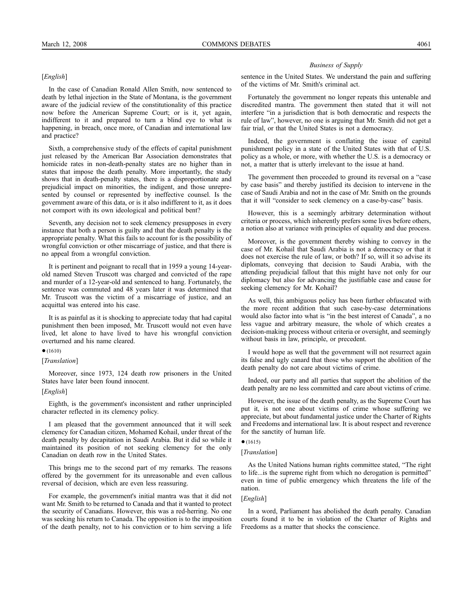# [*English*]

In the case of Canadian Ronald Allen Smith, now sentenced to death by lethal injection in the State of Montana, is the government aware of the judicial review of the constitutionality of this practice now before the American Supreme Court; or is it, yet again, indifferent to it and prepared to turn a blind eye to what is happening, in breach, once more, of Canadian and international law and practice?

Sixth, a comprehensive study of the effects of capital punishment just released by the American Bar Association demonstrates that homicide rates in non-death-penalty states are no higher than in states that impose the death penalty. More importantly, the study shows that in death-penalty states, there is a disproportionate and prejudicial impact on minorities, the indigent, and those unrepresented by counsel or represented by ineffective counsel. Is the government aware of this data, or is it also indifferent to it, as it does not comport with its own ideological and political bent?

Seventh, any decision not to seek clemency presupposes in every instance that both a person is guilty and that the death penalty is the appropriate penalty. What this fails to account for is the possibility of wrongful conviction or other miscarriage of justice, and that there is no appeal from a wrongful conviction.

It is pertinent and poignant to recall that in 1959 a young 14-yearold named Steven Truscott was charged and convicted of the rape and murder of a 12-year-old and sentenced to hang. Fortunately, the sentence was commuted and 48 years later it was determined that Mr. Truscott was the victim of a miscarriage of justice, and an acquittal was entered into his case.

It is as painful as it is shocking to appreciate today that had capital punishment then been imposed, Mr. Truscott would not even have lived, let alone to have lived to have his wrongful conviction overturned and his name cleared.

#### $•(1610)$

#### [*Translation*]

Moreover, since 1973, 124 death row prisoners in the United States have later been found innocent.

#### [*English*]

Eighth, is the government's inconsistent and rather unprincipled character reflected in its clemency policy.

I am pleased that the government announced that it will seek clemency for Canadian citizen, Mohamed Kohail, under threat of the death penalty by decapitation in Saudi Arabia. But it did so while it maintained its position of not seeking clemency for the only Canadian on death row in the United States.

This brings me to the second part of my remarks. The reasons offered by the government for its unreasonable and even callous reversal of decision, which are even less reassuring.

For example, the government's initial mantra was that it did not want Mr. Smith to be returned to Canada and that it wanted to protect the security of Canadians. However, this was a red-herring. No one was seeking his return to Canada. The opposition is to the imposition of the death penalty, not to his conviction or to him serving a life

#### *Business of Supply*

sentence in the United States. We understand the pain and suffering of the victims of Mr. Smith's criminal act.

Fortunately the government no longer repeats this untenable and discredited mantra. The government then stated that it will not interfere "in a jurisdiction that is both democratic and respects the rule of law", however, no one is arguing that Mr. Smith did not get a fair trial, or that the United States is not a democracy.

Indeed, the government is conflating the issue of capital punishment policy in a state of the United States with that of U.S. policy as a whole, or more, with whether the U.S. is a democracy or not, a matter that is utterly irrelevant to the issue at hand.

The government then proceeded to ground its reversal on a "case by case basis" and thereby justified its decision to intervene in the case of Saudi Arabia and not in the case of Mr. Smith on the grounds that it will "consider to seek clemency on a case-by-case" basis.

However, this is a seemingly arbitrary determination without criteria or process, which inherently prefers some lives before others, a notion also at variance with principles of equality and due process.

Moreover, is the government thereby wishing to convey in the case of Mr. Kohail that Saudi Arabia is not a democracy or that it does not exercise the rule of law, or both? If so, will it so advise its diplomats, conveying that decision to Saudi Arabia, with the attending prejudicial fallout that this might have not only for our diplomacy but also for advancing the justifiable case and cause for seeking clemency for Mr. Kohail?

As well, this ambiguous policy has been further obfuscated with the more recent addition that such case-by-case determinations would also factor into what is "in the best interest of Canada", a no less vague and arbitrary measure, the whole of which creates a decision-making process without criteria or oversight, and seemingly without basis in law, principle, or precedent.

I would hope as well that the government will not resurrect again its false and ugly canard that those who support the abolition of the death penalty do not care about victims of crime.

Indeed, our party and all parties that support the abolition of the death penalty are no less committed and care about victims of crime.

However, the issue of the death penalty, as the Supreme Court has put it, is not one about victims of crime whose suffering we appreciate, but about fundamental justice under the Charter of Rights and Freedoms and international law. It is about respect and reverence for the sanctity of human life.

# $•(1615)$

# [*Translation*]

As the United Nations human rights committee stated, "The right to life...is the supreme right from which no derogation is permitted" even in time of public emergency which threatens the life of the nation.

#### [*English*]

In a word, Parliament has abolished the death penalty. Canadian courts found it to be in violation of the Charter of Rights and Freedoms as a matter that shocks the conscience.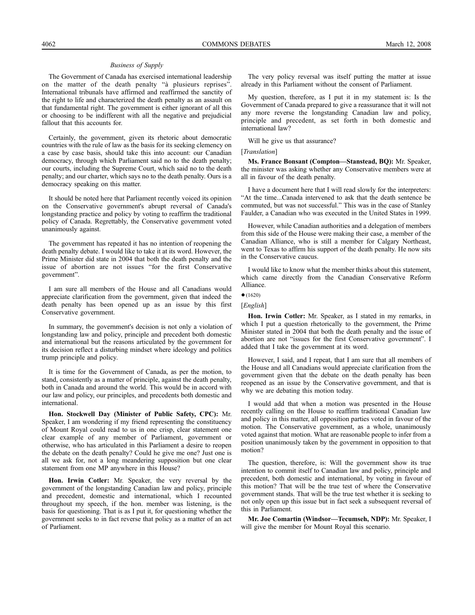The Government of Canada has exercised international leadership on the matter of the death penalty "à plusieurs reprises". International tribunals have affirmed and reaffirmed the sanctity of the right to life and characterized the death penalty as an assault on that fundamental right. The government is either ignorant of all this or choosing to be indifferent with all the negative and prejudicial fallout that this accounts for.

Certainly, the government, given its rhetoric about democratic countries with the rule of law as the basis for its seeking clemency on a case by case basis, should take this into account: our Canadian democracy, through which Parliament said no to the death penalty; our courts, including the Supreme Court, which said no to the death penalty; and our charter, which says no to the death penalty. Ours is a democracy speaking on this matter.

It should be noted here that Parliament recently voiced its opinion on the Conservative government's abrupt reversal of Canada's longstanding practice and policy by voting to reaffirm the traditional policy of Canada. Regrettably, the Conservative government voted unanimously against.

The government has repeated it has no intention of reopening the death penalty debate. I would like to take it at its word. However, the Prime Minister did state in 2004 that both the death penalty and the issue of abortion are not issues "for the first Conservative government".

I am sure all members of the House and all Canadians would appreciate clarification from the government, given that indeed the death penalty has been opened up as an issue by this first Conservative government.

In summary, the government's decision is not only a violation of longstanding law and policy, principle and precedent both domestic and international but the reasons articulated by the government for its decision reflect a disturbing mindset where ideology and politics trump principle and policy.

It is time for the Government of Canada, as per the motion, to stand, consistently as a matter of principle, against the death penalty, both in Canada and around the world. This would be in accord with our law and policy, our principles, and precedents both domestic and international.

**Hon. Stockwell Day (Minister of Public Safety, CPC):** Mr. Speaker, I am wondering if my friend representing the constituency of Mount Royal could read to us in one crisp, clear statement one clear example of any member of Parliament, government or otherwise, who has articulated in this Parliament a desire to reopen the debate on the death penalty? Could he give me one? Just one is all we ask for, not a long meandering supposition but one clear statement from one MP anywhere in this House?

**Hon. Irwin Cotler:** Mr. Speaker, the very reversal by the government of the longstanding Canadian law and policy, principle and precedent, domestic and international, which I recounted throughout my speech, if the hon. member was listening, is the basis for questioning. That is as I put it, for questioning whether the government seeks to in fact reverse that policy as a matter of an act of Parliament.

The very policy reversal was itself putting the matter at issue already in this Parliament without the consent of Parliament.

My question, therefore, as I put it in my statement is: Is the Government of Canada prepared to give a reassurance that it will not any more reverse the longstanding Canadian law and policy, principle and precedent, as set forth in both domestic and international law?

Will he give us that assurance?

[*Translation*]

**Ms. France Bonsant (Compton—Stanstead, BQ):** Mr. Speaker, the minister was asking whether any Conservative members were at all in favour of the death penalty.

I have a document here that I will read slowly for the interpreters: "At the time...Canada intervened to ask that the death sentence be commuted, but was not successful." This was in the case of Stanley Faulder, a Canadian who was executed in the United States in 1999.

However, while Canadian authorities and a delegation of members from this side of the House were making their case, a member of the Canadian Alliance, who is still a member for Calgary Northeast, went to Texas to affirm his support of the death penalty. He now sits in the Conservative caucus.

I would like to know what the member thinks about this statement, which came directly from the Canadian Conservative Reform Alliance.

**Hon. Irwin Cotler:** Mr. Speaker, as I stated in my remarks, in which I put a question rhetorically to the government, the Prime Minister stated in 2004 that both the death penalty and the issue of abortion are not "issues for the first Conservative government". I added that I take the government at its word.

However, I said, and I repeat, that I am sure that all members of the House and all Canadians would appreciate clarification from the government given that the debate on the death penalty has been reopened as an issue by the Conservative government, and that is why we are debating this motion today.

I would add that when a motion was presented in the House recently calling on the House to reaffirm traditional Canadian law and policy in this matter, all opposition parties voted in favour of the motion. The Conservative government, as a whole, unanimously voted against that motion. What are reasonable people to infer from a position unanimously taken by the government in opposition to that motion?

The question, therefore, is: Will the government show its true intention to commit itself to Canadian law and policy, principle and precedent, both domestic and international, by voting in favour of this motion? That will be the true test of where the Conservative government stands. That will be the true test whether it is seeking to not only open up this issue but in fact seek a subsequent reversal of this in Parliament.

**Mr. Joe Comartin (Windsor—Tecumseh, NDP):** Mr. Speaker, I will give the member for Mount Royal this scenario.

 $(1620)$ 

<sup>[</sup>*English*]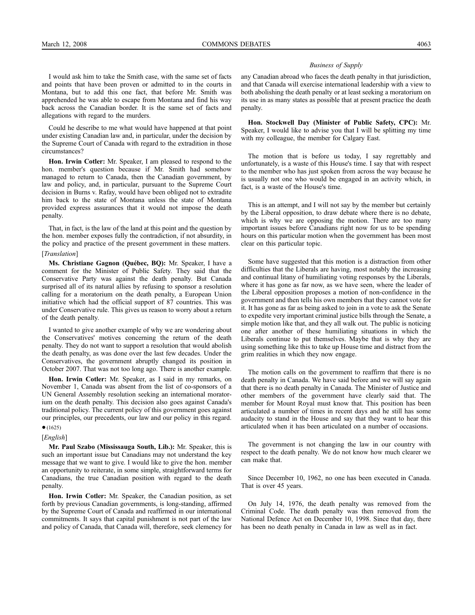I would ask him to take the Smith case, with the same set of facts and points that have been proven or admitted to in the courts in Montana, but to add this one fact, that before Mr. Smith was apprehended he was able to escape from Montana and find his way back across the Canadian border. It is the same set of facts and allegations with regard to the murders.

Could he describe to me what would have happened at that point under existing Canadian law and, in particular, under the decision by the Supreme Court of Canada with regard to the extradition in those circumstances?

**Hon. Irwin Cotler:** Mr. Speaker, I am pleased to respond to the hon. member's question because if Mr. Smith had somehow managed to return to Canada, then the Canadian government, by law and policy, and, in particular, pursuant to the Supreme Court decision in Burns v. Rafay, would have been obliged not to extradite him back to the state of Montana unless the state of Montana provided express assurances that it would not impose the death penalty.

That, in fact, is the law of the land at this point and the question by the hon. member exposes fully the contradiction, if not absurdity, in the policy and practice of the present government in these matters.

#### [*Translation*]

**Ms. Christiane Gagnon (Québec, BQ):** Mr. Speaker, I have a comment for the Minister of Public Safety. They said that the Conservative Party was against the death penalty. But Canada surprised all of its natural allies by refusing to sponsor a resolution calling for a moratorium on the death penalty, a European Union initiative which had the official support of 87 countries. This was under Conservative rule. This gives us reason to worry about a return of the death penalty.

I wanted to give another example of why we are wondering about the Conservatives' motives concerning the return of the death penalty. They do not want to support a resolution that would abolish the death penalty, as was done over the last few decades. Under the Conservatives, the government abruptly changed its position in October 2007. That was not too long ago. There is another example.

**Hon. Irwin Cotler:** Mr. Speaker, as I said in my remarks, on November 1, Canada was absent from the list of co-sponsors of a UN General Assembly resolution seeking an international moratorium on the death penalty. This decision also goes against Canada's traditional policy. The current policy of this government goes against our principles, our precedents, our law and our policy in this regard.

#### $•(1625)$

[*English*]

**Mr. Paul Szabo (Mississauga South, Lib.):** Mr. Speaker, this is such an important issue but Canadians may not understand the key message that we want to give. I would like to give the hon. member an opportunity to reiterate, in some simple, straightforward terms for Canadians, the true Canadian position with regard to the death penalty.

**Hon. Irwin Cotler:** Mr. Speaker, the Canadian position, as set forth by previous Canadian governments, is long-standing, affirmed by the Supreme Court of Canada and reaffirmed in our international commitments. It says that capital punishment is not part of the law and policy of Canada, that Canada will, therefore, seek clemency for

#### *Business of Supply*

any Canadian abroad who faces the death penalty in that jurisdiction, and that Canada will exercise international leadership with a view to both abolishing the death penalty or at least seeking a moratorium on its use in as many states as possible that at present practice the death penalty.

**Hon. Stockwell Day (Minister of Public Safety, CPC):** Mr. Speaker, I would like to advise you that I will be splitting my time with my colleague, the member for Calgary East.

The motion that is before us today, I say regrettably and unfortunately, is a waste of this House's time. I say that with respect to the member who has just spoken from across the way because he is usually not one who would be engaged in an activity which, in fact, is a waste of the House's time.

This is an attempt, and I will not say by the member but certainly by the Liberal opposition, to draw debate where there is no debate, which is why we are opposing the motion. There are too many important issues before Canadians right now for us to be spending hours on this particular motion when the government has been most clear on this particular topic.

Some have suggested that this motion is a distraction from other difficulties that the Liberals are having, most notably the increasing and continual litany of humiliating voting responses by the Liberals, where it has gone as far now, as we have seen, where the leader of the Liberal opposition proposes a motion of non-confidence in the government and then tells his own members that they cannot vote for it. It has gone as far as being asked to join in a vote to ask the Senate to expedite very important criminal justice bills through the Senate, a simple motion like that, and they all walk out. The public is noticing one after another of these humiliating situations in which the Liberals continue to put themselves. Maybe that is why they are using something like this to take up House time and distract from the grim realities in which they now engage.

The motion calls on the government to reaffirm that there is no death penalty in Canada. We have said before and we will say again that there is no death penalty in Canada. The Minister of Justice and other members of the government have clearly said that. The member for Mount Royal must know that. This position has been articulated a number of times in recent days and he still has some audacity to stand in the House and say that they want to hear this articulated when it has been articulated on a number of occasions.

The government is not changing the law in our country with respect to the death penalty. We do not know how much clearer we can make that.

Since December 10, 1962, no one has been executed in Canada. That is over 45 years.

On July 14, 1976, the death penalty was removed from the Criminal Code. The death penalty was then removed from the National Defence Act on December 10, 1998. Since that day, there has been no death penalty in Canada in law as well as in fact.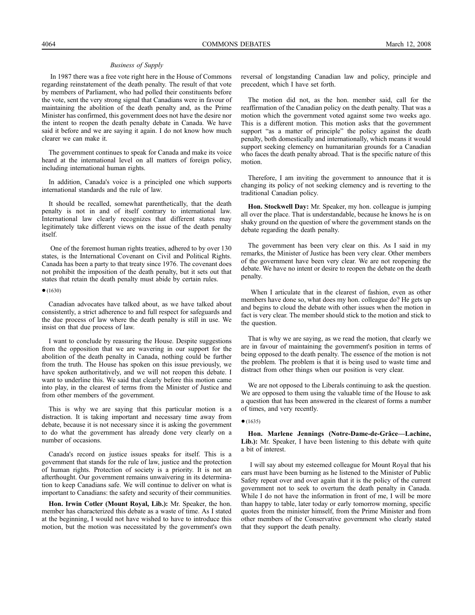In 1987 there was a free vote right here in the House of Commons regarding reinstatement of the death penalty. The result of that vote by members of Parliament, who had polled their constituents before the vote, sent the very strong signal that Canadians were in favour of maintaining the abolition of the death penalty and, as the Prime Minister has confirmed, this government does not have the desire nor the intent to reopen the death penalty debate in Canada. We have said it before and we are saying it again. I do not know how much clearer we can make it.

The government continues to speak for Canada and make its voice heard at the international level on all matters of foreign policy, including international human rights.

In addition, Canada's voice is a principled one which supports international standards and the rule of law.

It should be recalled, somewhat parenthetically, that the death penalty is not in and of itself contrary to international law. International law clearly recognizes that different states may legitimately take different views on the issue of the death penalty itself.

One of the foremost human rights treaties, adhered to by over 130 states, is the International Covenant on Civil and Political Rights. Canada has been a party to that treaty since 1976. The covenant does not prohibit the imposition of the death penalty, but it sets out that states that retain the death penalty must abide by certain rules.

#### $•(1630)$

Canadian advocates have talked about, as we have talked about consistently, a strict adherence to and full respect for safeguards and the due process of law where the death penalty is still in use. We insist on that due process of law.

I want to conclude by reassuring the House. Despite suggestions from the opposition that we are wavering in our support for the abolition of the death penalty in Canada, nothing could be further from the truth. The House has spoken on this issue previously, we have spoken authoritatively, and we will not reopen this debate. I want to underline this. We said that clearly before this motion came into play, in the clearest of terms from the Minister of Justice and from other members of the government.

This is why we are saying that this particular motion is a distraction. It is taking important and necessary time away from debate, because it is not necessary since it is asking the government to do what the government has already done very clearly on a number of occasions.

Canada's record on justice issues speaks for itself. This is a government that stands for the rule of law, justice and the protection of human rights. Protection of society is a priority. It is not an afterthought. Our government remains unwaivering in its determination to keep Canadians safe. We will continue to deliver on what is important to Canadians: the safety and security of their communities.

**Hon. Irwin Cotler (Mount Royal, Lib.):** Mr. Speaker, the hon. member has characterized this debate as a waste of time. As I stated at the beginning, I would not have wished to have to introduce this motion, but the motion was necessitated by the government's own

reversal of longstanding Canadian law and policy, principle and precedent, which I have set forth.

The motion did not, as the hon. member said, call for the reaffirmation of the Canadian policy on the death penalty. That was a motion which the government voted against some two weeks ago. This is a different motion. This motion asks that the government support "as a matter of principle" the policy against the death penalty, both domestically and internationally, which means it would support seeking clemency on humanitarian grounds for a Canadian who faces the death penalty abroad. That is the specific nature of this motion.

Therefore, I am inviting the government to announce that it is changing its policy of not seeking clemency and is reverting to the traditional Canadian policy.

**Hon. Stockwell Day:** Mr. Speaker, my hon. colleague is jumping all over the place. That is understandable, because he knows he is on shaky ground on the question of where the government stands on the debate regarding the death penalty.

The government has been very clear on this. As I said in my remarks, the Minister of Justice has been very clear. Other members of the government have been very clear. We are not reopening the debate. We have no intent or desire to reopen the debate on the death penalty.

When I articulate that in the clearest of fashion, even as other members have done so, what does my hon. colleague do? He gets up and begins to cloud the debate with other issues when the motion in fact is very clear. The member should stick to the motion and stick to the question.

That is why we are saying, as we read the motion, that clearly we are in favour of maintaining the government's position in terms of being opposed to the death penalty. The essence of the motion is not the problem. The problem is that it is being used to waste time and distract from other things when our position is very clear.

We are not opposed to the Liberals continuing to ask the question. We are opposed to them using the valuable time of the House to ask a question that has been answered in the clearest of forms a number of times, and very recently.

#### $•(1635)$

**Hon. Marlene Jennings (Notre-Dame-de-Grâce—Lachine,** Lib.): Mr. Speaker, I have been listening to this debate with quite a bit of interest.

I will say about my esteemed colleague for Mount Royal that his ears must have been burning as he listened to the Minister of Public Safety repeat over and over again that it is the policy of the current government not to seek to overturn the death penalty in Canada. While I do not have the information in front of me, I will be more than happy to table, later today or early tomorrow morning, specific quotes from the minister himself, from the Prime Minister and from other members of the Conservative government who clearly stated that they support the death penalty.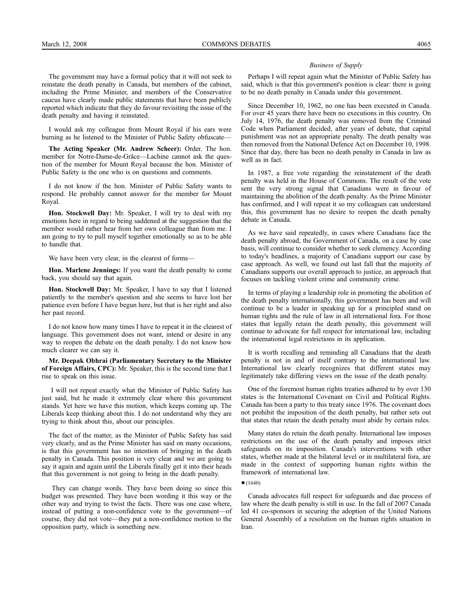The government may have a formal policy that it will not seek to reinstate the death penalty in Canada, but members of the cabinet, including the Prime Minister, and members of the Conservative caucus have clearly made public statements that have been publicly reported which indicate that they do favour revisiting the issue of the death penalty and having it reinstated.

I would ask my colleague from Mount Royal if his ears were burning as he listened to the Minister of Public Safety obfuscate—

**The Acting Speaker (Mr. Andrew Scheer):** Order. The hon. member for Notre-Dame-de-Grâce—Lachine cannot ask the question of the member for Mount Royal because the hon. Minister of Public Safety is the one who is on questions and comments.

I do not know if the hon. Minister of Public Safety wants to respond. He probably cannot answer for the member for Mount Royal.

**Hon. Stockwell Day:** Mr. Speaker, I will try to deal with my emotions here in regard to being saddened at the suggestion that the member would rather hear from her own colleague than from me. I am going to try to pull myself together emotionally so as to be able to handle that.

We have been very clear, in the clearest of forms—

**Hon. Marlene Jennings:** If you want the death penalty to come back, you should say that again.

**Hon. Stockwell Day:** Mr. Speaker, I have to say that I listened patiently to the member's question and she seems to have lost her patience even before I have begun here, but that is her right and also her past record.

I do not know how many times I have to repeat it in the clearest of language. This government does not want, intend or desire in any way to reopen the debate on the death penalty. I do not know how much clearer we can say it.

**Mr. Deepak Obhrai (Parliamentary Secretary to the Minister of Foreign Affairs, CPC):** Mr. Speaker, this is the second time that I rise to speak on this issue.

I will not repeat exactly what the Minister of Public Safety has just said, but he made it extremely clear where this government stands. Yet here we have this motion, which keeps coming up. The Liberals keep thinking about this. I do not understand why they are trying to think about this, about our principles.

The fact of the matter, as the Minister of Public Safety has said very clearly, and as the Prime Minister has said on many occasions, is that this government has no intention of bringing in the death penalty in Canada. This position is very clear and we are going to say it again and again until the Liberals finally get it into their heads that this government is not going to bring in the death penalty.

They can change words. They have been doing so since this budget was presented. They have been wording it this way or the other way and trying to twist the facts. There was one case where, instead of putting a non-confidence vote to the government—of course, they did not vote—they put a non-confidence motion to the opposition party, which is something new.

#### *Business of Supply*

Perhaps I will repeat again what the Minister of Public Safety has said, which is that this government's position is clear: there is going to be no death penalty in Canada under this government.

Since December 10, 1962, no one has been executed in Canada. For over 45 years there have been no executions in this country. On July 14, 1976, the death penalty was removed from the Criminal Code when Parliament decided, after years of debate, that capital punishment was not an appropriate penalty. The death penalty was then removed from the National Defence Act on December 10, 1998. Since that day, there has been no death penalty in Canada in law as well as in fact.

In 1987, a free vote regarding the reinstatement of the death penalty was held in the House of Commons. The result of the vote sent the very strong signal that Canadians were in favour of maintaining the abolition of the death penalty. As the Prime Minister has confirmed, and I will repeat it so my colleagues can understand this, this government has no desire to reopen the death penalty debate in Canada.

As we have said repeatedly, in cases where Canadians face the death penalty abroad, the Government of Canada, on a case by case basis, will continue to consider whether to seek clemency. According to today's headlines, a majority of Canadians support our case by case approach. As well, we found out last fall that the majority of Canadians supports our overall approach to justice, an approach that focuses on tackling violent crime and community crime.

In terms of playing a leadership role in promoting the abolition of the death penalty internationally, this government has been and will continue to be a leader in speaking up for a principled stand on human rights and the rule of law in all international fora. For those states that legally retain the death penalty, this government will continue to advocate for full respect for international law, including the international legal restrictions in its application.

It is worth recalling and reminding all Canadians that the death penalty is not in and of itself contrary to the international law. International law clearly recognizes that different states may legitimately take differing views on the issue of the death penalty.

One of the foremost human rights treaties adhered to by over 130 states is the International Covenant on Civil and Political Rights. Canada has been a party to this treaty since 1976. The covenant does not prohibit the imposition of the death penalty, but rather sets out that states that retain the death penalty must abide by certain rules.

Many states do retain the death penalty. International law imposes restrictions on the use of the death penalty and imposes strict safeguards on its imposition. Canada's interventions with other states, whether made at the bilateral level or in multilateral fora, are made in the context of supporting human rights within the framework of international law.

 $(1640)$ 

Canada advocates full respect for safeguards and due process of law where the death penalty is still in use. In the fall of 2007 Canada led 41 co-sponsors in securing the adoption of the United Nations General Assembly of a resolution on the human rights situation in Iran.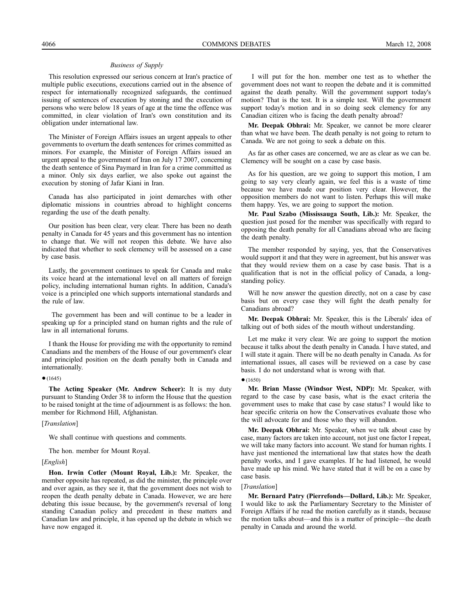This resolution expressed our serious concern at Iran's practice of multiple public executions, executions carried out in the absence of respect for internationally recognized safeguards, the continued issuing of sentences of execution by stoning and the execution of persons who were below 18 years of age at the time the offence was committed, in clear violation of Iran's own constitution and its obligation under international law.

The Minister of Foreign Affairs issues an urgent appeals to other governments to overturn the death sentences for crimes committed as minors. For example, the Minister of Foreign Affairs issued an urgent appeal to the government of Iran on July 17 2007, concerning the death sentence of Sina Paymard in Iran for a crime committed as a minor. Only six days earlier, we also spoke out against the execution by stoning of Jafar Kiani in Iran.

Canada has also participated in joint demarches with other diplomatic missions in countries abroad to highlight concerns regarding the use of the death penalty.

Our position has been clear, very clear. There has been no death penalty in Canada for 45 years and this government has no intention to change that. We will not reopen this debate. We have also indicated that whether to seek clemency will be assessed on a case by case basis.

Lastly, the government continues to speak for Canada and make its voice heard at the international level on all matters of foreign policy, including international human rights. In addition, Canada's voice is a principled one which supports international standards and the rule of law.

The government has been and will continue to be a leader in speaking up for a principled stand on human rights and the rule of law in all international forums.

I thank the House for providing me with the opportunity to remind Canadians and the members of the House of our government's clear and principled position on the death penalty both in Canada and internationally.

#### $•(1645)$

**The Acting Speaker (Mr. Andrew Scheer):** It is my duty pursuant to Standing Order 38 to inform the House that the question to be raised tonight at the time of adjournment is as follows: the hon. member for Richmond Hill, Afghanistan.

[*Translation*]

We shall continue with questions and comments.

The hon. member for Mount Royal.

#### [*English*]

**Hon. Irwin Cotler (Mount Royal, Lib.):** Mr. Speaker, the member opposite has repeated, as did the minister, the principle over and over again, as they see it, that the government does not wish to reopen the death penalty debate in Canada. However, we are here debating this issue because, by the government's reversal of long standing Canadian policy and precedent in these matters and Canadian law and principle, it has opened up the debate in which we have now engaged it.

I will put for the hon. member one test as to whether the government does not want to reopen the debate and it is committed against the death penalty. Will the government support today's motion? That is the test. It is a simple test. Will the government support today's motion and in so doing seek clemency for any Canadian citizen who is facing the death penalty abroad?

**Mr. Deepak Obhrai:** Mr. Speaker, we cannot be more clearer than what we have been. The death penalty is not going to return to Canada. We are not going to seek a debate on this.

As far as other cases are concerned, we are as clear as we can be. Clemency will be sought on a case by case basis.

As for his question, are we going to support this motion, I am going to say very clearly again, we feel this is a waste of time because we have made our position very clear. However, the opposition members do not want to listen. Perhaps this will make them happy. Yes, we are going to support the motion.

**Mr. Paul Szabo (Mississauga South, Lib.):** Mr. Speaker, the question just posed for the member was specifically with regard to opposing the death penalty for all Canadians abroad who are facing the death penalty.

The member responded by saying, yes, that the Conservatives would support it and that they were in agreement, but his answer was that they would review them on a case by case basis. That is a qualification that is not in the official policy of Canada, a longstanding policy.

Will he now answer the question directly, not on a case by case basis but on every case they will fight the death penalty for Canadians abroad?

**Mr. Deepak Obhrai:** Mr. Speaker, this is the Liberals' idea of talking out of both sides of the mouth without understanding.

Let me make it very clear. We are going to support the motion because it talks about the death penalty in Canada. I have stated, and I will state it again. There will be no death penalty in Canada. As for international issues, all cases will be reviewed on a case by case basis. I do not understand what is wrong with that.

 $•(1650)$ 

**Mr. Brian Masse (Windsor West, NDP):** Mr. Speaker, with regard to the case by case basis, what is the exact criteria the government uses to make that case by case status? I would like to hear specific criteria on how the Conservatives evaluate those who the will advocate for and those who they will abandon.

**Mr. Deepak Obhrai:** Mr. Speaker, when we talk about case by case, many factors are taken into account, not just one factor I repeat, we will take many factors into account. We stand for human rights. I have just mentioned the international law that states how the death penalty works, and I gave examples. If he had listened, he would have made up his mind. We have stated that it will be on a case by case basis.

#### [*Translation*]

**Mr. Bernard Patry (Pierrefonds—Dollard, Lib.):** Mr. Speaker, I would like to ask the Parliamentary Secretary to the Minister of Foreign Affairs if he read the motion carefully as it stands, because the motion talks about—and this is a matter of principle—the death penalty in Canada and around the world.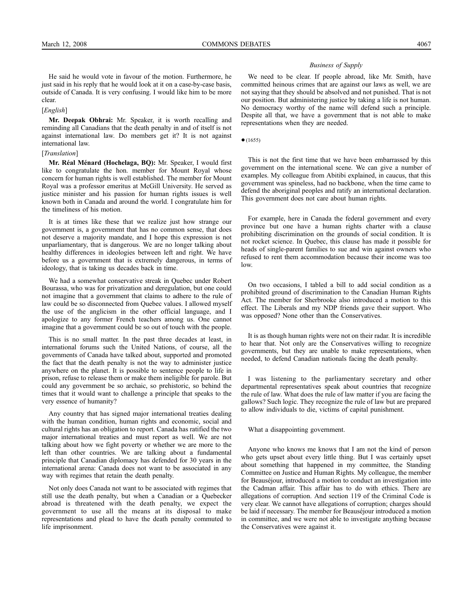He said he would vote in favour of the motion. Furthermore, he just said in his reply that he would look at it on a case-by-case basis, outside of Canada. It is very confusing. I would like him to be more clear.

#### [*English*]

**Mr. Deepak Obhrai:** Mr. Speaker, it is worth recalling and reminding all Canadians that the death penalty in and of itself is not against international law. Do members get it? It is not against international law.

#### [*Translation*]

**Mr. Réal Ménard (Hochelaga, BQ):** Mr. Speaker, I would first like to congratulate the hon. member for Mount Royal whose concern for human rights is well established. The member for Mount Royal was a professor emeritus at McGill University. He served as justice minister and his passion for human rights issues is well known both in Canada and around the world. I congratulate him for the timeliness of his motion.

It is at times like these that we realize just how strange our government is, a government that has no common sense, that does not deserve a majority mandate, and I hope this expression is not unparliamentary, that is dangerous. We are no longer talking about healthy differences in ideologies between left and right. We have before us a government that is extremely dangerous, in terms of ideology, that is taking us decades back in time.

We had a somewhat conservative streak in Quebec under Robert Bourassa, who was for privatization and deregulation, but one could not imagine that a government that claims to adhere to the rule of law could be so disconnected from Quebec values. I allowed myself the use of the anglicism in the other official language, and I apologize to any former French teachers among us. One cannot imagine that a government could be so out of touch with the people.

This is no small matter. In the past three decades at least, in international forums such the United Nations, of course, all the governments of Canada have talked about, supported and promoted the fact that the death penalty is not the way to administer justice anywhere on the planet. It is possible to sentence people to life in prison, refuse to release them or make them ineligible for parole. But could any government be so archaic, so prehistoric, so behind the times that it would want to challenge a principle that speaks to the very essence of humanity?

Any country that has signed major international treaties dealing with the human condition, human rights and economic, social and cultural rights has an obligation to report. Canada has ratified the two major international treaties and must report as well. We are not talking about how we fight poverty or whether we are more to the left than other countries. We are talking about a fundamental principle that Canadian diplomacy has defended for 30 years in the international arena: Canada does not want to be associated in any way with regimes that retain the death penalty.

Not only does Canada not want to be associated with regimes that still use the death penalty, but when a Canadian or a Quebecker abroad is threatened with the death penalty, we expect the government to use all the means at its disposal to make representations and plead to have the death penalty commuted to life imprisonment.

#### *Business of Supply*

We need to be clear. If people abroad, like Mr. Smith, have committed heinous crimes that are against our laws as well, we are not saying that they should be absolved and not punished. That is not our position. But administering justice by taking a life is not human. No democracy worthy of the name will defend such a principle. Despite all that, we have a government that is not able to make representations when they are needed.

#### $(1655)$

This is not the first time that we have been embarrassed by this government on the international scene. We can give a number of examples. My colleague from Abitibi explained, in caucus, that this government was spineless, had no backbone, when the time came to defend the aboriginal peoples and ratify an international declaration. This government does not care about human rights.

For example, here in Canada the federal government and every province but one have a human rights charter with a clause prohibiting discrimination on the grounds of social condition. It is not rocket science. In Quebec, this clause has made it possible for heads of single-parent families to sue and win against owners who refused to rent them accommodation because their income was too low.

On two occasions, I tabled a bill to add social condition as a prohibited ground of discrimination to the Canadian Human Rights Act. The member for Sherbrooke also introduced a motion to this effect. The Liberals and my NDP friends gave their support. Who was opposed? None other than the Conservatives.

It is as though human rights were not on their radar. It is incredible to hear that. Not only are the Conservatives willing to recognize governments, but they are unable to make representations, when needed, to defend Canadian nationals facing the death penalty.

I was listening to the parliamentary secretary and other departmental representatives speak about countries that recognize the rule of law. What does the rule of law matter if you are facing the gallows? Such logic. They recognize the rule of law but are prepared to allow individuals to die, victims of capital punishment.

#### What a disappointing government.

Anyone who knows me knows that I am not the kind of person who gets upset about every little thing. But I was certainly upset about something that happened in my committee, the Standing Committee on Justice and Human Rights. My colleague, the member for Beauséjour, introduced a motion to conduct an investigation into the Cadman affair. This affair has to do with ethics. There are allegations of corruption. And section 119 of the Criminal Code is very clear. We cannot have allegations of corruption; charges should be laid if necessary. The member for Beauséjour introduced a motion in committee, and we were not able to investigate anything because the Conservatives were against it.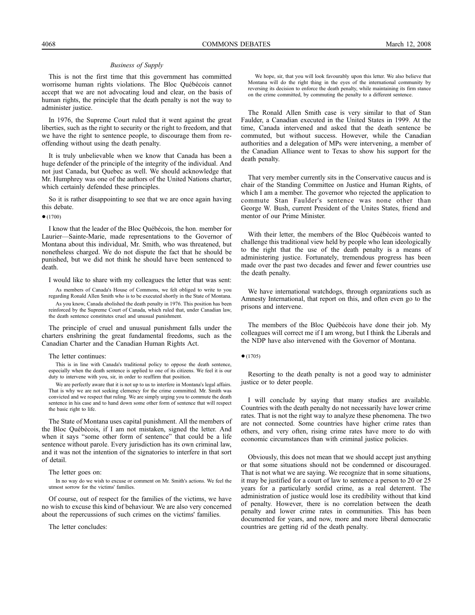This is not the first time that this government has committed worrisome human rights violations. The Bloc Québécois cannot accept that we are not advocating loud and clear, on the basis of human rights, the principle that the death penalty is not the way to administer justice.

In 1976, the Supreme Court ruled that it went against the great liberties, such as the right to security or the right to freedom, and that we have the right to sentence people, to discourage them from reoffending without using the death penalty.

It is truly unbelievable when we know that Canada has been a huge defender of the principle of the integrity of the individual. And not just Canada, but Quebec as well. We should acknowledge that Mr. Humphrey was one of the authors of the United Nations charter, which certainly defended these principles.

So it is rather disappointing to see that we are once again having this debate.

 $•(1700)$ 

I know that the leader of the Bloc Québécois, the hon. member for Laurier—Sainte-Marie, made representations to the Governor of Montana about this individual, Mr. Smith, who was threatened, but nonetheless charged. We do not dispute the fact that he should be punished, but we did not think he should have been sentenced to death.

I would like to share with my colleagues the letter that was sent:

As members of Canada's House of Commons, we felt obliged to write to you regarding Ronald Allen Smith who is to be executed shortly in the State of Montana. As you know, Canada abolished the death penalty in 1976. This position has been reinforced by the Supreme Court of Canada, which ruled that, under Canadian law, the death sentence constitutes cruel and unusual punishment.

The principle of cruel and unusual punishment falls under the charters enshrining the great fundamental freedoms, such as the Canadian Charter and the Canadian Human Rights Act.

The letter continues:

This is in line with Canada's traditional policy to oppose the death sentence, especially when the death sentence is applied to one of its citizens. We feel it is our duty to intervene with you, sir, in order to reaffirm that position.

We are perfectly aware that it is not up to us to interfere in Montana's legal affairs. That is why we are not seeking clemency for the crime committed. Mr. Smith was convicted and we respect that ruling. We are simply urging you to commute the death sentence in his case and to hand down some other form of sentence that will respect the basic right to life.

The State of Montana uses capital punishment. All the members of the Bloc Québécois, if I am not mistaken, signed the letter. And when it says "some other form of sentence" that could be a life sentence without parole. Every jurisdiction has its own criminal law, and it was not the intention of the signatories to interfere in that sort of detail.

The letter goes on:

In no way do we wish to excuse or comment on Mr. Smith's actions. We feel the utmost sorrow for the victims' families.

Of course, out of respect for the families of the victims, we have no wish to excuse this kind of behaviour. We are also very concerned about the repercussions of such crimes on the victims' families.

The letter concludes:

We hope, sir, that you will look favourably upon this letter. We also believe that Montana will do the right thing in the eyes of the international community by reversing its decision to enforce the death penalty, while maintaining its firm stance on the crime committed, by commuting the penalty to a different sentence.

The Ronald Allen Smith case is very similar to that of Stan Faulder, a Canadian executed in the United States in 1999. At the time, Canada intervened and asked that the death sentence be commuted, but without success. However, while the Canadian authorities and a delegation of MPs were intervening, a member of the Canadian Alliance went to Texas to show his support for the death penalty.

That very member currently sits in the Conservative caucus and is chair of the Standing Committee on Justice and Human Rights, of which I am a member. The governor who rejected the application to commute Stan Faulder's sentence was none other than George W. Bush, current President of the Unites States, friend and mentor of our Prime Minister.

With their letter, the members of the Bloc Québécois wanted to challenge this traditional view held by people who lean ideologically to the right that the use of the death penalty is a means of administering justice. Fortunately, tremendous progress has been made over the past two decades and fewer and fewer countries use the death penalty.

We have international watchdogs, through organizations such as Amnesty International, that report on this, and often even go to the prisons and intervene.

The members of the Bloc Québécois have done their job. My colleagues will correct me if I am wrong, but I think the Liberals and the NDP have also intervened with the Governor of Montana.

 $•(1705)$ 

Resorting to the death penalty is not a good way to administer justice or to deter people.

I will conclude by saying that many studies are available. Countries with the death penalty do not necessarily have lower crime rates. That is not the right way to analyze these phenomena. The two are not connected. Some countries have higher crime rates than others, and very often, rising crime rates have more to do with economic circumstances than with criminal justice policies.

Obviously, this does not mean that we should accept just anything or that some situations should not be condemned or discouraged. That is not what we are saying. We recognize that in some situations, it may be justified for a court of law to sentence a person to 20 or 25 years for a particularly sordid crime, as a real deterrent. The administration of justice would lose its credibility without that kind of penalty. However, there is no correlation between the death penalty and lower crime rates in communities. This has been documented for years, and now, more and more liberal democratic countries are getting rid of the death penalty.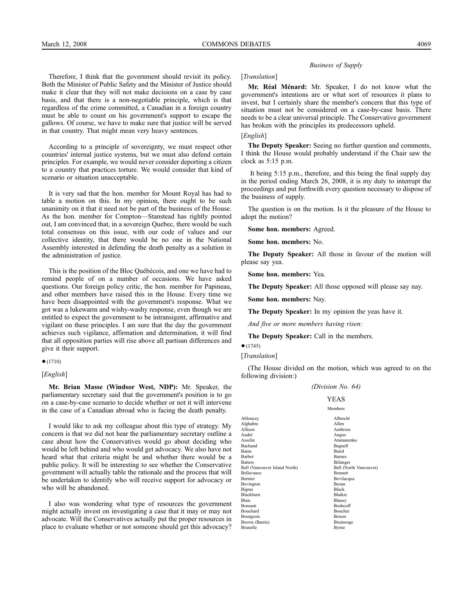#### Therefore, I think that the government should revisit its policy. Both the Minister of Public Safety and the Minister of Justice should make it clear that they will not make decisions on a case by case basis, and that there is a non-negotiable principle, which is that regardless of the crime committed, a Canadian in a foreign country must be able to count on his government's support to escape the gallows. Of course, we have to make sure that justice will be served in that country. That might mean very heavy sentences.

According to a principle of sovereignty, we must respect other countries' internal justice systems, but we must also defend certain principles. For example, we would never consider deporting a citizen to a country that practices torture. We would consider that kind of scenario or situation unacceptable.

It is very sad that the hon. member for Mount Royal has had to table a motion on this. In my opinion, there ought to be such unanimity on it that it need not be part of the business of the House. As the hon. member for Compton—Stanstead has rightly pointed out, I am convinced that, in a sovereign Quebec, there would be such total consensus on this issue, with our code of values and our collective identity, that there would be no one in the National Assembly interested in defending the death penalty as a solution in the administration of justice.

This is the position of the Bloc Québécois, and one we have had to remind people of on a number of occasions. We have asked questions. Our foreign policy critic, the hon. member for Papineau, and other members have raised this in the House. Every time we have been disappointed with the government's response. What we got was a lukewarm and wishy-washy response, even though we are entitled to expect the government to be intransigent, affirmative and vigilant on these principles. I am sure that the day the government achieves such vigilance, affirmation and determination, it will find that all opposition parties will rise above all partisan differences and give it their support.

#### $•(1710)$

#### [*English*]

**Mr. Brian Masse (Windsor West, NDP):** Mr. Speaker, the parliamentary secretary said that the government's position is to go on a case-by-case scenario to decide whether or not it will intervene in the case of a Canadian abroad who is facing the death penalty.

I would like to ask my colleague about this type of strategy. My concern is that we did not hear the parliamentary secretary outline a case about how the Conservatives would go about deciding who would be left behind and who would get advocacy. We also have not heard what that criteria might be and whether there would be a public policy. It will be interesting to see whether the Conservative government will actually table the rationale and the process that will be undertaken to identify who will receive support for advocacy or who will be abandoned.

I also was wondering what type of resources the government might actually invest on investigating a case that it may or may not advocate. Will the Conservatives actually put the proper resources in place to evaluate whether or not someone should get this advocacy?

### *Business of Supply*

#### [*Translation*]

**Mr. Réal Ménard:** Mr. Speaker, I do not know what the government's intentions are or what sort of resources it plans to invest, but I certainly share the member's concern that this type of situation must not be considered on a case-by-case basis. There needs to be a clear universal principle. The Conservative government has broken with the principles its predecessors upheld.

# [*English*]

**The Deputy Speaker:** Seeing no further question and comments, I think the House would probably understand if the Chair saw the clock as 5:15 p.m.

It being 5:15 p.m., therefore, and this being the final supply day in the period ending March 26, 2008, it is my duty to interrupt the proceedings and put forthwith every question necessary to dispose of the business of supply.

The question is on the motion. Is it the pleasure of the House to adopt the motion?

**Some hon. members:** Agreed.

**Some hon. members:** No.

**The Deputy Speaker:** All those in favour of the motion will please say yea.

**Some hon. members:** Yea.

**The Deputy Speaker:** All those opposed will please say nay.

**Some hon. members:** Nay.

**The Deputy Speaker:** In my opinion the yeas have it.

*And five or more members having risen:*

**The Deputy Speaker:** Call in the members.

# $•(1745)$

[*Translation*]

(The House divided on the motion, which was agreed to on the following division:)

#### *(Division No. 64)*

## YEAS

Members Ablonczy Albrecht Alghabra<br>Allison Allison Ambrose<br>André Angus André Angus Asselin Atamanenko Bachand Bagnell<br>Bains Baird Bains Bains Baince<br>Barbot Barnes Barnes Beilanger<br>Bell (Vancouver Island North)<br>Bell (North Vancouver) Bell (Vancouver Island North) Bell (North Vancouver) Bennett<br>Bennett Bellavance<br>Bernier Bevilacqua Bevington Bezan<br>Bioras Black Bigras Black<br>Blackburn Blaikie Blackburn<br>Blais Blais Blaney<br>Bonsant Boshcoff Bonsant Boshcoff Bouchard Boucher<br>Bourgeois Brison Bourgeois Brison<br>Brown (Barrie) Bruinooge Bruinooge Brown (Barrie) Bruino Bruino Bruino Bruino Bruino Bruino Bruino Bruino Bruino Bruino Bruino Bruino B **Brunelle**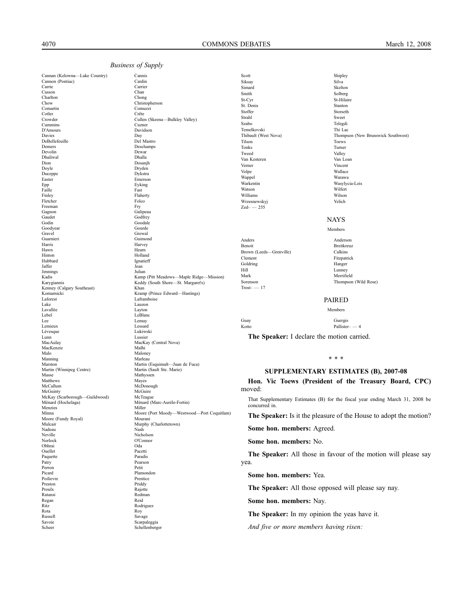Cannan (Kelowna—Lake Country) Cannis<br>Cannon (Pontiac) Cardin Cannon (Pontiac) Carrie Carrier<br>
Carrier Casson Chan Casson<br>Charlton Chow Christopherson Comartin Comuzzi Cotler Crête Crowder Cullen (Skeena—Bulkley Valley) Cummins Cuzner D'Amours Davies Day<br>DeBellefeuille Del Mastro<br>Del Mastro DeBellefeuille<br>Demers Devolin Dewar<br>Dhaliwal Dhalla Dhaliwal<br>Dion Dion Dosanjh Duceppe<br>Easter Epp Eyking<br>Faille Fast Rest Faille **Faille** Fast Finley Flaherty Fletcher Folcomes Folcomes Folcomes Folcomes Folcomes Folcomes Folcomes Folcomes Folcomes Folcomes Folcomes Folcomes Folcomes Folcomes Folcomes Folcomes Folcomes Folcomes Folcomes Folcomes Folcomes Folcomes Folcomes Folcom Freeman<br>Gagnon Gagnon Galipeau Galipeau Galipeau Galipeau Galipeau Galipeau Galipeau Galipeau Galipeau Galipeau Galipeau Gali Gaudet Godfrey<br>Godfrey Goodsle Goodyear<br>Gravel Gravel Gravel Gravel Gravel Gravel Gravel Gravel Gravel Gravel Gravel Gravel Gravel Gravel Gravel Gravel Gravel G Guarnieri Guimond Harris Harvey Hawn Hearn Hearn Hearn Hearn Hearn Hearn Hearn Hearn Hearn Hearn Hearn Hearn Hearn Hearn Hearn Hearn Hearn Hearn Hearn Hearn Hearn Hearn Hearn Hearn Hearn Hearn Hearn Hearn Hearn Hearn Hearn Hearn Hearn Hearn Hearn Hearn H Hinton Holland Hubbard Ignatieff Jaffer Jean Jennings<br>Kadis Kenney (Calgary Southeast) Khan Kramp (Prince Edward—Hastings)<br>
Laforest<br>
Laframboise<br>
Laframboise<br>
Laframboise Laforest Lafamboise<br>
Lake Lauzon Lake Lauzon Lavallée Lavallée Lavallée Lavallée Lavallée Lavallée Lavallée Lavallée Lavallée Lavallée Lavallée Lavallée La<br>Le Blanc Lebel LeBlanc Lee Lemay Lemieux Lessard<br>
Lévesque Lukiwski<br>
Lukiwski Lévesque Lukiws<br>Lunn Lussier Lussier Lunn Lussier MacAulay MacAulay MacAulay MacAulay MacAulay MacAulay MacAulay MacAulay MacAulay Mallhi MacKenzie<br>Malo Manning<br>Marston Martin (Winnipeg Centre)<br>Masse Matthews<br>McCallum McGuinty McGuire<br>
McKay (Scarborough-Guildwood) McTeague McKay (Scarborough-Guildwood)<br>Ménard (Hochelaga) Menzies<br>Minna Moore (Fundy Royal)<br>Mulcair Mulcair Murphy (Charlottetown)<br>
Nadeau Nash Nadeau Nash Neville Nicholson<br>Norlock O'Connor Norlock O'Connor Obhrai Oda Ouellet Pacetti<br>
Pacetti<br>
Paradis Paquette<br>Patry Patry Pearson<br>Perron Petit Perron Petit Picard Plamondon Poilievre Preston Priddy<br>Proulx Raiotte Proulx Rajotte Ratansi Redman Regan<br>Ritz Ritz<br>Rodriguez<br>Rodriguez<br>Rodriguez<br>Rodriguez Rota Roy Russell Savage Savoie Scarpaleggia<br>Scheer Schellenberg<br>Schellenberg

Chong Deschamps<br>Dewar Dryden<br>Dykstra Emerson Goodale<br>Gourde Xamp (Pitt Meadows—Maple Ridge—Mission)<br>
Kamp (Pitt Meadows—Maple Ridge—Mission)<br>
Keddy (South Shore—St. Margaret's) Keddy (South Shore—St. Margaret's) Maloney<br>Marleau Martin (Esquimalt—Juan de Fuca)<br>Martin (Sault Ste. Marie) Mathyssen<br>Mayes McDonough<br>McGuire Ménard (Marc-Aurèle-Fortin)<br>Miller Moore (Port Moody—Westwood—Port Coquitlam)<br>Mourani

Schellenberger

| Scott                   | Shipley                            |
|-------------------------|------------------------------------|
| Siksay                  | Silva                              |
| Simard                  | Skelton                            |
| Smith                   | Solberg                            |
| St-Cyr                  | St-Hilaire                         |
| St. Denis               | Stanton                            |
| Stoffer                 | Storseth                           |
| Strahl                  | Sweet                              |
| Szabo                   | Telegdi                            |
| Temelkovski             | Thi Lac                            |
| Thibault (West Nova)    | Thompson (New Brunswick Southwest) |
| Tilson                  | <b>Toews</b>                       |
| Tonks                   | Turner                             |
| Tweed                   | Valley                             |
| Van Kesteren            | Van Loan                           |
| Verner                  | Vincent                            |
| Volpe                   | Wallace                            |
| Wappel                  | Warawa                             |
| Warkentin               | Wasylycia-Leis                     |
| Watson                  | Wilfert                            |
| Williams                | Wilson                             |
| Wrzesnewskyj            | Yelich                             |
| $Zed - 255$             |                                    |
|                         | <b>NAYS</b>                        |
|                         | Members                            |
| Anders                  | Anderson                           |
| <b>Benoit</b>           | <b>Breitkreuz</b>                  |
| Brown (Leeds-Grenville) | Calkins                            |
| Clement                 | Fitzpatrick                        |
| Goldring                | Hanger                             |
| Hill                    | Lunney                             |
| Mark                    | Merrifield                         |
| Sorenson                | Thompson (Wild Rose)               |
| $Trost - 17$            |                                    |
|                         | <b>PAIRED</b>                      |
|                         | Members                            |
| Guay                    | Guergis                            |
| Kotto                   | $Pallister = 4$                    |

**The Speaker:** I declare the motion carried.

#### **\* \* \***

Pallister-

# **SUPPLEMENTARY ESTIMATES (B), 2007-08**

**Hon. Vic Toews (President of the Treasury Board, CPC)** moved:

That Supplementary Estimates (B) for the fiscal year ending March 31, 2008 be concurred in.

**The Speaker:** Is it the pleasure of the House to adopt the motion?

**Some hon. members:** Agreed.

**Some hon. members:** No.

**The Speaker:** All those in favour of the motion will please say yea.

**Some hon. members:** Yea.

**The Speaker:** All those opposed will please say nay.

**Some hon. members:** Nay.

**The Speaker:** In my opinion the yeas have it.

*And five or more members having risen:*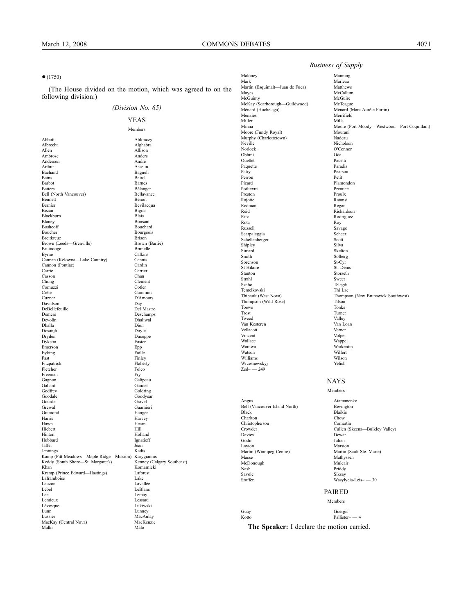#### ●(1750)

(The House divided on the motion, which was agreed to on the following division:)

## *(Division No. 65)*

# YEAS Members

Abbott Ablonczy Alghabra Allison<br>
Ambrose Anders<br>
Anders Ambrose Anders Anderson Arthur Asselin<br>Bachand Bagnell Bagnell Bachand Bagne<br>Bains Baird Bains **Baird** Barbot Barnes Belanger<br>Bell (North Vancouver)<br>Bellavance Bell (North Vancouver) Bellavance Bellavance Bellavance Bellavance Benedit Benedit Benedit Benedit Benedit Benedit Benedit Benedit Benedit Benedit Benedit Benedit Benedit Benedit Benedit Benedit Benedit Benedit Benedit Ben Bennett Benoit Bernier Bevilacqua<br>Bezan Bigras Bigras Bigras<br>Blais Blackburn<br>Blaney Blaney Bonsant<br>Boshcoff Bouchar **Bouchard** Boucher Bourgeois<br>Breitkreuz Brison Brison Breitkreuz<br>Brown (Leeds—Grenville) Brison<br>Brown (Barrie) Brown (Barrie) Brown (Leeds-Grenville) Bruinooge Brunelle<br>Byrne Calkins Calkins<br>Cannis Cannan (Kelowna-Lake Country) Cannon (Pontiac) Cardin Carrier<br>Chan Casson Chong Clement Comuzzi<br>Crête Crête Cummins<br>Cuzner D'Amours D'Amours<br>Day Davidson<br>DeBellefeuille DeBellefeuille<br>De Mastro<br>Deschamps<br>Deschamps Demers Deschamps<br>Devolin Dhaliwal Devolin Dhaliwal<br>Dhaliwal<br>Dhalla Dion Dhalla Dion Dosanjh Doyle Duceppe<br>Easter Dykstra Easter<br>
Emerson Epp Epp Exkins<br>
Exkins Faille Emerson Eyking<br>Fast Finley<br>Flaherty Fitzpatrick Flaher<br>Flaherty For Folio Flaherty<br>Folio Folio Folio Folio Folio Folio Folio Folio Folio Folio Folio Folio Folio Folio Folio Folio Folio Folio Folio Folio Folio Folio Folio Folio Folio Folio Folio Folio Folio F  $F$ letcher Freeman Freeman Fry Gagnon Galipeau (Galipeau Galipeau Galipeau Galipeau Galipeau Gaudet (Gaudet Gaudet Communister Schwarze Gaudet Communister Schwarze Gaudet (Gaudet Communister Schwarze Gaudet Communister Schwarze Gaudet Commun Gallant Gaudet<br>
Gaudet<br>
Goldring Goldring Godfrey Goldring<br>Goodale Goodwaa Goodyear<br>Gravel Gourde<br>Grewal Guarnieri<br>Hanger Guimond<br>Harris Harris Harvey<br>Hawn Hearn Hearn Hawn Hearn Hearn Hearn Hiebert Hill Hinton Holland<br>Hubbard Ionatiefl Ignatieff Jaffer Jean Jennings Kadis Kamp (Pitt Meadows—Maple Ridge—Mission) Karygiannis Keddy (South Shore—St. Margaret's) Kenney (Calgary Southeast)<br>Khan Komarnicki Komarnicki<br>Laforest Kramp (Prince Edward-Hastings) Laframboise Lake Lauzon<br>
Laval Laval Laval Laval Laval Laval Laval Laval Laval Laval Laval Laval Laval Laval Laval Laval Laval Laval Lava Lauzon Lavallée<br>Lebel LeBlanc LeBlanc LeBlanc Lee Lemay Lemieux Lessard<br>
Lévesque Lukiwski<br>
Lukiwski Lévesque<br>Lunn Lunn Lunney<br>
Lunney<br>
MacAul MacAulay<br>MacKenzie MacKay (Central Nova) MacKenzie Malhi<br>Malhi Malo Malhi Malo

Maloney Manning Martin (Esquimalt—Juan de Fuca) Matthews<br>Mayes McCallun McGuinty McGuinty<br>McKay (Scarborough—Guildwood) McTeague McKay (Scarborough-Guildwood)<br>Ménard (Hochelaga) Miller<br>Minna Moore (Fundy Royal) Murphy (Charlottetown) Nadeau<br>Neville Nichols Neville Nicholson<br>Norlock O'Connor Obhrai Oda Ouellet<br>
Pacetti<br>
Pacetti<br>
Paradis Paquette<br>Patry Patry Pearson<br>Perron Petit Perron Petit Picard Plamondon Poilievre<br>Prentice<br>Prentice<br>Proulx Preston Proulx Rajotte Ratansi Redman Regan Regan Redman Regan Reid Reid Richardson<br>Ritz Rodrieuez Ritz Rodriguez Rota Roy Russell<br>Savage Scarpaleggia<br>Scheer Scheen Scarpaleggia Scheer<br>Schellenberger Scheer Scheer Schellenberger Shipley Silva Simard Skelton Smith<br>
Solberg<br>
Sorenson<br>
St-Cyr Sorenson St-Cyr<br>St-Hilaire St. Denis St-Hilaire<br>Stanton Stanton Storseth Strahl Sweet<br>Szabo – Strahl Sweet<br>Telegdi Temelkovski<br>Thibault (West Nova) Thompson (Wild Rose) Tilson<br>Toews Tonks Toews Tonks Trost Turner Tweed Valley Van Kesteren Van Loan<br>Van Kesteren Van Loan<br>Vellacott Verner Vellacott<br>Vincent Vincent Volpe<br>
Vallace Wannel Wallace Wappel Warawa Warkentin Watson Wilfert<br>Williams Wilson Williams Wilson Wrzesnewskyj Yelich Zed– — 249

Angus Atamanenko Bell (Vancouver Island North) Bevington Black Blaikie<br>Charlton Chow Christopherson Davies<br>Godin Layton<br>
Marston Marston<br>
Marston Marston Marston<br>
Marston Marston Marston Marston Marston<br>
Marston Marston Marston<br>
Marston Marston<br>
Marston Marston<br>
Marston<br>
Marston<br>
Marston<br>
Marston<br>
Marston<br>
Marston<br>
Marston<br>
Marston<br> Martin (Winnipeg Centre)<br>Masse McDonough<br>Nash Savoie Siksay Stoffer Wasylycia-Leis– — 30

Marleau McCallum<br>McGuire Ménard (Hochelaga) Ménard (Marc-Aurèle-Fortin)<br> Menzies Merrifield Merrifield<br>Mills Moore (Port Moody—Westwood—Port Coquitlam)<br>Mourani O'Connor Telegdi<br>Thi Lac Thompson (New Brunswick Southwest)<br>Tilson

#### NAYS Members

Chow<br>Comartin Crowder Cullen (Skeena—Bulkley Valley) Julian<br>Marston Mathyssen<br>Mulcair Priddy

#### PAIRED

Members

Guay Guergis<br>Kotto Pallister Pallister $-$  4

**The Speaker:** I declare the motion carried.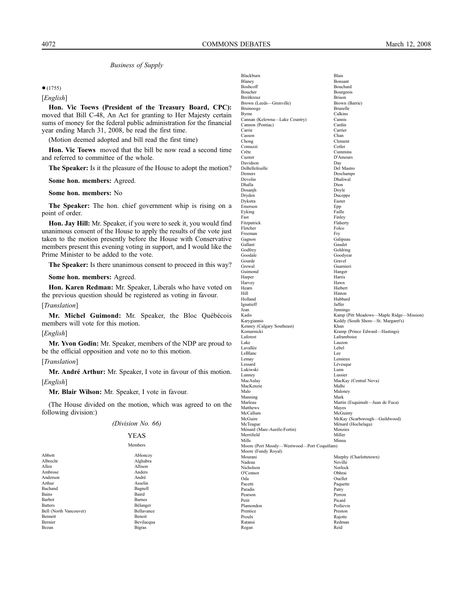$•(1755)$ 

[*English*]

**Hon. Vic Toews (President of the Treasury Board, CPC):** moved that Bill C-48, An Act for granting to Her Majesty certain sums of money for the federal public administration for the financial year ending March 31, 2008, be read the first time.

(Motion deemed adopted and bill read the first time)

**Hon. Vic Toews** moved that the bill be now read a second time and referred to committee of the whole.

**The Speaker:** Is it the pleasure of the House to adopt the motion?

**Some hon. members:** Agreed.

**Some hon. members:** No

**The Speaker:** The hon. chief government whip is rising on a point of order.

**Hon. Jay Hill:** Mr. Speaker, if you were to seek it, you would find unanimous consent of the House to apply the results of the vote just taken to the motion presently before the House with Conservative members present this evening voting in support, and I would like the Prime Minister to be added to the vote.

**The Speaker:** Is there unanimous consent to proceed in this way?

#### **Some hon. members:** Agreed.

**Hon. Karen Redman:** Mr. Speaker, Liberals who have voted on the previous question should be registered as voting in favour.

# [*Translation*]

**Mr. Michel Guimond:** Mr. Speaker, the Bloc Québécois members will vote for this motion.

#### [*English*]

**Mr. Yvon Godin:** Mr. Speaker, members of the NDP are proud to be the official opposition and vote no to this motion.

#### [*Translation*]

**Mr. André Arthur:** Mr. Speaker, I vote in favour of this motion. [*English*]

**Mr. Blair Wilson:** Mr. Speaker, I vote in favour.

(The House divided on the motion, which was agreed to on the following division:)

#### *(Division No. 66)*

YEAS Members

| Abbott                 | Ablonczy          |
|------------------------|-------------------|
| Albrecht               | Alghabra          |
| Allen                  | Allison           |
| Ambrose                | Anders            |
| Anderson               | André             |
| Arthur                 | Asselin           |
| Bachand                | Bagnell           |
| <b>Bains</b>           | Baird             |
| <b>Barbot</b>          | <b>Barnes</b>     |
| <b>Batters</b>         | Bélanger          |
| Bell (North Vancouver) | <b>Bellavance</b> |
| <b>Bennett</b>         | Benoit            |
| Bernier                | Bevilacqua        |
| Bezan                  | <b>Bigras</b>     |
|                        |                   |

| Blackburn                                           | <b>Blais</b>                                |
|-----------------------------------------------------|---------------------------------------------|
| Blaney<br>Boshcoff                                  | Bonsant<br>Bouchard                         |
| Boucher                                             | Bourgeois                                   |
| Breitkreuz                                          | <b>Brison</b>                               |
| Brown (Leeds-Grenville)                             | Brown (Barrie)                              |
| Bruinooge                                           | Brunelle                                    |
| Byrne<br>Cannan (Kelowna-Lake Country)              | Calkins<br>Cannis                           |
| Cannon (Pontiac)                                    | Cardin                                      |
| Carrie                                              | Carrier                                     |
| Casson                                              | Chan                                        |
| Chong                                               | Clement                                     |
| Comuzzi<br>Crête                                    | Cotler<br>Cummins                           |
| Cuzner                                              | D'Amours                                    |
| Davidson                                            | Day                                         |
| DeBellefeuille                                      | Del Mastro                                  |
| Demers                                              | Deschamps                                   |
| Devolin                                             | Dhaliwal                                    |
| Dhalla<br>Dosanjh                                   | Dion<br>Doyle                               |
| Dryden                                              | Duceppe                                     |
| Dykstra                                             | Easter                                      |
| Emerson                                             | Epp                                         |
| Eyking                                              | Faille                                      |
| Fast                                                | Finley                                      |
| Fitzpatrick<br>Fletcher                             | Flaherty<br>Folco                           |
| Freeman                                             | Fry                                         |
| Gagnon                                              | Galipeau                                    |
| Gallant                                             | Gaudet                                      |
| Godfrey                                             | Goldring                                    |
| Goodale                                             | Goodyear                                    |
| Gourde<br>Grewal                                    | Gravel<br>Guarnieri                         |
| Guimond                                             | Hanger                                      |
| Harper                                              | Harris                                      |
| Harvey                                              | Hawn                                        |
| Hearn                                               | Hiebert                                     |
| Hill                                                | Hinton                                      |
| Holland<br>Ignatieff                                | Hubbard<br>Jaffer                           |
| Jean                                                | Jennings                                    |
| Kadis                                               | Kamp (Pitt Meadows---Maple Ridge---Mission) |
| Karygiannis                                         | Keddy (South Shore-St. Margaret's)          |
| Kenney (Calgary Southeast)                          | Khan                                        |
| Komarnicki                                          | Kramp (Prince Edward-Hastings)              |
| Laforest<br>Lake                                    | Laframboise<br>Lauzon                       |
| Lavallée                                            | Lebel                                       |
| LeBlanc                                             | Lee                                         |
| Lemay                                               | Lemieux                                     |
| Lessard                                             | Lévesque                                    |
| Lukiwski                                            | Lunn                                        |
| Lunney<br>MacAulay                                  | Lussier<br>MacKay (Central Nova)            |
| MacKenzie                                           | Malhi                                       |
| Malo                                                | Maloney                                     |
| Manning                                             | Mark                                        |
| Marleau                                             | Martin (Esquimalt-Juan de Fuca)             |
| Matthews<br>McCallum                                | Mayes<br>McGuinty                           |
| McGuire                                             | McKay (Scarborough-Guildwood)               |
| McTeague                                            | Ménard (Hochelaga)                          |
| Ménard (Marc-Aurèle-Fortin)                         | Menzies                                     |
| Merrifield                                          | Miller                                      |
| Mills<br>Moore (Port Moody-Westwood-Port Coquitlam) | Minna                                       |
| Moore (Fundy Royal)                                 |                                             |
| Mourani                                             | Murphy (Charlottetown)                      |
| Nadeau                                              | Neville                                     |
| Nicholson                                           | Norlock                                     |
| O'Connor                                            | Obhrai                                      |
| Oda                                                 | Ouellet<br>Paquette                         |
| Pacetti<br>Paradis                                  | Patry                                       |
| Pearson                                             | Perron                                      |
| Petit                                               | Picard                                      |
| Plamondon                                           | Poilievre                                   |
| Prentice                                            | Preston                                     |
| Proulx<br>Ratansi                                   | Rajotte<br>Redman                           |
| Regan                                               | Reid                                        |
|                                                     |                                             |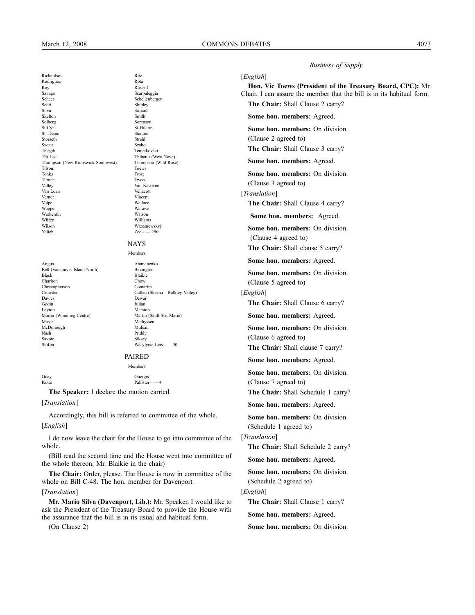[*English*]

Richardson Ritz Rodriguez Roy Russell Savage Scarpaleggia Scheer Schellenberger Scott<br>Silva Simard<br>Silva Simard Silva Simard Skelton Smith Solberg Sorenson<br>St-Cvr St-Hilaire St. Denis Stanton Storseth Strahl Sweet Szabo Szabo Telegdi Temelkovski Thi Lac Thibault (West Nova) Thompson (New Brunswick Southwest) Thompson (Wild Rose) Tilson Toews Toews Toews Toews Toews Toews Toews Toews Toews Toews Toews Toews Toews Toews Toews Toews Toews Toews Toews Toews Toews Toews Toews Toews Toews Toews Toews Toews Toews Toews Toews Toews Toews Toews Toews Toews Tonks Trost Turner Tweed Valley Van Kesteren Van Loan<br>Verner Verner Vincent Volpe Wallace Warkentin Watson Wilfert Williams Wilson Wrzesnewskyj  $\text{Yelich}$   $\text{Zed} \rightarrow -250$ 

St-Hilaire Warawa

Angus Atamanenko Bell (Vancouver Island North) Bevington<br>Black Blaikie Charlton Chow Christopherson Comartin Chow Comartin Chow Comartin Chow Comartin Chow Comartin Chow Comartin Chow Comartin Chow Comartin Chow Comartin Chow Comartin Chow Comartin Chow Comartin Chow Chow Chow Chow Chow Chow Christopherson<br>Crowder Davies Dewar Godin Julian Layton<br>
Martin (Winnipeg Centre)<br>
Martin (Sault Ste. Marie) Martin (Winnipeg Centre) Masse Mathyssen<br>Mathyssen<br>Mulcair Mulcair McDonough Nash Priddy Savoie Siksay Stoffer Wasylycia-Leis– — 30

NAYS Members Blaikie<br>Chow Crowder Cullen (Skeena—Bulkley Valley)

#### PAIRED

Members

Pallister– — 4

Guay Guergis<br>Kotto Pallister

**The Speaker:** I declare the motion carried.

#### [*Translation*]

Accordingly, this bill is referred to committee of the whole. [*English*]

I do now leave the chair for the House to go into committee of the whole.

(Bill read the second time and the House went into committee of the whole thereon, Mr. Blaikie in the chair)

**The Chair:** Order, please. The House is now in committee of the whole on Bill C-48. The hon. member for Davenport.

#### [*Translation*]

**Mr. Mario Silva (Davenport, Lib.):** Mr. Speaker, I would like to ask the President of the Treasury Board to provide the House with the assurance that the bill is in its usual and habitual form.

(On Clause 2)

**Hon. Vic Toews (President of the Treasury Board, CPC):** Mr.

Chair, I can assure the member that the bill is in its habitual form.

*Business of Supply*

**The Chair:** Shall Clause 2 carry?

**Some hon. members:** Agreed.

**Some hon. members:** On division.

(Clause 2 agreed to)

**The Chair:** Shall Clause 3 carry?

**Some hon. members:** Agreed.

**Some hon. members:** On division. (Clause 3 agreed to)

[*Translation*]

**The Chair:** Shall Clause 4 carry?

**Some hon. members:** Agreed.

**Some hon. members:** On division. (Clause 4 agreed to)

**The Chair:** Shall clause 5 carry?

**Some hon. members:** Agreed.

**Some hon. members:** On division. (Clause 5 agreed to)

[*English*]

**The Chair:** Shall Clause 6 carry?

**Some hon. members:** Agreed.

**Some hon. members:** On division. (Clause 6 agreed to)

**The Chair:** Shall clause 7 carry?

**Some hon. members:** Agreed.

**Some hon. members:** On division. (Clause 7 agreed to)

**The Chair:** Shall Schedule 1 carry?

**Some hon. members:** Agreed.

**Some hon. members:** On division. (Schedule 1 agreed to)

[*Translation*]

**The Chair:** Shall Schedule 2 carry?

**Some hon. members:** Agreed.

**Some hon. members:** On division. (Schedule 2 agreed to)

[*English*]

**The Chair:** Shall Clause 1 carry?

**Some hon. members:** Agreed.

**Some hon. members:** On division.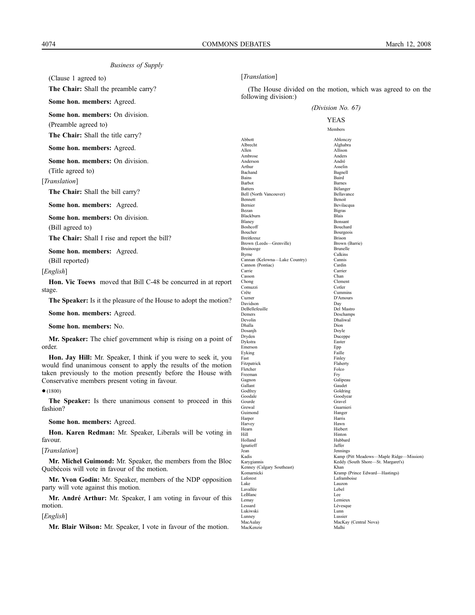(Clause 1 agreed to)

(Preamble agreed to)

**The Chair:** Shall the preamble carry?

**Some hon. members:** Agreed.

**Some hon. members:** On division.

**The Chair:** Shall the title carry?

#### **Some hon. members:** Agreed.

**Some hon. members:** On division. (Title agreed to)

[*Translation*]

**The Chair:** Shall the bill carry?

**Some hon. members:** Agreed.

**Some hon. members:** On division. (Bill agreed to)

**The Chair:** Shall I rise and report the bill?

**Some hon. members:** Agreed.

(Bill reported)

[*English*]

**Hon. Vic Toews** moved that Bill C-48 be concurred in at report stage.

**The Speaker:** Is it the pleasure of the House to adopt the motion?

**Some hon. members:** Agreed.

**Some hon. members:** No.

**Mr. Speaker:** The chief government whip is rising on a point of order.

**Hon. Jay Hill:** Mr. Speaker, I think if you were to seek it, you would find unanimous consent to apply the results of the motion taken previously to the motion presently before the House with Conservative members present voting in favour.

●(1800)

**The Speaker:** Is there unanimous consent to proceed in this fashion?

**Some hon. members:** Agreed.

**Hon. Karen Redman:** Mr. Speaker, Liberals will be voting in favour.

#### [*Translation*]

**Mr. Michel Guimond:** Mr. Speaker, the members from the Bloc Québécois will vote in favour of the motion.

**Mr. Yvon Godin:** Mr. Speaker, members of the NDP opposition party will vote against this motion.

**Mr. André Arthur:** Mr. Speaker, I am voting in favour of this motion.

[*English*]

**Mr. Blair Wilson:** Mr. Speaker, I vote in favour of the motion.

#### [*Translation*]

(The House divided on the motion, which was agreed to on the following division:)

|                               | (                                           |  |
|-------------------------------|---------------------------------------------|--|
| YEAS                          |                                             |  |
|                               | Members                                     |  |
|                               |                                             |  |
| Abbott                        | Ablonczy                                    |  |
| Albrecht<br>Allen             | Alghabra                                    |  |
| Ambrose                       | Allison<br>Anders                           |  |
| Anderson                      | André                                       |  |
| Arthur                        | Asselin                                     |  |
| Bachand                       | Bagnell                                     |  |
| Bains                         | Baird                                       |  |
| Barbot                        | Barnes                                      |  |
| <b>Batters</b>                | Bélanger                                    |  |
| Bell (North Vancouver)        | Bellavance                                  |  |
| Bennett                       | Benoit                                      |  |
| Bernier                       | Bevilacqua                                  |  |
| Bezan                         | <b>Bigras</b>                               |  |
| Blackburn                     | Blais                                       |  |
| Blaney                        | Bonsant                                     |  |
| Boshcoff                      | Bouchard                                    |  |
| Boucher<br>Breitkreuz         | Bourgeois<br><b>Brison</b>                  |  |
| Brown (Leeds-Grenville)       | Brown (Barrie)                              |  |
| Bruinooge                     | Brunelle                                    |  |
| Byrne                         | Calkins                                     |  |
| Cannan (Kelowna-Lake Country) | Cannis                                      |  |
| Cannon (Pontiac)              | Cardin                                      |  |
| Carrie                        | Carrier                                     |  |
| Casson                        | Chan                                        |  |
| Chong                         | Clement                                     |  |
| Comuzzi                       | Cotler                                      |  |
| Crête                         | Cummins                                     |  |
| Cuzner                        | D'Amours                                    |  |
| Davidson                      | Dav                                         |  |
| DeBellefeuille                | Del Mastro                                  |  |
| Demers<br>Devolin             | Deschamps                                   |  |
| Dhalla                        | Dhaliwal<br>Dion                            |  |
| Dosanjh                       | Doyle                                       |  |
| Dryden                        | Duceppe                                     |  |
| Dykstra                       | Easter                                      |  |
| Emerson                       | Epp                                         |  |
| Eyking                        | Faille                                      |  |
| Fast                          | Finley                                      |  |
| Fitzpatrick                   | Flaherty                                    |  |
| Fletcher                      | Folco                                       |  |
| Freeman                       | Fry                                         |  |
| Gagnon                        | Galipeau                                    |  |
| Gallant                       | Gaudet                                      |  |
| Godfrey                       | Goldring                                    |  |
| Goodale                       | Goodyear                                    |  |
| Gourde<br>Grewal              | Gravel<br>Guarnieri                         |  |
| Guimond                       | Hanger                                      |  |
| Harper                        | Harris                                      |  |
| Harvey                        | Hawn                                        |  |
| Hearn                         | Hiebert                                     |  |
| Hill                          | Hinton                                      |  |
| Holland                       | Hubbard                                     |  |
| Ignatieff                     | Jaffer                                      |  |
| Jean                          | Jennings                                    |  |
| Kadis                         | Kamp (Pitt Meadows---Maple Ridge---Mission) |  |
| Karygiannis                   | Keddy (South Shore-St. Margaret's)          |  |
| Kenney (Calgary Southeast)    | Khan                                        |  |
| Komarnicki                    | Kramp (Prince Edward-Hastings)              |  |
| Laforest                      | Laframboise                                 |  |
| Lake                          | Lauzon                                      |  |
| Lavallée                      | Lebel<br>Lee.                               |  |
| LeBlanc<br>Lemay              | Lemieux                                     |  |
| Lessard                       | Lévesque                                    |  |
| Lukiwski                      | Lunn                                        |  |
| Lunnev                        | Lussier                                     |  |
| MacAulay                      | MacKay (Central Nova)                       |  |
| MacKenzie                     | Malhi                                       |  |
|                               |                                             |  |

*(Division No. 67)*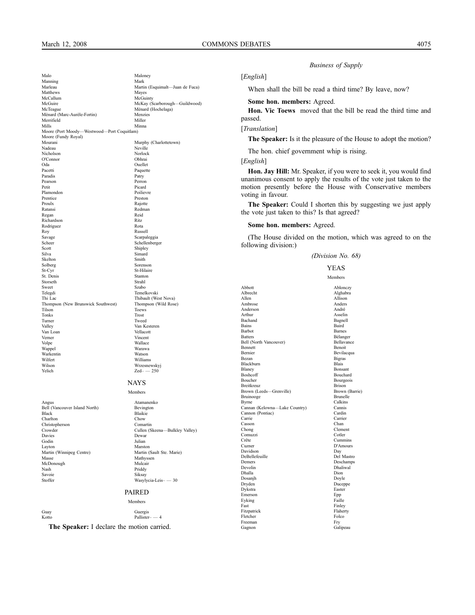Manning<br>Marleau

Matthews<br>McCallum

O'Connor<br>Oda

Paradis

**Rodriguez** 

Warkentin

Moore (Fundy Royal)

Maloney<br>Manning Mark<br>Mark Mark

McCallum McGuinty<br>McGuinty<br>McKay (S

Ménard (Marc-Aurèle-Fortin) Menzies<br>
Merrifield Miller Merrifield Miller Mills Minna Moore (Port Moody—Westwood—Port Coquitlam)

Nadeau Neville<br>Nicholson Norlock<br>Norlock Nicholson Norloc<br>O'Connor Obhrai

Oda Duellet<br>Pacetti Paquetti

Pearson Perron Perron Perron Perron Perron Perron Perron Perron Perron Perron Perron Perron Perron Perron Perron Perron Perron Perron Perron Perron Perron Perron Perron Perron Perron Perron Perron Perron Perron Perron Perr Petit Picard Plamondon Poilievre Prentice Preston<br>Proulx Raiotte Proulx Rajotte Ratansi Redman Regan Reid<br>Richardson Ritz Richardson Ritz

Roy Russell<br>Savage Scarpal Scarpal Savage Scarpaleggia<br>
Scheer Schellenberg<br>
Schellenberg Scheer Schellenberger Scott<br>Shipley Silva<br>Simard Silva Simard<br>Skelton Smith Skelton Smith Solberg Sorenson<br>St-Cyr St-Hilaire

St. Denis Stanton Stanton Standard Standard Strahl Storseth Strahl Sweet Szabo Szabo Telegdi Temelkovski<br>Thi Lac Thibault (We

Thompson (New Brunswick Southwest) Thompson (New Brunswick Southwest) Thompson (The Rose) Tilson Toews Tonks Trost

McGuire McKay (Scarborough—Guildwood) McTeague Ménard (Hochelaga)

Paquette<br>Patry

St-Hilaire<br>Stanton

Mourani Murphy (Charlottetown)<br>
Nadeau Neville

*Business of Supply*

#### [*English*]

When shall the bill be read a third time? By leave, now?

#### **Some hon. members:** Agreed.

**Hon. Vic Toews** moved that the bill be read the third time and passed.

#### [*Translation*]

**The Speaker:** Is it the pleasure of the House to adopt the motion?

The hon. chief government whip is rising.

[*English*]

**Hon. Jay Hill:** Mr. Speaker, if you were to seek it, you would find unanimous consent to apply the results of the vote just taken to the motion presently before the House with Conservative members voting in favour.

**The Speaker:** Could I shorten this by suggesting we just apply the vote just taken to this? Is that agreed?

#### **Some hon. members:** Agreed.

(The House divided on the motion, which was agreed to on the following division:)

#### *(Division No. 68)*

YEAS Members Abbott Ablonczy Albrecht Alghabra<br>
Allen Allison Allen Allison Ambrose Anders Anderson André Arthur Asselin Bachand Bagnell<br>Bains Baird Bains Baird<br>Barbot Barnes **Barnes** Belanger<br>Bell (North Vancouver)<br>Bellavance<br>Bellavance Bell (North Vancouver)<br>Bennett Bennett<br>Bennier Bennett<br>Bevilac Bernier Bevilacqua<br>Bezan Bigras Bigras Bigras<br>Blais Blackburn<br>Blaney Blaney Bonsant<br>Boshcoff Bouchard Boshcoff Bouchard Boucher Bourgeois<br>Breitkreuz Brison Brison Breitkreuz<br>Brown (Leeds—Grenville) Brown (Barrie) Brown (Leeds—Grenville) Brown (Brunooee Brunooee Brunolle Bruinooge Brunelle<br>Byrne Calkins Byrne Calkins Cannan (Kelowna—Lake Country) Cannis Cannon (Pontiac)<br>Carrie Carrier<br>Chan Casson<br>Chong Clement<br>Cotler Comuzzi<br>Crête Cummins Cuzner D'Amours Davidson Day DeBellefeuille Demers Deschamps<br>Devolin Dhaliwal Devolin Dhaliwal<br>Dhalla Dion Dion Dhalla Dion Dosanjh Doyle Duceppe<br>Easter Dykstra East<br>Emerson Enn Emerson Epp Epp Epistem Existence Experience Experience Epp Equilibrity Equilibrity Equilibrity Equilibrity Equilibrity Equilibrity Equilibrity Equilibrity Equilibrity Equilibrity Equilibrity Equilibrity Equilibrity Equili Eyking<br>Fast Finley<br>Flaherty Fitzpatrick Flaher<br>Flaher Flaher Folco Fletcher Freeman Fry Fry Gagnon Fry Gallery and the State of the State of the State of the State of the State of the State of the State of the State of the State of the State of the State of the State of the State of the State of t Galipeau

Thibault (West Nova)<br>Thompson (Wild Rose)

Martin (Esquimalt—Juan de Fuca)<br>Mayes

#### Turner Tweed Valley Van Kesteren Van Loan Vellacott Verner Vincent Volpe Wallace Wallace Wallace Wallace Wallace Wallace Wallace Wallace Wallace Wallace Wallace Wallace Wallace W Warawa<br>Watson Wilfert Williams<br>Wilson Wrzesnev Wilson Wrzesnewskyj  $Zed$ <sup>-</sup>  $-$  250

#### **NAYS**

Members

Blaikie

Angus Atamanenko<br>Bell (Vancouver Island North) Bevington Bell (Vancouver Island North)<br>Black Charlton Chow Christopherson Chow Comartin Christopherson<br>Crowder Crowder Cullen (Skeena—Bulkley Valley) Davies Dewar Godin Julian Layton Marston Marston Marston Martin (Winnipeg Centre) Martin (Sault Ste. Marie) Martin (Winnipeg Centre) Masse Mathyssen<br>McDonough Mulcair Mulcair McDonough Mulcair<br>
Mash Priddy<br>
Priddy Nash Priddy Savoie Siksay Stoffer Wasylycia-Leis– — 30

# PAIRED

#### Members

Guay Guergis Kotto Pallister– — 4

**The Speaker:** I declare the motion carried.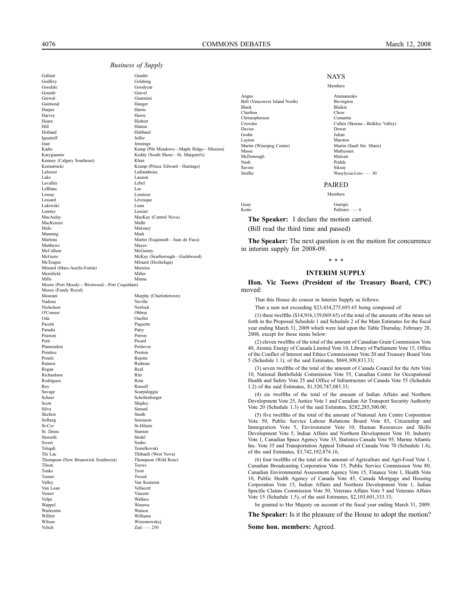Gallant Gaudet Godfrey Goldring Goodale Goodyear<br>Goodyear<br>Gravel Gravel Gourde Gravel Grewal Guarnieri<br>Guimond Hanger Guimond Hanger<br>Harner Harris Harper Harris Harvey Hawn Hearn Hawn<br>Hearn Hieber Hearn Hiebert Hinton<br>
Hinton Hinton Hill Hinton Holland Hubbard Ignatieff Jaffer Jean Jennings Kadis Kamp (Pitt Meadows—Maple Ridge—Mission)<br> Karygiannis Keddy (South Shore—St. Margaret's) Kenney (Calgary Southeast)<br>Komarnicki Komarnicki Kramp (Prince Edward—Hastings)<br>Laforest Laframboise Laforest Laforest Laframbois<br>
Lake Lauzon<br>
Lauzon Lake Lauzon Lavallée Lebel LeBlanc Lemay Lemieux Lemieux Lemieux Lemieux Lemieux Lemieux Lemieux Lemieux Lemieux Lemieux Lemieux Lemieux Lemieux Lemieux Lemieux Lemieux Lemieux Lemieux Lemieux Lemieux Lemieux Lemieux Lemieux Lemieux Lemieux Lemieux Lemieux Lukiwski Lunn Lunney Lussier<br>MacAulay MacKa MacKenzie<br>Malo Manning Mark Matthews McCallum McGuinty<br>McGuire McKay (S McGuire McKay (Scarborough—Guildwood)<br>McTeague Ménard (Hochelaga) Ménard (Marc-Aurèle-Fortin) Menzies<br>Merrifield Miller Merrifield Miller Mills Minna Moore (Port Moody—Westwood—Port Coquitlam) Moore (Fundy Royal) Mourani Murphy (Charlottetown) Nadeau Neville<br>Nicholson Norlock Northern  $O'C$ onnor Oda Duellet<br>Pacetti Paquetti Pacetti Paradis<br>
Paradis<br>
Patry Patry Paradis Patry Pearson Perron Perron Perron Perron Perron Perron Perron Perron Perron Perron Perron Perron Perron Perron Perron Perron Perron Perron Perron Perron Perron Perron Perron Perron Perron Perron Perron Perron Perron Perron Perr Petit Picard Plamondon Poilievre<br>Prentice Preston Preston Prentice<br>Proulx Ratansi Redman<br>Regan Redman<br>Reid Regan Reid<br>Richardson Ritz Richardson Ritz<br>Rodriguez Rota Rodriguez Roy Russell Savage Scheer Scarpaleggia<br>Scheer Schellenberg Schellenberger<br>
Schellenberger<br>
Schellenberger<br>
Schellenberger Scott<br>Silva Simard<br>Silva Simard Silva Simard Skelton Smith<br>Solberg Soren Solberg Solberg Sorenson<br>St-Cyr St-Hilair St. Denis Stanton<br>Storseth Strahl Storseth Strahl<br>Sweet Szabo Sweet Szabo Szabo Telegdi Temelkovski Thi Lac Thibault (West Nova)<br>Thompson (New Brunswick Southwest) Thompson (Wild Rose) Thompson (New Brunswick Southwest)<br>Tilson Tonks Trost<br>Turner Tweed Turner Tweed Valley Van Kesteren Van Loan Vellacott Van Loan Vellacott van Loan Vellacott van Vellacott van Vellacott van Vellacott van Vellacott van Vellacott van Vellacott van Vellacott van Vellacott van Vellacott van Vellacott van Vellacott van Vellaco Verner Vincent Volpe Wallace Wappel Warawa<br>Warkentin Watson Watson Warkentin<br>Wilfert Wilfert Williams<br>Wilson Wrzesney Yelich Zed– — 250

Keddy (South Shore—St. Margaret's)<br>Khan Lévesque MacKay (Central Nova)<br>Malhi Maloney Martin (Esquimalt—Juan de Fuca)<br>Maves Ménard (Hochelaga)<br>Menzies Norlock<br>Obhrai Rajotte St-Hilaire Toews Wrzesnewskyj

```
Angus Atamanenko
Bell (Vancouver Island North) Bevington
Black Blaikie<br>Charlton Chow
Charlton Charlton Charlton Charlton Charlton Charles Charles Computing Charles Computing Charles Computing Charles Computing Charles Computing Charles Computing Charles Computing Charles Computing Charles Computing Charles
Christopherson
Davies Dewar<br>Godin<br>Julian
Godin Julian
Layton Marston<br>Martin (Winnipeg Centre) Martin (Sault Ste. Marie)
Martin (Winnipeg Centre)<br>Masse
McDonough Mulcair Mulcair Mulcair Mulcair Mash Priddy
Nash Priddy
Savoie Siksay<br>Steffer Wasvl
```
Members Crowder Cullen (Skeena—Bulkley Valley) Mathyssen<br>Mulcair Wasylycia-Leis- — 30

PAIRED

**NAYS** 

Members

Guay Guergis Kotto Pallister– — 4

**The Speaker:** I declare the motion carried.

(Bill read the third time and passed)

**The Speaker:** The next question is on the motion for concurrence in interim supply for 2008-09.

### **\* \* \***

#### **INTERIM SUPPLY**

**Hon. Vic Toews (President of the Treasury Board, CPC)** moved:

That this House do concur in Interim Supply as follows:

That a sum not exceeding \$23,434,275,693.65 being composed of:

(1) three twelfths (\$14,916,139,069.65) of the total of the amounts of the items set forth in the Proposed Schedule 1 and Schedule 2 of the Main Estimates for the fiscal year ending March 31, 2009 which were laid upon the Table Thursday, February 28, 2008, except for those items below:

(2) eleven twelfths of the total of the amount of Canadian Grain Commission Vote 40, Atomic Energy of Canada Limited Vote 10, Library of Parliament Vote 15, Office of the Conflict of Interest and Ethics Commissioner Vote 20 and Treasury Board Vote 5 (Schedule 1.1), of the said Estimates, \$869,309,833.33;

(3) seven twelfths of the total of the amount of Canada Council for the Arts Vote 10, National Battlefields Commission Vote 55, Canadian Centre for Occupational Health and Safety Vote 25 and Office of Infrastructure of Canada Vote 55 (Schedule 1.2) of the said Estimates, \$1,520,747,083.33;

(4) six twelfths of the total of the amount of Indian Affairs and Northern Development Vote 25, Justice Vote 1 and Canadian Air Transport Security Authority Vote 20 (Schedule 1.3) of the said Estimates, \$282,285,500.00;

(5) five twelfths of the total of the amount of National Arts Centre Corporation Vote 50, Public Service Labour Relations Board Vote 85, Citizenship and Immigration Vote 5, Environment Vote 10, Human Resources and Skills Development Vote 5, Indian Affairs and Northern Development Vote 10, Industry Vote 1, Canadian Space Agency Vote 35, Statistics Canada Vote 95, Marine Atlantic Inc. Vote 35 and Transportation Appeal Tribunal of Canada Vote 70 (Schedule 1.4), of the said Estimates, \$3,742,192,874.16;

(6) four twelfths of the total of the amount of Agriculture and Agri-Food Vote 1, Canadian Broadcasting Corporation Vote 15, Public Service Commission Vote 80, Canadian Environmental Assessment Agency Vote 15, Finance Vote 1, Health Vote 10, Public Health Agency of Canada Vote 45, Canada Mortgage and Housing Corporation Vote 15, Indian Affairs and Northern Development Vote 1, Indian Specific Claims Commission Vote 50, Veterans Affairs Vote 5 and Veterans Affairs Vote 15 (Schedule 1.5), of the said Estimates, \$2,103,601,333.33;

be granted to Her Majesty on account of the fiscal year ending March 31, 2009.

**The Speaker:** Is it the pleasure of the House to adopt the motion?

**Some hon. members:** Agreed.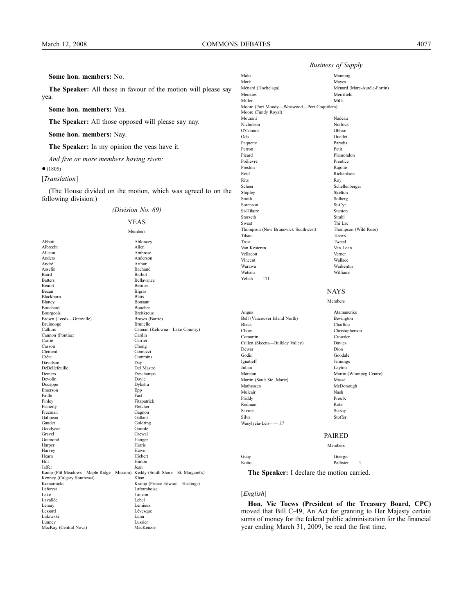#### **Some hon. members:** No.

**The Speaker:** All those in favour of the motion will please say yea.

**Some hon. members:** Yea.

**The Speaker:** All those opposed will please say nay.

**Some hon. members:** Nay.

**The Speaker:** In my opinion the yeas have it.

*And five or more members having risen:*

●(1805)

[*Translation*]

(The House divided on the motion, which was agreed to on the following division:)

#### *(Division No. 69)*



Members Abbott Ablonczy Albrecht Allen Allison Ambrose<br>Anders Anderson Anders Anderson Arthur Asselin Bachand Baird Barbot<br>Batters Bellava Bellavance Benoit Bernier Bezan Bigras Blackburn<br>Blaney Bonsant<br>Boucher Bouchard Bouchard Bouchard<br>Bouchard Bouchard<br>Breitkreuz Bourgeois<br>Brown (Leeds—Grenville) Brown (Barrie) Brown (Leeds—Grenville) Brown (Brunooge Brunelle Bruinooge<br>Calkins Cannan (Kelowna--Lake Country) Cannon (Pontiac) Cardin Carrie Carrier Casson<br>Clement Chong<br>Clement Comuz Comuzzi Crête Cummins Davidson Day DeBellefeuille Demers Deschamps<br>Devolin Doyle Doyle Devolin Doyle Duceppe Dykstra Duceppe Dyks<br>
Emerson Epp Baille Fast Emerson<br>Faille Faille **Faille** Fast Finley Fitzpatrick<br>Flaherty Fletcher Fletcher Flaherty<br>Freeman Gagnon<br>Gallant Galipeau Gaudet Goldring<br>Goodyear Gourde Gourde Goodyear<br>Gravel Gravel Grewal Grewal<br>Guimond Hanger Hanger<br>Harris Harper Harris<br>Harvey Hawn<br>Hawn Harvey Hawn<br>Hearn Hiebert Hiebert Hearn Hiebert Hill Hinton Jaffer Jean Kamp (Pitt Meadows—Maple Ridge—Mission) Keddy (South Shore—St. Margaret's) Kenney (Calgary Southeast) Khan<br>Komarnicki Kram Komarnicki Kramp (Prince Edward—Hastings)<br>Laforest Laframboise Laforest Laframboise Lake Lauzon Lauzon<br>Lavallée Lebel Lebel Lavallée Lebel<br>Lemav Lemieux Lemieux Lemay<br>Lessard Lévesque<br>Lunn Lukiwski<br>Lunney Lunn Lunn Lunn Lunney Lussier MacKay (Central Nova)

| Malo                                                              | Manning                     |
|-------------------------------------------------------------------|-----------------------------|
| Mark                                                              | Mayes                       |
| Ménard (Hochelaga)                                                | Ménard (Marc-Aurèle-Fortin) |
| Menzies                                                           | Merrifield                  |
| Miller                                                            | Mills                       |
| Moore (Port Moody-Westwood-Port Coquitlam)<br>Moore (Fundy Royal) |                             |
| Mourani                                                           | Nadeau                      |
| Nicholson                                                         | Norlock                     |
| O'Connor                                                          | Obhrai                      |
| Oda                                                               | Ouellet                     |
| Paquette                                                          | Paradis                     |
| Perron                                                            | Petit                       |
| Picard                                                            | Plamondon                   |
| Poilievre                                                         | Prentice                    |
| Preston                                                           | Rajotte                     |
| Reid                                                              | Richardson                  |
| Ritz.                                                             | Roy                         |
| Scheer                                                            | Schellenberger              |
| Shipley                                                           | Skelton                     |
| Smith                                                             | Solberg                     |
| Sorenson                                                          | St-Cyr                      |
| St-Hilaire                                                        | Stanton                     |
| Storseth                                                          | Strahl                      |
| Sweet                                                             | Thi Lac                     |
| Thompson (New Brunswick Southwest)                                | Thompson (Wild Rose)        |
| Tilson                                                            | Toews                       |
| Trost                                                             | Tweed                       |
| Van Kesteren                                                      | Van Loan                    |
| Vellacott                                                         | Verner                      |
| Vincent                                                           | Wallace                     |
| Warawa                                                            | Warkentin                   |
| Watson                                                            | Williams                    |
| $Yelich - 171$                                                    |                             |
|                                                                   | <b>NAYS</b>                 |
|                                                                   | Members                     |

Angus Atamanenko<br>Bell (Vancouver Island North) Bevington Bell (Vancouver Island North)<br>Black Black Charlton<br>Chow Christop Christopherson<br>Crowder Comartin Cullen (Skeena—Bulkley Valley) Davies Dewar Dion Godin Goodale **Goodale** Ignatieff Jennings<br>
Julian Lavton<br>
Lavton Layton Marston Martin (Winnipeg Centre) Martin (Sault Ste. Marie) Masse Mathyssen McDonough Mulcair Nash Priddy Proulx Redman Rota Savoie Siksay Silva Stoffer Wasylycia-Leis– — 37 PAIRED Members

Kotto Pallister– — 4

Guay Guergis

**The Speaker:** I declare the motion carried.

#### [*English*]

**Hon. Vic Toews (President of the Treasury Board, CPC)** moved that Bill C-49, An Act for granting to Her Majesty certain sums of money for the federal public administration for the financial year ending March 31, 2009, be read the first time.

#### *Business of Supply*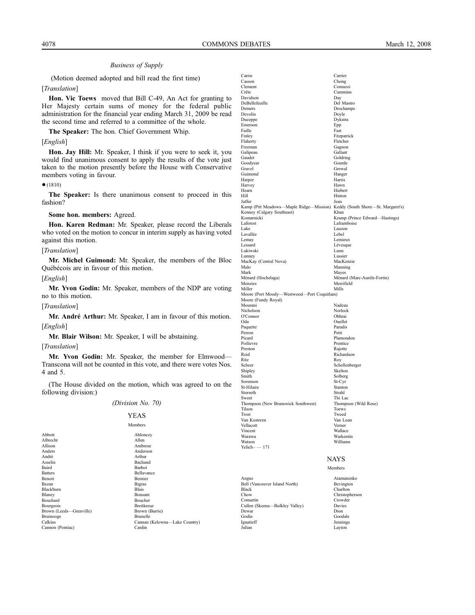(Motion deemed adopted and bill read the first time)

#### [*Translation*]

**Hon. Vic Toews** moved that Bill C-49, An Act for granting to Her Majesty certain sums of money for the federal public administration for the financial year ending March 31, 2009 be read the second time and referred to a committee of the whole.

**The Speaker:** The hon. Chief Government Whip.

#### [*English*]

**Hon. Jay Hill:** Mr. Speaker, I think if you were to seek it, you would find unanimous consent to apply the results of the vote just taken to the motion presently before the House with Conservative members voting in favour.

#### ●(1810)

**The Speaker:** Is there unanimous consent to proceed in this fashion?

#### **Some hon. members:** Agreed.

**Hon. Karen Redman:** Mr. Speaker, please record the Liberals who voted on the motion to concur in interim supply as having voted against this motion.

#### [*Translation*]

**Mr. Michel Guimond:** Mr. Speaker, the members of the Bloc Québécois are in favour of this motion.

#### [*English*]

**Mr. Yvon Godin:** Mr. Speaker, members of the NDP are voting no to this motion.

[*Translation*]

**Mr. André Arthur:** Mr. Speaker, I am in favour of this motion. [*English*]

**Mr. Blair Wilson:** Mr. Speaker, I will be abstaining.

#### [*Translation*]

**Mr. Yvon Godin:** Mr. Speaker, the member for Elmwood— Transcona will not be counted in this vote, and there were votes Nos. 4 and 5.

(The House divided on the motion, which was agreed to on the following division:)

# *(Division No. 70)* YEAS

|                         | <b>Members</b>                |
|-------------------------|-------------------------------|
| Abbott                  | Ablonczy                      |
| Albrecht                | Allen                         |
| Allison                 | Ambrose                       |
| Anders                  | Anderson                      |
| André                   | Arthur                        |
| Asselin                 | Bachand                       |
| Baird                   | <b>Barbot</b>                 |
| <b>Batters</b>          | <b>Bellavance</b>             |
| <b>Benoit</b>           | <b>Bernier</b>                |
| Bezan                   | <b>Bigras</b>                 |
| <b>Blackburn</b>        | <b>Blais</b>                  |
| Blaney                  | <b>Bonsant</b>                |
| <b>Bouchard</b>         | <b>Boucher</b>                |
| Bourgeois               | Breitkreuz                    |
| Brown (Leeds—Grenville) | Brown (Barrie)                |
| Bruinooge               | <b>Brunelle</b>               |
| Calkins                 | Cannan (Kelowna-Lake Country) |
| Cannon (Pontiac)        | Cardin                        |
|                         |                               |

| Carrie                                                                     | Carrier                        |
|----------------------------------------------------------------------------|--------------------------------|
| Casson                                                                     | Chong                          |
| Clement                                                                    | Comuzzi                        |
| Crête                                                                      | Cummins                        |
| Davidson                                                                   | Day                            |
| DeBellefeuille                                                             | Del Mastro                     |
| Demers<br>Devolin                                                          | Deschamps<br>Doyle             |
| Duceppe                                                                    | Dykstra                        |
| Emerson                                                                    | Epp                            |
| Faille                                                                     | Fast                           |
| Finley                                                                     | Fitzpatrick                    |
| Flaherty                                                                   | Fletcher                       |
| Freeman                                                                    | Gagnon                         |
| Galipeau                                                                   | Gallant                        |
| Gaudet                                                                     | Goldring                       |
| Goodyear                                                                   | Gourde                         |
| Gravel                                                                     | Grewal                         |
| Guimond                                                                    | Hanger                         |
| Harper                                                                     | Harris<br>Hawn                 |
| Harvey<br>Hearn                                                            | Hiebert                        |
| Hill                                                                       | Hinton                         |
| Jaffer                                                                     | Jean                           |
| Kamp (Pitt Meadows-Maple Ridge-Mission) Keddy (South Shore-St. Margaret's) |                                |
| Kenney (Calgary Southeast)                                                 | Khan                           |
| Komarnicki                                                                 | Kramp (Prince Edward-Hastings) |
| Laforest                                                                   | Laframboise                    |
| Lake                                                                       | Lauzon                         |
| Lavallée                                                                   | Lebel                          |
| Lemay                                                                      | Lemieux                        |
| Lessard                                                                    | Lévesque                       |
| Lukiwski                                                                   | Lunn                           |
| Lunney                                                                     | Lussier                        |
| MacKay (Central Nova)<br>Malo                                              | MacKenzie                      |
| Mark                                                                       | Manning<br>Mayes               |
| Ménard (Hochelaga)                                                         | Ménard (Marc-Aurèle-Fortin)    |
| Menzies                                                                    | Merrifield                     |
| Miller                                                                     | Mills                          |
| Moore (Port Moody-Westwood-Port Coquitlam)                                 |                                |
| Moore (Fundy Royal)                                                        |                                |
| Mourani                                                                    | Nadeau                         |
| Nicholson                                                                  | Norlock                        |
| O'Connor                                                                   | Obhrai                         |
| Oda                                                                        | Ouellet                        |
| Paquette                                                                   | Paradis                        |
| Perron                                                                     | Petit                          |
| Picard                                                                     | Plamondon                      |
| Poilievre                                                                  | Prentice                       |
| Preston<br>Reid                                                            | Rajotte<br>Richardson          |
| Ritz                                                                       | Roy                            |
| Scheer                                                                     | Schellenberger                 |
| Shipley                                                                    | Skelton                        |
| Smith                                                                      | Solberg                        |
| Sorenson                                                                   | St-Cyr                         |
| St-Hilaire                                                                 | Stanton                        |
| Storseth                                                                   | Strahl                         |
| Sweet                                                                      | Thi Lac                        |
| Thompson (New Brunswick Southwest)                                         | Thompson (Wild Rose)           |
| Tilson                                                                     | Toews                          |
| Trost                                                                      | Tweed                          |
| Van Kesteren                                                               | Van Loan                       |
| Vellacott<br>Vincent                                                       | Verner<br>Wallace              |
| Warawa                                                                     | Warkentin                      |
| Watson                                                                     | Williams                       |
| $Yelich--171$                                                              |                                |
|                                                                            |                                |
|                                                                            | NAYS                           |

Members

Bell (Vancouver Island North)<br>Black

Ignatieff<br>Julian

Angus Atamanenko Black Charlton Charlton<br>Charlton Charlton Charlton Charlton Charlton Charlton Charlton Charlton Charlton Charlton Charlton Charlton Charlton Charlton Charlton Charlton Charlton Charlton Charlton Charlton Charlton Charlton Chow Christopherson Crowder<br>Davies Cullen (Skeena—Bulkley Valley) Davie<br>Dewar Dion Dewar Dion Godin<br>
Goodale<br>
Ignatieff<br>
Jennings Layton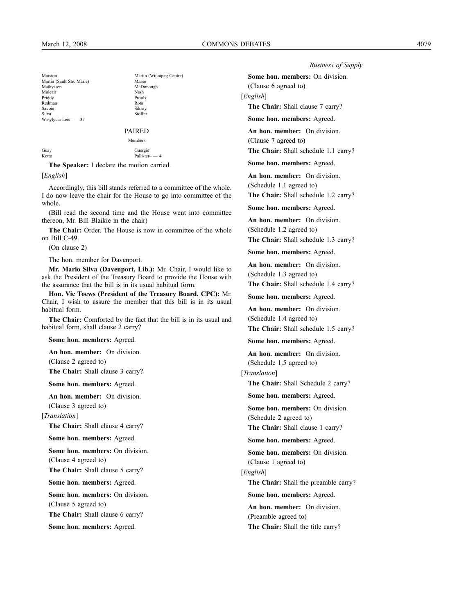Marston Martin (Winnipeg Centre)<br>
Martin (Sault Ste Marie) Masse Martin (Sault Ste. Marie) Mathyssen McDonough<br>Mulcair Nash Nash Mulcair Nash<br>Priddy Proulx Priddy Proulx Redman Rota<br>Savoie Siksay Savoie Siksay Siksay<br>Silva Stoffer Silva Stoffer Wasylycia-Leis– — 37

Pallister- — 4

# PAIRED

# Members

Guergis<br>
Kotto Pallister<br>
Pallister

**The Speaker:** I declare the motion carried.

[*English*]

Accordingly, this bill stands referred to a committee of the whole. I do now leave the chair for the House to go into committee of the whole.

(Bill read the second time and the House went into committee thereon, Mr. Bill Blaikie in the chair)

**The Chair:** Order. The House is now in committee of the whole on Bill C-49.

(On clause 2)

The hon. member for Davenport.

**Mr. Mario Silva (Davenport, Lib.):** Mr. Chair, I would like to ask the President of the Treasury Board to provide the House with the assurance that the bill is in its usual habitual form.

**Hon. Vic Toews (President of the Treasury Board, CPC):** Mr. Chair, I wish to assure the member that this bill is in its usual habitual form.

**The Chair:** Comforted by the fact that the bill is in its usual and habitual form, shall clause 2 carry?

**Some hon. members:** Agreed.

**An hon. member:** On division.

(Clause 2 agreed to)

**The Chair:** Shall clause 3 carry?

**Some hon. members:** Agreed.

**An hon. member:** On division.

(Clause 3 agreed to) [*Translation*]

**The Chair:** Shall clause 4 carry?

**Some hon. members:** Agreed.

**Some hon. members:** On division. (Clause 4 agreed to)

**The Chair:** Shall clause 5 carry?

**Some hon. members:** Agreed.

**Some hon. members:** On division. (Clause 5 agreed to) **The Chair:** Shall clause 6 carry?

**Some hon. members:** Agreed.

*Business of Supply*

**Some hon. members:** On division.

(Clause 6 agreed to) [*English*]

**The Chair:** Shall clause 7 carry?

**Some hon. members:** Agreed.

**An hon. member:** On division. (Clause 7 agreed to)

**The Chair:** Shall schedule 1.1 carry?

**Some hon. members:** Agreed.

**An hon. member:** On division. (Schedule 1.1 agreed to)

**The Chair:** Shall schedule 1.2 carry?

**Some hon. members:** Agreed.

**An hon. member:** On division.

(Schedule 1.2 agreed to) **The Chair:** Shall schedule 1.3 carry?

**Some hon. members:** Agreed.

**An hon. member:** On division.

(Schedule 1.3 agreed to)

**The Chair:** Shall schedule 1.4 carry?

**Some hon. members:** Agreed.

**An hon. member:** On division. (Schedule 1.4 agreed to)

**The Chair:** Shall schedule 1.5 carry?

**Some hon. members:** Agreed.

**An hon. member:** On division. (Schedule 1.5 agreed to)

[*Translation*]

**The Chair:** Shall Schedule 2 carry?

**Some hon. members:** Agreed.

**Some hon. members:** On division. (Schedule 2 agreed to)

**The Chair:** Shall clause 1 carry?

**Some hon. members:** Agreed.

**Some hon. members:** On division. (Clause 1 agreed to)

[*English*]

**The Chair:** Shall the preamble carry?

**Some hon. members:** Agreed.

**An hon. member:** On division. (Preamble agreed to) **The Chair:** Shall the title carry?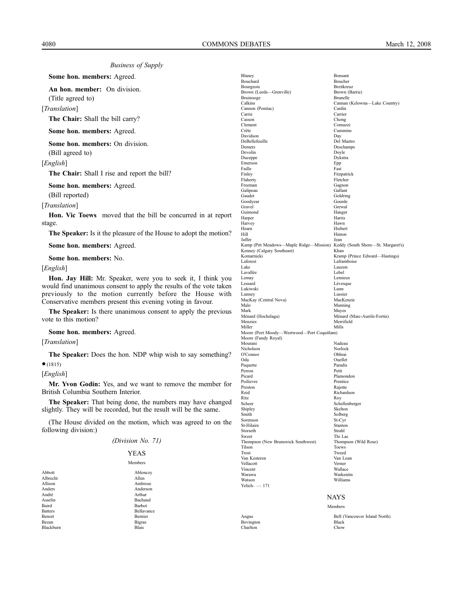**Some hon. members:** Agreed.

**An hon. member:** On division.

(Title agreed to)

[*Translation*]

**The Chair:** Shall the bill carry?

**Some hon. members:** Agreed.

**Some hon. members:** On division.

(Bill agreed to)

[*English*]

**The Chair:** Shall I rise and report the bill?

**Some hon. members:** Agreed.

(Bill reported)

[*Translation*]

**Hon. Vic Toews** moved that the bill be concurred in at report stage.

**The Speaker:** Is it the pleasure of the House to adopt the motion?

**Some hon. members:** Agreed.

**Some hon. members:** No.

[*English*]

**Hon. Jay Hill:** Mr. Speaker, were you to seek it, I think you would find unanimous consent to apply the results of the vote taken previously to the motion currently before the House with Conservative members present this evening voting in favour.

**The Speaker:** Is there unanimous consent to apply the previous vote to this motion?

**Some hon. members:** Agreed.

#### [*Translation*]

**The Speaker:** Does the hon. NDP whip wish to say something? ●(1815)

[*English*]

**Mr. Yvon Godin:** Yes, and we want to remove the member for British Columbia Southern Interior.

**The Speaker:** That being done, the numbers may have changed slightly. They will be recorded, but the result will be the same.

(The House divided on the motion, which was agreed to on the following division:)

| (Division No. 71) |  |  |
|-------------------|--|--|
|-------------------|--|--|

#### YEAS

| Member | × |
|--------|---|
|        |   |

| Albrecht<br>Allen<br>Allison |            |
|------------------------------|------------|
|                              |            |
|                              | Ambrose    |
| Anders                       | Anderson   |
| André<br>Arthur              |            |
| Asselin                      | Bachand    |
| Baird<br>Barbot              |            |
| <b>Batters</b>               | Bellavance |
| Benoit                       | Bernier    |
| Bezan<br><b>Bigras</b>       |            |
| Blais<br>Blackburn           |            |

| Blaney                                                                                                   | Bonsant                                 |
|----------------------------------------------------------------------------------------------------------|-----------------------------------------|
| Bouchard                                                                                                 | Boucher                                 |
| Bourgeois                                                                                                | Breitkreuz                              |
| Brown (Leeds-Grenville)                                                                                  | Brown (Barrie)                          |
| Bruinooge<br>Calkins                                                                                     | <b>Brunelle</b>                         |
| Cannon (Pontiac)                                                                                         | Cannan (Kelowna-Lake Country)<br>Cardin |
| Carrie                                                                                                   | Carrier                                 |
| Casson                                                                                                   | Chong                                   |
| Clement                                                                                                  | Comuzzi                                 |
| Crête                                                                                                    | Cummins                                 |
| Davidson                                                                                                 | Day                                     |
| DeBellefeuille                                                                                           | Del Mastro                              |
| Demers                                                                                                   | Deschamps                               |
| Devolin                                                                                                  | Doyle                                   |
| Duceppe                                                                                                  | Dykstra                                 |
| Emerson<br>Faille                                                                                        | Epp<br>Fast                             |
| Finley                                                                                                   | Fitzpatrick                             |
| Flaherty                                                                                                 | Fletcher                                |
| Freeman                                                                                                  | Gagnon                                  |
| Galipeau                                                                                                 | Gallant                                 |
| Gaudet                                                                                                   | Goldring                                |
| Goodyear                                                                                                 | Gourde                                  |
| Gravel                                                                                                   | Grewal                                  |
| Guimond                                                                                                  | Hanger                                  |
| Harper                                                                                                   | Harris                                  |
| Harvey                                                                                                   | Hawn                                    |
| Hearn                                                                                                    | Hiebert                                 |
| Hill                                                                                                     | Hinton                                  |
| Jaffer                                                                                                   | Jean                                    |
| Kamp (Pitt Meadows-Maple Ridge-Mission) Keddy (South Shore-St. Margaret's)<br>Kenney (Calgary Southeast) | Khan                                    |
| Komarnicki                                                                                               | Kramp (Prince Edward-Hastings)          |
| Laforest                                                                                                 | Laframboise                             |
| Lake                                                                                                     | Lauzon                                  |
| Lavallée                                                                                                 | Lebel                                   |
| Lemay                                                                                                    | Lemieux                                 |
| Lessard                                                                                                  | Lévesque                                |
| Lukiwski                                                                                                 | Lunn                                    |
| Lunney                                                                                                   | Lussier                                 |
| MacKay (Central Nova)                                                                                    | MacKenzie                               |
| Malo                                                                                                     | Manning                                 |
| Mark<br>Ménard (Hochelaga)                                                                               | Mayes<br>Ménard (Marc-Aurèle-Fortin)    |
| Menzies                                                                                                  | Merrifield                              |
| Miller                                                                                                   | Mills                                   |
| Moore (Port Moody-Westwood-Port Coquitlam)                                                               |                                         |
| Moore (Fundy Royal)                                                                                      |                                         |
| Mourani                                                                                                  | Nadeau                                  |
| Nicholson                                                                                                | Norlock                                 |
| O'Connor                                                                                                 | Obhrai                                  |
| Oda                                                                                                      | Ouellet                                 |
| Paquette                                                                                                 | Paradis                                 |
| Perron                                                                                                   | Petit<br>Plamondon                      |
| Picard<br>Poilievre                                                                                      | Prentice                                |
| Preston                                                                                                  | Rajotte                                 |
| Reid                                                                                                     | Richardson                              |
| Ritz                                                                                                     | Roy                                     |
| Scheer                                                                                                   | Schellenberger                          |
| Shipley                                                                                                  | Skelton                                 |
| Smith                                                                                                    | Solberg                                 |
| Sorenson                                                                                                 | St-Cyr                                  |
| St-Hilaire                                                                                               | Stanton                                 |
| Storseth                                                                                                 | Strahl                                  |
| Sweet                                                                                                    | Thi Lac                                 |
| Thompson (New Brunswick Southwest)                                                                       | Thompson (Wild Rose)                    |
| Tilson<br>Trost                                                                                          | Toews<br>Tweed                          |
| Van Kesteren                                                                                             | Van Loan                                |
| Vellacott                                                                                                | Verner                                  |
| Vincent                                                                                                  | Wallace                                 |
| Warawa                                                                                                   | Warkentin                               |
| Watson                                                                                                   | Williams                                |
| $Yelich$ $- 171$                                                                                         |                                         |
|                                                                                                          |                                         |

NAYS

Members

Charlton

Angus Bell (Vancouver Island North) Bevington Black<br>Charlton Chow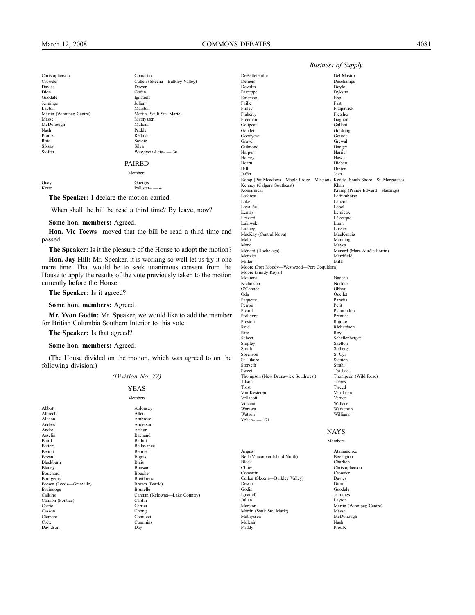Christopherson Comartin<br>Crowder Cullen (S Davies Dewar<br>Dion Godin Dion Godin<br>Goodale Ionatic Jennings<br>Layton Martin (Winnipeg Centre)<br>Masse McDonough Nash Priddy Proulx Redman Siksay Silva

Cullen (Skeena—Bulkley Valley) Ignatieff<br>Julian Marston<br>Martin (Sault Ste, Marie) Mathyssen<br>Mulcair Savoie Stoffer Wasylycia-Leis– — 36 PAIRED

#### Members

Guay Guergis<br>Kotto Pallister  $Pallister- = 4$ 

**The Speaker:** I declare the motion carried.

When shall the bill be read a third time? By leave, now?

#### **Some hon. members:** Agreed.

**Hon. Vic Toews** moved that the bill be read a third time and passed.

**The Speaker:** Is it the pleasure of the House to adopt the motion?

**Hon. Jay Hill:** Mr. Speaker, it is working so well let us try it one more time. That would be to seek unanimous consent from the House to apply the results of the vote previously taken to the motion currently before the House.

**The Speaker:** Is it agreed?

#### **Some hon. members:** Agreed.

**Mr. Yvon Godin:** Mr. Speaker, we would like to add the member for British Columbia Southern Interior to this vote.

**The Speaker:** Is that agreed?

#### **Some hon. members:** Agreed.

(The House divided on the motion, which was agreed to on the following division:)

#### *(Division No. 72)*

#### YEAS

#### Members

Cummins<br>Day

Abbott Ablonczy Albrecht<br>Allison Allison Ambrose<br>Anders Anders Anders Anders Anderson André Arthur Asselin Bachand Baird Barbot<br>Batters Bellava Batters Bellavance<br>Benoit Bernier Bellavance Benoit Bernier Blackburn<br>Blanev Bouchard Boucher Bourgeois Breitkreuz<br>Brown (Leeds—Grenville) Brown (Barrie) Brown (Leeds—Grenville) Brown (Brown (Brune) Brown (Brunelle Bruinooge<br>Calkins Cannon (Pontiac)<br>Carrie Carrie Carrier Carrier Carrier Carrier Carrier Carrier Carrier Company (1999) Casson Chong Clement Comuzzi<br>Crête Cummins Davidson

Bigras<br>Blais Bonsant<br>Boucher Cannan (Kelowna—Lake Country)<br>Cardin

| DeBellefeuille<br>Demers                                                   | Del Mastro<br>Deschamps        |
|----------------------------------------------------------------------------|--------------------------------|
|                                                                            |                                |
| Devolin<br>Duceppe                                                         | Doyle<br>Dykstra               |
| Emerson                                                                    | Epp                            |
| Faille                                                                     | Fast                           |
| Finley                                                                     | Fitzpatrick                    |
| Flaherty                                                                   | Fletcher                       |
| Freeman                                                                    |                                |
|                                                                            | Gagnon                         |
| Galipeau                                                                   | Gallant                        |
| Gaudet<br>Goodyear                                                         | Goldring<br>Gourde             |
|                                                                            |                                |
| Gravel                                                                     | Grewal                         |
| Guimond                                                                    | Hanger                         |
| Harper                                                                     | Harris<br>Hawn                 |
| Harvey                                                                     | Hiebert                        |
| Hearn<br>Hill                                                              |                                |
|                                                                            | Hinton                         |
| Jaffer                                                                     | Jean                           |
| Kamp (Pitt Meadows—Maple Ridge—Mission) Keddy (South Shore—St. Margaret's) |                                |
| Kenney (Calgary Southeast)                                                 | Khan                           |
| Komarnicki                                                                 | Kramp (Prince Edward—Hastings) |
| Laforest                                                                   | Laframboise                    |
| Lake                                                                       | Lauzon                         |
| Lavallée                                                                   | Lebel                          |
| Lemay                                                                      | Lemieux                        |
| Lessard                                                                    | Lévesque                       |
| Lukiwski                                                                   | Lunn                           |
| Lunney                                                                     | Lussier                        |
| MacKay (Central Nova)                                                      | MacKenzie                      |
| Malo                                                                       | Manning                        |
| Mark                                                                       | Mayes                          |
| Ménard (Hochelaga)                                                         | Ménard (Marc-Aurèle-Fortin)    |
| Menzies                                                                    | Merrifield                     |
| Miller                                                                     | Mills                          |
| Moore (Port Moody-Westwood-Port Coquitlam)                                 |                                |
| Moore (Fundy Royal)                                                        |                                |
| Mourani                                                                    | Nadeau                         |
| Nicholson                                                                  | Norlock                        |
| O'Connor                                                                   | Obhrai                         |
| Oda                                                                        | Ouellet                        |
| Paquette                                                                   | Paradis                        |
| Perron                                                                     | Petit                          |
| Picard                                                                     | Plamondon                      |
| Poilievre                                                                  | Prentice                       |
| Preston                                                                    | Rajotte                        |
| Reid                                                                       | Richardson                     |
| Ritz                                                                       | Roy                            |
| Scheer                                                                     | Schellenberger                 |
| Shipley                                                                    | Skelton                        |
| Smith                                                                      | Solberg                        |
| Sorenson                                                                   | St-Cyr                         |
| St-Hilaire                                                                 | Stanton                        |
| Storseth                                                                   | Strahl                         |
| Sweet                                                                      | Thi Lac                        |
| Thompson (New Brunswick Southwest)                                         | Thompson (Wild Rose)           |
| Tilson                                                                     | Toews                          |
| Trost                                                                      | Tweed                          |
| Van Kesteren                                                               | Van Loan                       |
| Vellacott                                                                  | Verner                         |
| Vincent                                                                    | Wallace                        |
| Warawa                                                                     | Warkentin                      |
| Watson                                                                     | Williams                       |
| $Yelich - 171$                                                             |                                |
|                                                                            |                                |
|                                                                            | <b>NAYS</b>                    |
|                                                                            |                                |
|                                                                            |                                |

Angus Atamanenko Bell (Vancouver Island North) Black Charlton<br>
Charlton<br>
Christophe Comartin Cullen (Skeena—Bulkley Valley) Davies Dewar<br>Godin Godin Goodale<br>
Ignatieff Jennings Ignatieff Jennings Julian Layton Martin (Sault Ste. Marie)<br>Mathyssen Mulcair<br>Priddy

# Members Christoph<br>Crowder Martin (Winnipeg Centre)<br>Masse McDonough<br>Nash Proulx

#### *Business of Supply*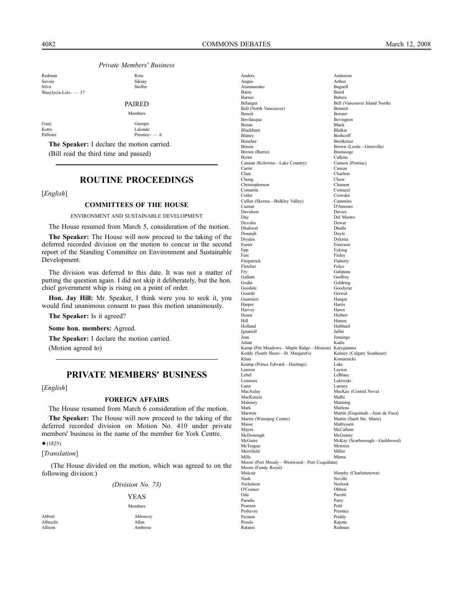Redman Rota<br>Savoie Siksav Savoie Siksay Silva Stoffer Wasylycia-Leis– — 37

## PAIRED

|           | Members        |
|-----------|----------------|
| Guay      | Guergis        |
| Kotto     | Lalonde        |
| Pallister | Prentice $-$ 6 |
|           |                |

**The Speaker:** I declare the motion carried. (Bill read the third time and passed)

# **ROUTINE PROCEEDINGS**

[*English*]

#### **COMMITTEES OF THE HOUSE**

ENVIRONMENT AND SUSTAINABLE DEVELOPMENT

The House resumed from March 5, consideration of the motion.

**The Speaker:** The House will now proceed to the taking of the deferred recorded division on the motion to concur in the second report of the Standing Committee on Environment and Sustainable Development.

The division was deferred to this date. It was not a matter of putting the question again. I did not skip it deliberately, but the hon. chief government whip is rising on a point of order.

**Hon. Jay Hill:** Mr. Speaker, I think were you to seek it, you would find unanimous consent to pass this motion unanimously.

**The Speaker:** Is it agreed?

**Some hon. members:** Agreed.

**The Speaker:** I declare the motion carried.

(Motion agreed to)

# **PRIVATE MEMBERS' BUSINESS**

[*English*]

#### **FOREIGN AFFAIRS**

The House resumed from March 6 consideration of the motion. **The Speaker:** The House will now proceed to the taking of the deferred recorded division on Motion No. 410 under private

members' business in the name of the member for York Centre.  $•(1825)$ 

[*Translation*]

(The House divided on the motion, which was agreed to on the following division:)

| (Division No. 73) |  |  |
|-------------------|--|--|
|-------------------|--|--|

YEAS Members

Abbott Ablonczy Albrecht Allen Allison Ambrose

| Anders                                                        | Anderson                                  |
|---------------------------------------------------------------|-------------------------------------------|
| Angus                                                         | Arthur                                    |
| Atamanenko                                                    | Bagnell                                   |
| Bains                                                         | Baird                                     |
| Barnes                                                        | <b>Batters</b>                            |
| Bélanger                                                      | Bell (Vancouver Island North)<br>Bennett  |
| Bell (North Vancouver)<br>Benoit                              | Bernier                                   |
| Bevilacqua                                                    | Bevington                                 |
| Bezan                                                         | Black                                     |
| Blackburn                                                     | Blaikie                                   |
| Blaney                                                        | Boshcoff                                  |
| Boucher                                                       | Breitkreuz                                |
| Brison                                                        | Brown (Leeds-Grenville)                   |
| Brown (Barrie)                                                | Bruinooge<br>Calkins                      |
| Byrne<br>Cannan (Kelowna-Lake Country)                        | Cannon (Pontiac)                          |
| Carrie                                                        | Casson                                    |
| Chan                                                          | Charlton                                  |
| Chong                                                         | Chow                                      |
| Christopherson                                                | Clement                                   |
| Comartin                                                      | Comuzzi                                   |
| Cotler                                                        | Crowder                                   |
| Cullen (Skeena-Bulkley Valley)<br>Cuzner                      | Cummins<br>D'Amours                       |
| Davidson                                                      | Davies                                    |
| Day                                                           | Del Mastro                                |
| Devolin                                                       | Dewar                                     |
| Dhaliwal                                                      | Dhalla                                    |
| Dosanjh                                                       | Doyle                                     |
| Dryden                                                        | Dykstra                                   |
| Easter                                                        | Emerson                                   |
| Epp<br>Fast                                                   | Eyking<br>Finley                          |
| Fitzpatrick                                                   | Flaherty                                  |
| Fletcher                                                      | Folco                                     |
| Fry                                                           | Galipeau                                  |
| Gallant                                                       | Godfrey                                   |
| Godin                                                         | Goldring                                  |
| Goodale                                                       | Goodyear                                  |
| Gourde                                                        | Grewal                                    |
| Guarnieri<br>Harper                                           | Hanger<br>Harris                          |
| Harvey                                                        | Hawn                                      |
| Hearn                                                         | Hiebert                                   |
| Hill                                                          | Hinton                                    |
| Holland                                                       | Hubbard                                   |
| Ignatieff                                                     | Jaffer                                    |
| Jean                                                          | Jennings                                  |
| Julian<br>Kamp (Pitt Meadows—Maple Ridge—Mission) Karygiannis | Kadis                                     |
| Keddy (South Shore-St. Margaret's)                            | Kenney (Calgary Southeast)                |
| Khan                                                          | Komarnicki                                |
| Kramp (Prince Edward-Hastings)                                | Lake                                      |
| Lauzon                                                        | Layton                                    |
| Lebel                                                         | LeBlanc                                   |
| Lemieux                                                       | Lukiwski                                  |
| Lunn                                                          | Lunney                                    |
| MacAulay<br>MacKenzie                                         | MacKay (Central Nova)<br>Malhi            |
| Maloney                                                       | Manning                                   |
| Mark                                                          | Marleau                                   |
| Marston                                                       | Martin (Esquimalt-Juan de Fuca)           |
| Martin (Winnipeg Centre)                                      | Martin (Sault Ste. Marie)                 |
| Masse                                                         | Mathyssen                                 |
| Mayes                                                         | McCallum                                  |
| McDonough<br>McGuire                                          | McGuinty<br>McKay (Scarborough-Guildwood) |
| McTeague                                                      | Menzies                                   |
| Merrifield                                                    | Miller                                    |
| Mills                                                         | Minna                                     |
| Moore (Port Moody-Westwood-Port Coquitlam)                    |                                           |
| Moore (Fundy Royal)                                           |                                           |
| Mulcair                                                       | Murphy (Charlottetown)                    |
| Nash                                                          | Neville                                   |
| Nicholson                                                     | Norlock<br>Obhrai                         |
| O'Connor<br>Oda                                               | Pacetti                                   |
| Paradis                                                       | Patry                                     |
| Pearson                                                       | Petit                                     |
| Poilievre                                                     | Prentice                                  |
| Preston                                                       | Priddy                                    |
| Proulx                                                        | Rajotte                                   |
| Ratansi                                                       | Redman                                    |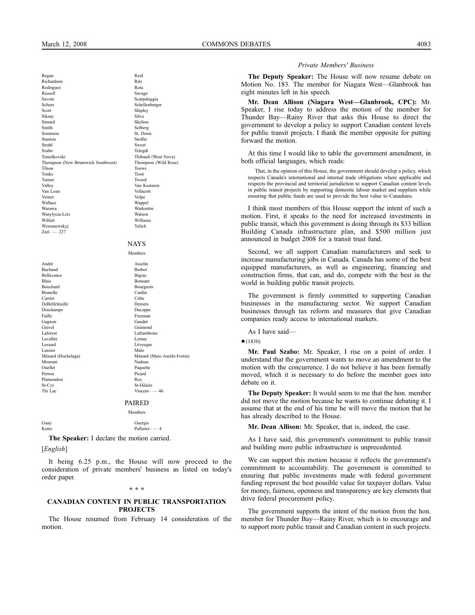Regan Reid Richardson Ritz Rodriguez Rota Russell Savage Savoie Scarpaleggia Scheer Schellenberger Scott<br>Silva<br>Silva<br>Silva<br>Silva Siksay Silva Simard Skelton Smith Solberg<br>Sorenson St. Denis Sorenson St. Denis<br>Stanton Stoffer Stanton Stoffer Strahl Sweet Szabo Telegdi Temelkovski Thibault (West Nova) Thompson (New Brunswick Southwest) Thompson (Wild Rose) Tilson Toews Toews Toews Toews Toews Toews Toews Toews Toews Toews Toews Toews Toews Toews Toews Toews Toews Toews Toews Toews Toews Toews Toews Toews Toews Toews Toews Toews Toews Toews Toews Toews Toews Toews Toews Toews Tonks Trost Turner Tweed Valley Van Kesteren<br>Van Loan verlacht van Vellacott Van Loan Verner Volpe<br>
Volpe<br>
Vallace Wanne Wallace Wappel<br>
Warawa Warken<br>
Warken Wasylycia-Leis Wilfert Williams Wrzesnewskyj Yelich  $Zed - 227$ 

Warkentin<br>Watson NAYS Members

#### André Asselin Bachand Barbot Bellavance Bigras Bigras<br>Blais Bonsan Blais Bonsant Bouchard Bourgeois<br>Brunelle Cardin<br>Cardin Brunelle Cardin Carrier Crête DeBellefeuille Demers<br>Deschamps Duceppe Deschamps<br>Duceppe Deschamps<br>Faille Freeman Gagnon Gaudet Gravel Guimond Laforest Laframboise Lavallée Lemay Lessard Lévesque<br>
Lessard Lévesque<br>
Laussier Malo Lussier Malo Ménard (Hochelaga) Ménard (Marc-Aurèle-Fortin)<br>Mourani Madeau Mourani Nadeau Ouellet Paquette Perron Picard Perron Pica<br>Plamondon Rov Plamondon<br>St-Cyr St-Hilaire Thi Lac Vincent– — 46

#### PAIRED

Members

Guay Guergis **Guergis** Kotto Pallister– — 4

**The Speaker:** I declare the motion carried.

[*English*]

It being 6.25 p.m., the House will now proceed to the consideration of private members' business as listed on today's order paper.

#### **\* \* \***

#### **CANADIAN CONTENT IN PUBLIC TRANSPORTATION PROJECTS**

The House resumed from February 14 consideration of the motion.

#### *Private Members' Business*

**The Deputy Speaker:** The House will now resume debate on Motion No. 183. The member for Niagara West—Glanbrook has eight minutes left in his speech.

**Mr. Dean Allison (Niagara West—Glanbrook, CPC):** Mr. Speaker, I rise today to address the motion of the member for Thunder Bay—Rainy River that asks this House to direct the government to develop a policy to support Canadian content levels for public transit projects. I thank the member opposite for putting forward the motion.

At this time I would like to table the government amendment, in both official languages, which reads:

That, in the opinion of this House, the government should develop a policy, which respects Canada's international and internal trade obligations where applicable and respects the provincial and territorial jurisdiction to support Canadian content levels in public transit projects by supporting domestic labour market and suppliers while ensuring that public funds are used to provide the best value to Canadians.

I think most members of this House support the intent of such a motion. First, it speaks to the need for increased investments in public transit, which this government is doing through its \$33 billion Building Canada infrastructure plan, and \$500 million just announced in budget 2008 for a transit trust fund.

Second, we all support Canadian manufacturers and seek to increase manufacturing jobs in Canada. Canada has some of the best equipped manufacturers, as well as engineering, financing and construction firms, that can, and do, compete with the best in the world in building public transit projects.

The government is firmly committed to supporting Canadian businesses in the manufacturing sector. We support Canadian businesses through tax reform and measures that give Canadian companies ready access to international markets.

As I have said—

●(1830)

**Mr. Paul Szabo:** Mr. Speaker, I rise on a point of order. I understand that the government wants to move an amendment to the motion with the concurrence. I do not believe it has been formally moved, which it is necessary to do before the member goes into debate on it.

**The Deputy Speaker:** It would seem to me that the hon. member did not move the motion because he wants to continue debating it. I assume that at the end of his time he will move the motion that he has already described to the House.

**Mr. Dean Allison:** Mr. Speaker, that is, indeed, the case.

As I have said, this government's commitment to public transit and building more public infrastructure is unprecedented.

We can support this motion because it reflects the government's commitment to accountability. The government is committed to ensuring that public investments made with federal government funding represent the best possible value for taxpayer dollars. Value for money, fairness, openness and transparency are key elements that drive federal procurement policy.

The government supports the intent of the motion from the hon. member for Thunder Bay—Rainy River, which is to encourage and to support more public transit and Canadian content in such projects.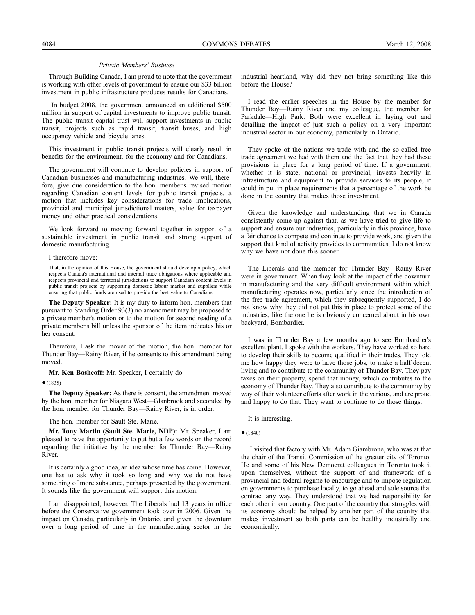Through Building Canada, I am proud to note that the government is working with other levels of government to ensure our \$33 billion investment in public infrastructure produces results for Canadians.

In budget 2008, the government announced an additional \$500 million in support of capital investments to improve public transit. The public transit capital trust will support investments in public transit, projects such as rapid transit, transit buses, and high occupancy vehicle and bicycle lanes.

This investment in public transit projects will clearly result in benefits for the environment, for the economy and for Canadians.

The government will continue to develop policies in support of Canadian businesses and manufacturing industries. We will, therefore, give due consideration to the hon. member's revised motion regarding Canadian content levels for public transit projects, a motion that includes key considerations for trade implications, provincial and municipal jurisdictional matters, value for taxpayer money and other practical considerations.

We look forward to moving forward together in support of a sustainable investment in public transit and strong support of domestic manufacturing.

#### I therefore move:

That, in the opinion of this House, the government should develop a policy, which respects Canada's international and internal trade obligations where applicable and respects provincial and territorial jurisdictions to support Canadian content levels in public transit projects by supporting domestic labour market and suppliers while ensuring that public funds are used to provide the best value to Canadians.

**The Deputy Speaker:** It is my duty to inform hon. members that pursuant to Standing Order 93(3) no amendment may be proposed to a private member's motion or to the motion for second reading of a private member's bill unless the sponsor of the item indicates his or her consent.

Therefore, I ask the mover of the motion, the hon. member for Thunder Bay—Rainy River, if he consents to this amendment being moved.

**Mr. Ken Boshcoff:** Mr. Speaker, I certainly do.

●(1835)

**The Deputy Speaker:** As there is consent, the amendment moved by the hon. member for Niagara West—Glanbrook and seconded by the hon. member for Thunder Bay—Rainy River, is in order.

The hon. member for Sault Ste. Marie.

**Mr. Tony Martin (Sault Ste. Marie, NDP):** Mr. Speaker, I am pleased to have the opportunity to put but a few words on the record regarding the initiative by the member for Thunder Bay—Rainy River.

It is certainly a good idea, an idea whose time has come. However, one has to ask why it took so long and why we do not have something of more substance, perhaps presented by the government. It sounds like the government will support this motion.

I am disappointed, however. The Liberals had 13 years in office before the Conservative government took over in 2006. Given the impact on Canada, particularly in Ontario, and given the downturn over a long period of time in the manufacturing sector in the industrial heartland, why did they not bring something like this before the House?

I read the earlier speeches in the House by the member for Thunder Bay—Rainy River and my colleague, the member for Parkdale—High Park. Both were excellent in laying out and detailing the impact of just such a policy on a very important industrial sector in our economy, particularly in Ontario.

They spoke of the nations we trade with and the so-called free trade agreement we had with them and the fact that they had these provisions in place for a long period of time. If a government, whether it is state, national or provincial, invests heavily in infrastructure and equipment to provide services to its people, it could in put in place requirements that a percentage of the work be done in the country that makes those investment.

Given the knowledge and understanding that we in Canada consistently come up against that, as we have tried to give life to support and ensure our industries, particularly in this province, have a fair chance to compete and continue to provide work, and given the support that kind of activity provides to communities, I do not know why we have not done this sooner.

The Liberals and the member for Thunder Bay—Rainy River were in government. When they look at the impact of the downturn in manufacturing and the very difficult environment within which manufacturing operates now, particularly since the introduction of the free trade agreement, which they subsequently supported, I do not know why they did not put this in place to protect some of the industries, like the one he is obviously concerned about in his own backyard, Bombardier.

I was in Thunder Bay a few months ago to see Bombardier's excellent plant. I spoke with the workers. They have worked so hard to develop their skills to become qualified in their trades. They told me how happy they were to have those jobs, to make a half decent living and to contribute to the community of Thunder Bay. They pay taxes on their property, spend that money, which contributes to the economy of Thunder Bay. They also contribute to the community by way of their volunteer efforts after work in the various, and are proud and happy to do that. They want to continue to do those things.

It is interesting.

#### ●(1840)

I visited that factory with Mr. Adam Giambrone, who was at that the chair of the Transit Commission of the greater city of Toronto. He and some of his New Democrat colleagues in Toronto took it upon themselves, without the support of and framework of a provincial and federal regime to encourage and to impose regulation on governments to purchase locally, to go ahead and sole source that contract any way. They understood that we had responsibility for each other in our country. One part of the country that struggles with its economy should be helped by another part of the country that makes investment so both parts can be healthy industrially and economically.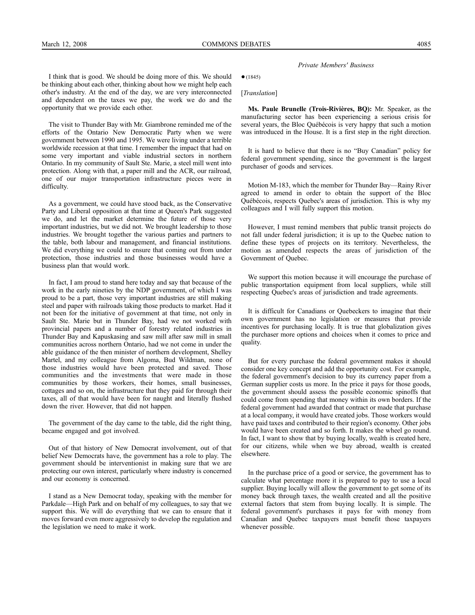$•(1845)$ 

[*Translation*]

**Ms. Paule Brunelle (Trois-Rivières, BQ):** Mr. Speaker, as the manufacturing sector has been experiencing a serious crisis for several years, the Bloc Québécois is very happy that such a motion was introduced in the House. It is a first step in the right direction.

It is hard to believe that there is no "Buy Canadian" policy for federal government spending, since the government is the largest purchaser of goods and services.

Motion M-183, which the member for Thunder Bay—Rainy River agreed to amend in order to obtain the support of the Bloc Québécois, respects Quebec's areas of jurisdiction. This is why my colleagues and I will fully support this motion.

However, I must remind members that public transit projects do not fall under federal jurisdiction; it is up to the Quebec nation to define these types of projects on its territory. Nevertheless, the motion as amended respects the areas of jurisdiction of the Government of Quebec.

We support this motion because it will encourage the purchase of public transportation equipment from local suppliers, while still respecting Quebec's areas of jurisdiction and trade agreements.

It is difficult for Canadians or Quebeckers to imagine that their own government has no legislation or measures that provide incentives for purchasing locally. It is true that globalization gives the purchaser more options and choices when it comes to price and quality.

But for every purchase the federal government makes it should consider one key concept and add the opportunity cost. For example, the federal government's decision to buy its currency paper from a German supplier costs us more. In the price it pays for those goods, the government should assess the possible economic spinoffs that could come from spending that money within its own borders. If the federal government had awarded that contract or made that purchase at a local company, it would have created jobs. Those workers would have paid taxes and contributed to their region's economy. Other jobs would have been created and so forth. It makes the wheel go round. In fact, I want to show that by buying locally, wealth is created here, for our citizens, while when we buy abroad, wealth is created elsewhere.

In the purchase price of a good or service, the government has to calculate what percentage more it is prepared to pay to use a local supplier. Buying locally will allow the government to get some of its money back through taxes, the wealth created and all the positive external factors that stem from buying locally. It is simple. The federal government's purchases it pays for with money from Canadian and Quebec taxpayers must benefit those taxpayers whenever possible.

I think that is good. We should be doing more of this. We should be thinking about each other, thinking about how we might help each other's industry. At the end of the day, we are very interconnected and dependent on the taxes we pay, the work we do and the opportunity that we provide each other.

The visit to Thunder Bay with Mr. Giambrone reminded me of the efforts of the Ontario New Democratic Party when we were government between 1990 and 1995. We were living under a terrible worldwide recession at that time. I remember the impact that had on some very important and viable industrial sectors in northern Ontario. In my community of Sault Ste. Marie, a steel mill went into protection. Along with that, a paper mill and the ACR, our railroad, one of our major transportation infrastructure pieces were in difficulty.

As a government, we could have stood back, as the Conservative Party and Liberal opposition at that time at Queen's Park suggested we do, and let the market determine the future of those very important industries, but we did not. We brought leadership to those industries. We brought together the various parties and partners to the table, both labour and management, and financial institutions. We did everything we could to ensure that coming out from under protection, those industries and those businesses would have a business plan that would work.

In fact, I am proud to stand here today and say that because of the work in the early nineties by the NDP government, of which I was proud to be a part, those very important industries are still making steel and paper with railroads taking those products to market. Had it not been for the initiative of government at that time, not only in Sault Ste. Marie but in Thunder Bay, had we not worked with provincial papers and a number of forestry related industries in Thunder Bay and Kapuskasing and saw mill after saw mill in small communities across northern Ontario, had we not come in under the able guidance of the then minister of northern development, Shelley Martel, and my colleague from Algoma, Bud Wildman, none of those industries would have been protected and saved. Those communities and the investments that were made in those communities by those workers, their homes, small businesses, cottages and so on, the infrastructure that they paid for through their taxes, all of that would have been for naught and literally flushed down the river. However, that did not happen.

The government of the day came to the table, did the right thing, became engaged and got involved.

Out of that history of New Democrat involvement, out of that belief New Democrats have, the government has a role to play. The government should be interventionist in making sure that we are protecting our own interest, particularly where industry is concerned and our economy is concerned.

I stand as a New Democrat today, speaking with the member for Parkdale—High Park and on behalf of my colleagues, to say that we support this. We will do everything that we can to ensure that it moves forward even more aggressively to develop the regulation and the legislation we need to make it work.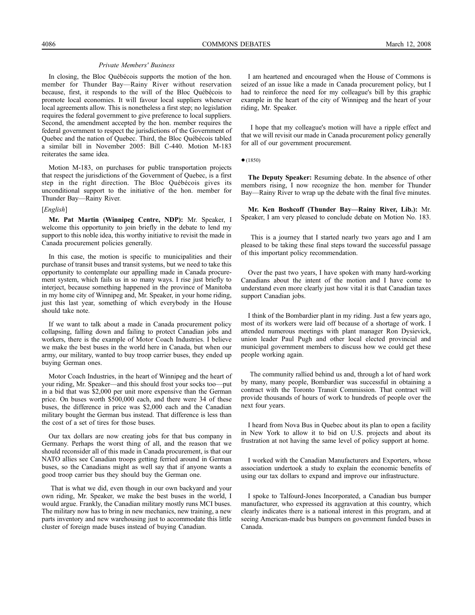In closing, the Bloc Québécois supports the motion of the hon. member for Thunder Bay—Rainy River without reservation because, first, it responds to the will of the Bloc Québécois to promote local economies. It will favour local suppliers whenever local agreements allow. This is nonetheless a first step; no legislation requires the federal government to give preference to local suppliers. Second, the amendment accepted by the hon. member requires the federal government to respect the jurisdictions of the Government of Quebec and the nation of Quebec. Third, the Bloc Québécois tabled a similar bill in November 2005: Bill C-440. Motion M-183 reiterates the same idea.

Motion M-183, on purchases for public transportation projects that respect the jurisdictions of the Government of Quebec, is a first step in the right direction. The Bloc Québécois gives its unconditional support to the initiative of the hon. member for Thunder Bay—Rainy River.

#### [*English*]

**Mr. Pat Martin (Winnipeg Centre, NDP):** Mr. Speaker, I welcome this opportunity to join briefly in the debate to lend my support to this noble idea, this worthy initiative to revisit the made in Canada procurement policies generally.

In this case, the motion is specific to municipalities and their purchase of transit buses and transit systems, but we need to take this opportunity to contemplate our appalling made in Canada procurement system, which fails us in so many ways. I rise just briefly to interject, because something happened in the province of Manitoba in my home city of Winnipeg and, Mr. Speaker, in your home riding, just this last year, something of which everybody in the House should take note.

If we want to talk about a made in Canada procurement policy collapsing, falling down and failing to protect Canadian jobs and workers, there is the example of Motor Coach Industries. I believe we make the best buses in the world here in Canada, but when our army, our military, wanted to buy troop carrier buses, they ended up buying German ones.

Motor Coach Industries, in the heart of Winnipeg and the heart of your riding, Mr. Speaker—and this should frost your socks too—put in a bid that was \$2,000 per unit more expensive than the German price. On buses worth \$500,000 each, and there were 34 of these buses, the difference in price was \$2,000 each and the Canadian military bought the German bus instead. That difference is less than the cost of a set of tires for those buses.

Our tax dollars are now creating jobs for that bus company in Germany. Perhaps the worst thing of all, and the reason that we should reconsider all of this made in Canada procurement, is that our NATO allies see Canadian troops getting ferried around in German buses, so the Canadians might as well say that if anyone wants a good troop carrier bus they should buy the German one.

That is what we did, even though in our own backyard and your own riding, Mr. Speaker, we make the best buses in the world, I would argue. Frankly, the Canadian military mostly runs MCI buses. The military now has to bring in new mechanics, new training, a new parts inventory and new warehousing just to accommodate this little cluster of foreign made buses instead of buying Canadian.

I am heartened and encouraged when the House of Commons is seized of an issue like a made in Canada procurement policy, but I had to reinforce the need for my colleague's bill by this graphic example in the heart of the city of Winnipeg and the heart of your riding, Mr. Speaker.

I hope that my colleague's motion will have a ripple effect and that we will revisit our made in Canada procurement policy generally for all of our government procurement.

 $•(1850)$ 

**The Deputy Speaker:** Resuming debate. In the absence of other members rising, I now recognize the hon. member for Thunder Bay—Rainy River to wrap up the debate with the final five minutes.

**Mr. Ken Boshcoff (Thunder Bay—Rainy River, Lib.):** Mr. Speaker, I am very pleased to conclude debate on Motion No. 183.

This is a journey that I started nearly two years ago and I am pleased to be taking these final steps toward the successful passage of this important policy recommendation.

Over the past two years, I have spoken with many hard-working Canadians about the intent of the motion and I have come to understand even more clearly just how vital it is that Canadian taxes support Canadian jobs.

I think of the Bombardier plant in my riding. Just a few years ago, most of its workers were laid off because of a shortage of work. I attended numerous meetings with plant manager Ron Dysievick, union leader Paul Pugh and other local elected provincial and municipal government members to discuss how we could get these people working again.

The community rallied behind us and, through a lot of hard work by many, many people, Bombardier was successful in obtaining a contract with the Toronto Transit Commission. That contract will provide thousands of hours of work to hundreds of people over the next four years.

I heard from Nova Bus in Quebec about its plan to open a facility in New York to allow it to bid on U.S. projects and about its frustration at not having the same level of policy support at home.

I worked with the Canadian Manufacturers and Exporters, whose association undertook a study to explain the economic benefits of using our tax dollars to expand and improve our infrastructure.

I spoke to Talfourd-Jones Incorporated, a Canadian bus bumper manufacturer, who expressed its aggravation at this country, which clearly indicates there is a national interest in this program, and at seeing American-made bus bumpers on government funded buses in Canada.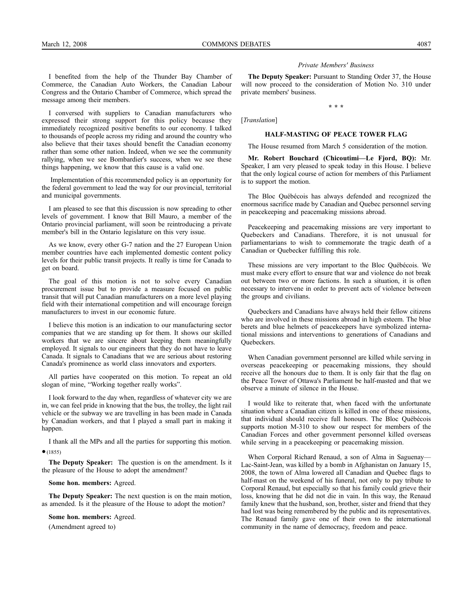I benefited from the help of the Thunder Bay Chamber of Commerce, the Canadian Auto Workers, the Canadian Labour Congress and the Ontario Chamber of Commerce, which spread the message among their members.

I conversed with suppliers to Canadian manufacturers who expressed their strong support for this policy because they immediately recognized positive benefits to our economy. I talked to thousands of people across my riding and around the country who also believe that their taxes should benefit the Canadian economy rather than some other nation. Indeed, when we see the community rallying, when we see Bombardier's success, when we see these things happening, we know that this cause is a valid one.

Implementation of this recommended policy is an opportunity for the federal government to lead the way for our provincial, territorial and municipal governments.

I am pleased to see that this discussion is now spreading to other levels of government. I know that Bill Mauro, a member of the Ontario provincial parliament, will soon be reintroducing a private member's bill in the Ontario legislature on this very issue.

As we know, every other G-7 nation and the 27 European Union member countries have each implemented domestic content policy levels for their public transit projects. It really is time for Canada to get on board.

The goal of this motion is not to solve every Canadian procurement issue but to provide a measure focused on public transit that will put Canadian manufacturers on a more level playing field with their international competition and will encourage foreign manufacturers to invest in our economic future.

I believe this motion is an indication to our manufacturing sector companies that we are standing up for them. It shows our skilled workers that we are sincere about keeping them meaningfully employed. It signals to our engineers that they do not have to leave Canada. It signals to Canadians that we are serious about restoring Canada's prominence as world class innovators and exporters.

All parties have cooperated on this motion. To repeat an old slogan of mine, "Working together really works".

I look forward to the day when, regardless of whatever city we are in, we can feel pride in knowing that the bus, the trolley, the light rail vehicle or the subway we are travelling in has been made in Canada by Canadian workers, and that I played a small part in making it happen.

I thank all the MPs and all the parties for supporting this motion.  $(1855)$ 

**The Deputy Speaker:** The question is on the amendment. Is it the pleasure of the House to adopt the amendment?

#### **Some hon. members:** Agreed.

**The Deputy Speaker:** The next question is on the main motion, as amended. Is it the pleasure of the House to adopt the motion?

#### **Some hon. members:** Agreed.

(Amendment agreed to)

#### *Private Members' Business*

**The Deputy Speaker:** Pursuant to Standing Order 37, the House will now proceed to the consideration of Motion No. 310 under private members' business.

**\* \* \***

[*Translation*]

#### **HALF-MASTING OF PEACE TOWER FLAG**

The House resumed from March 5 consideration of the motion.

**Mr. Robert Bouchard (Chicoutimi—Le Fjord, BQ):** Mr. Speaker, I am very pleased to speak today in this House. I believe that the only logical course of action for members of this Parliament is to support the motion.

The Bloc Québécois has always defended and recognized the enormous sacrifice made by Canadian and Quebec personnel serving in peacekeeping and peacemaking missions abroad.

Peacekeeping and peacemaking missions are very important to Quebeckers and Canadians. Therefore, it is not unusual for parliamentarians to wish to commemorate the tragic death of a Canadian or Quebecker fulfilling this role.

These missions are very important to the Bloc Québécois. We must make every effort to ensure that war and violence do not break out between two or more factions. In such a situation, it is often necessary to intervene in order to prevent acts of violence between the groups and civilians.

Quebeckers and Canadians have always held their fellow citizens who are involved in these missions abroad in high esteem. The blue berets and blue helmets of peacekeepers have symbolized international missions and interventions to generations of Canadians and Quebeckers.

When Canadian government personnel are killed while serving in overseas peacekeeping or peacemaking missions, they should receive all the honours due to them. It is only fair that the flag on the Peace Tower of Ottawa's Parliament be half-masted and that we observe a minute of silence in the House.

I would like to reiterate that, when faced with the unfortunate situation where a Canadian citizen is killed in one of these missions, that individual should receive full honours. The Bloc Québécois supports motion M-310 to show our respect for members of the Canadian Forces and other government personnel killed overseas while serving in a peacekeeping or peacemaking mission.

When Corporal Richard Renaud, a son of Alma in Saguenay— Lac-Saint-Jean, was killed by a bomb in Afghanistan on January 15, 2008, the town of Alma lowered all Canadian and Quebec flags to half-mast on the weekend of his funeral, not only to pay tribute to Corporal Renaud, but especially so that his family could grieve their loss, knowing that he did not die in vain. In this way, the Renaud family knew that the husband, son, brother, sister and friend that they had lost was being remembered by the public and its representatives. The Renaud family gave one of their own to the international community in the name of democracy, freedom and peace.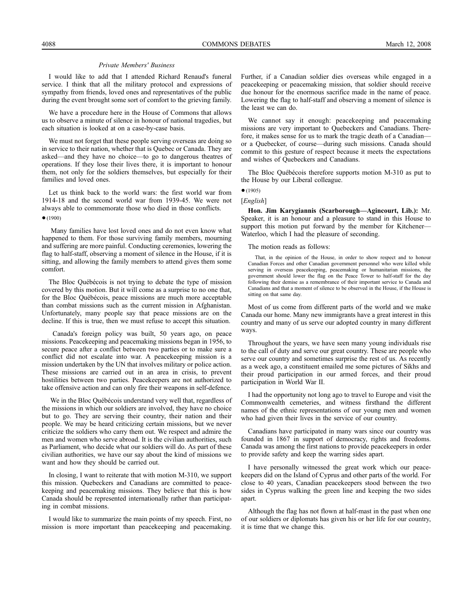I would like to add that I attended Richard Renaud's funeral service. I think that all the military protocol and expressions of sympathy from friends, loved ones and representatives of the public during the event brought some sort of comfort to the grieving family.

We have a procedure here in the House of Commons that allows us to observe a minute of silence in honour of national tragedies, but each situation is looked at on a case-by-case basis.

We must not forget that these people serving overseas are doing so in service to their nation, whether that is Quebec or Canada. They are asked—and they have no choice—to go to dangerous theatres of operations. If they lose their lives there, it is important to honour them, not only for the soldiers themselves, but especially for their families and loved ones.

Let us think back to the world wars: the first world war from 1914-18 and the second world war from 1939-45. We were not always able to commemorate those who died in those conflicts.

#### ●(1900)

Many families have lost loved ones and do not even know what happened to them. For those surviving family members, mourning and suffering are more painful. Conducting ceremonies, lowering the flag to half-staff, observing a moment of silence in the House, if it is sitting, and allowing the family members to attend gives them some comfort.

The Bloc Québécois is not trying to debate the type of mission covered by this motion. But it will come as a surprise to no one that, for the Bloc Québécois, peace missions are much more acceptable than combat missions such as the current mission in Afghanistan. Unfortunately, many people say that peace missions are on the decline. If this is true, then we must refuse to accept this situation.

Canada's foreign policy was built, 50 years ago, on peace missions. Peacekeeping and peacemaking missions began in 1956, to secure peace after a conflict between two parties or to make sure a conflict did not escalate into war. A peacekeeping mission is a mission undertaken by the UN that involves military or police action. These missions are carried out in an area in crisis, to prevent hostilities between two parties. Peacekeepers are not authorized to take offensive action and can only fire their weapons in self-defence.

We in the Bloc Québécois understand very well that, regardless of the missions in which our soldiers are involved, they have no choice but to go. They are serving their country, their nation and their people. We may be heard criticizing certain missions, but we never criticize the soldiers who carry them out. We respect and admire the men and women who serve abroad. It is the civilian authorities, such as Parliament, who decide what our soldiers will do. As part of these civilian authorities, we have our say about the kind of missions we want and how they should be carried out.

In closing, I want to reiterate that with motion M-310, we support this mission. Quebeckers and Canadians are committed to peacekeeping and peacemaking missions. They believe that this is how Canada should be represented internationally rather than participating in combat missions.

I would like to summarize the main points of my speech. First, no mission is more important than peacekeeping and peacemaking.

Further, if a Canadian soldier dies overseas while engaged in a peacekeeping or peacemaking mission, that soldier should receive due honour for the enormous sacrifice made in the name of peace. Lowering the flag to half-staff and observing a moment of silence is the least we can do.

We cannot say it enough: peacekeeping and peacemaking missions are very important to Quebeckers and Canadians. Therefore, it makes sense for us to mark the tragic death of a Canadian or a Quebecker, of course—during such missions. Canada should commit to this gesture of respect because it meets the expectations and wishes of Quebeckers and Canadians.

The Bloc Québécois therefore supports motion M-310 as put to the House by our Liberal colleague.

 $•(1905)$ 

# [*English*]

**Hon. Jim Karygiannis (Scarborough—Agincourt, Lib.):** Mr. Speaker, it is an honour and a pleasure to stand in this House to support this motion put forward by the member for Kitchener-Waterloo, which I had the pleasure of seconding.

The motion reads as follows:

That, in the opinion of the House, in order to show respect and to honour Canadian Forces and other Canadian government personnel who were killed while serving in overseas peacekeeping, peacemaking or humanitarian missions, the government should lower the flag on the Peace Tower to half-staff for the day following their demise as a remembrance of their important service to Canada and Canadians and that a moment of silence to be observed in the House, if the House is sitting on that same day.

Most of us come from different parts of the world and we make Canada our home. Many new immigrants have a great interest in this country and many of us serve our adopted country in many different ways.

Throughout the years, we have seen many young individuals rise to the call of duty and serve our great country. These are people who serve our country and sometimes surprise the rest of us. As recently as a week ago, a constituent emailed me some pictures of Sikhs and their proud participation in our armed forces, and their proud participation in World War II.

I had the opportunity not long ago to travel to Europe and visit the Commonwealth cemeteries, and witness firsthand the different names of the ethnic representations of our young men and women who had given their lives in the service of our country.

Canadians have participated in many wars since our country was founded in 1867 in support of democracy, rights and freedoms. Canada was among the first nations to provide peacekeepers in order to provide safety and keep the warring sides apart.

I have personally witnessed the great work which our peacekeepers did on the Island of Cyprus and other parts of the world. For close to 40 years, Canadian peacekeepers stood between the two sides in Cyprus walking the green line and keeping the two sides apart.

Although the flag has not flown at half-mast in the past when one of our soldiers or diplomats has given his or her life for our country, it is time that we change this.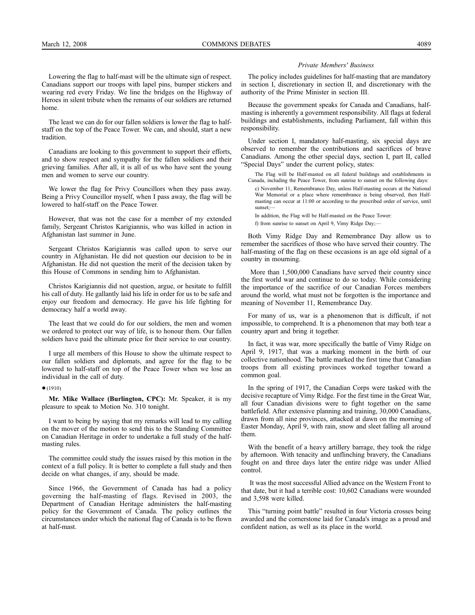Lowering the flag to half-mast will be the ultimate sign of respect. Canadians support our troops with lapel pins, bumper stickers and wearing red every Friday. We line the bridges on the Highway of Heroes in silent tribute when the remains of our soldiers are returned home.

The least we can do for our fallen soldiers is lower the flag to halfstaff on the top of the Peace Tower. We can, and should, start a new tradition.

Canadians are looking to this government to support their efforts, and to show respect and sympathy for the fallen soldiers and their grieving families. After all, it is all of us who have sent the young men and women to serve our country.

We lower the flag for Privy Councillors when they pass away. Being a Privy Councillor myself, when I pass away, the flag will be lowered to half-staff on the Peace Tower.

However, that was not the case for a member of my extended family, Sergeant Christos Karigiannis, who was killed in action in Afghanistan last summer in June.

Sergeant Christos Karigiannis was called upon to serve our country in Afghanistan. He did not question our decision to be in Afghanistan. He did not question the merit of the decision taken by this House of Commons in sending him to Afghanistan.

Christos Karigiannis did not question, argue, or hesitate to fulfill his call of duty. He gallantly laid his life in order for us to be safe and enjoy our freedom and democracy. He gave his life fighting for democracy half a world away.

The least that we could do for our soldiers, the men and women we ordered to protect our way of life, is to honour them. Our fallen soldiers have paid the ultimate price for their service to our country.

I urge all members of this House to show the ultimate respect to our fallen soldiers and diplomats, and agree for the flag to be lowered to half-staff on top of the Peace Tower when we lose an individual in the call of duty.

#### ●(1910)

**Mr. Mike Wallace (Burlington, CPC):** Mr. Speaker, it is my pleasure to speak to Motion No. 310 tonight.

I want to being by saying that my remarks will lead to my calling on the mover of the motion to send this to the Standing Committee on Canadian Heritage in order to undertake a full study of the halfmasting rules.

The committee could study the issues raised by this motion in the context of a full policy. It is better to complete a full study and then decide on what changes, if any, should be made.

Since 1966, the Government of Canada has had a policy governing the half-masting of flags. Revised in 2003, the Department of Canadian Heritage administers the half-masting policy for the Government of Canada. The policy outlines the circumstances under which the national flag of Canada is to be flown at half-mast.

#### *Private Members' Business*

The policy includes guidelines for half-masting that are mandatory in section I, discretionary in section II, and discretionary with the authority of the Prime Minister in section III.

Because the government speaks for Canada and Canadians, halfmasting is inherently a government responsibility. All flags at federal buildings and establishments, including Parliament, fall within this responsibility.

Under section I, mandatory half-masting, six special days are observed to remember the contributions and sacrifices of brave Canadians. Among the other special days, section I, part II, called "Special Days" under the current policy, states:

The Flag will be Half-masted on all federal buildings and establishments in Canada, including the Peace Tower, from sunrise to sunset on the following days:

c) November 11, Remembrance Day, unless Half-masting occurs at the National War Memorial or a place where remembrance is being observed, then Halfmasting can occur at 11:00 or according to the prescribed order of service, until sunset:-

In addition, the Flag will be Half-masted on the Peace Tower: f) from sunrise to sunset on April 9, Vimy Ridge Day;—

Both Vimy Ridge Day and Remembrance Day allow us to remember the sacrifices of those who have served their country. The half-masting of the flag on these occasions is an age old signal of a country in mourning.

More than 1,500,000 Canadians have served their country since the first world war and continue to do so today. While considering the importance of the sacrifice of our Canadian Forces members around the world, what must not be forgotten is the importance and meaning of November 11, Remembrance Day.

For many of us, war is a phenomenon that is difficult, if not impossible, to comprehend. It is a phenomenon that may both tear a country apart and bring it together.

In fact, it was war, more specifically the battle of Vimy Ridge on April 9, 1917, that was a marking moment in the birth of our collective nationhood. The battle marked the first time that Canadian troops from all existing provinces worked together toward a common goal.

In the spring of 1917, the Canadian Corps were tasked with the decisive recapture of Vimy Ridge. For the first time in the Great War, all four Canadian divisions were to fight together on the same battlefield. After extensive planning and training, 30,000 Canadians, drawn from all nine provinces, attacked at dawn on the morning of Easter Monday, April 9, with rain, snow and sleet falling all around them.

With the benefit of a heavy artillery barrage, they took the ridge by afternoon. With tenacity and unflinching bravery, the Canadians fought on and three days later the entire ridge was under Allied control.

It was the most successful Allied advance on the Western Front to that date, but it had a terrible cost: 10,602 Canadians were wounded and 3,598 were killed.

This "turning point battle" resulted in four Victoria crosses being awarded and the cornerstone laid for Canada's image as a proud and confident nation, as well as its place in the world.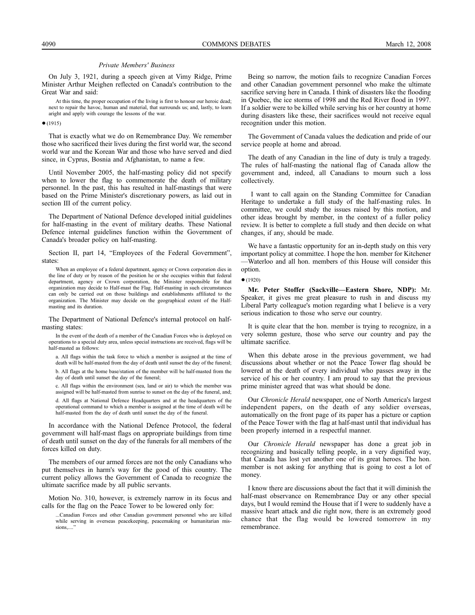On July 3, 1921, during a speech given at Vimy Ridge, Prime Minister Arthur Meighen reflected on Canada's contribution to the Great War and said:

At this time, the proper occupation of the living is first to honour our heroic dead; next to repair the havoc, human and material, that surrounds us; and, lastly, to learn aright and apply with courage the lessons of the war.

 $(1915)$ 

That is exactly what we do on Remembrance Day. We remember those who sacrificed their lives during the first world war, the second world war and the Korean War and those who have served and died since, in Cyprus, Bosnia and Afghanistan, to name a few.

Until November 2005, the half-masting policy did not specify when to lower the flag to commemorate the death of military personnel. In the past, this has resulted in half-mastings that were based on the Prime Minister's discretionary powers, as laid out in section III of the current policy.

The Department of National Defence developed initial guidelines for half-masting in the event of military deaths. These National Defence internal guidelines function within the Government of Canada's broader policy on half-masting.

Section II, part 14, "Employees of the Federal Government", states:

When an employee of a federal department, agency or Crown corporation dies in the line of duty or by reason of the position he or she occupies within that federal department, agency or Crown corporation, the Minister responsible for that organization may decide to Half-mast the Flag. Half-masting in such circumstances can only be carried out on those buildings and establishments affiliated to the organization. The Minister may decide on the geographical extent of the Halfmasting and its duration.

The Department of National Defence's internal protocol on halfmasting states:

In the event of the death of a member of the Canadian Forces who is deployed on operations to a special duty area, unless special instructions are received, flags will be half-masted as follows:

a. All flags within the task force to which a member is assigned at the time of death will be half-masted from the day of death until sunset the day of the funeral; b. All flags at the home base/station of the member will be half-masted from the day of death until sunset the day of the funeral;

c. All flags within the environment (sea, land or air) to which the member was assigned will be half-masted from sunrise to sunset on the day of the funeral, and; d. All flags at National Defence Headquarters and at the headquarters of the operational command to which a member is assigned at the time of death will be half-masted from the day of death until sunset the day of the funeral.

In accordance with the National Defence Protocol, the federal government will half-mast flags on appropriate buildings from time of death until sunset on the day of the funerals for all members of the forces killed on duty.

The members of our armed forces are not the only Canadians who put themselves in harm's way for the good of this country. The current policy allows the Government of Canada to recognize the ultimate sacrifice made by all public servants.

Motion No. 310, however, is extremely narrow in its focus and calls for the flag on the Peace Tower to be lowered only for:

...Canadian Forces and other Canadian government personnel who are killed while serving in overseas peacekeeping, peacemaking or humanitarian missions,...."

Being so narrow, the motion fails to recognize Canadian Forces and other Canadian government personnel who make the ultimate sacrifice serving here in Canada. I think of disasters like the flooding in Quebec, the ice storms of 1998 and the Red River flood in 1997. If a soldier were to be killed while serving his or her country at home during disasters like these, their sacrifices would not receive equal recognition under this motion.

The Government of Canada values the dedication and pride of our service people at home and abroad.

The death of any Canadian in the line of duty is truly a tragedy. The rules of half-masting the national flag of Canada allow the government and, indeed, all Canadians to mourn such a loss collectively.

I want to call again on the Standing Committee for Canadian Heritage to undertake a full study of the half-masting rules. In committee, we could study the issues raised by this motion, and other ideas brought by member, in the context of a fuller policy review. It is better to complete a full study and then decide on what changes, if any, should be made.

We have a fantastic opportunity for an in-depth study on this very important policy at committee. I hope the hon. member for Kitchener —Waterloo and all hon. members of this House will consider this option.

●(1920)

**Mr. Peter Stoffer (Sackville—Eastern Shore, NDP):** Mr. Speaker, it gives me great pleasure to rush in and discuss my Liberal Party colleague's motion regarding what I believe is a very serious indication to those who serve our country.

It is quite clear that the hon. member is trying to recognize, in a very solemn gesture, those who serve our country and pay the ultimate sacrifice.

When this debate arose in the previous government, we had discussions about whether or not the Peace Tower flag should be lowered at the death of every individual who passes away in the service of his or her country. I am proud to say that the previous prime minister agreed that was what should be done.

Our *Chronicle Herald* newspaper, one of North America's largest independent papers, on the death of any soldier overseas, automatically on the front page of its paper has a picture or caption of the Peace Tower with the flag at half-mast until that individual has been properly interned in a respectful manner.

Our *Chronicle Herald* newspaper has done a great job in recognizing and basically telling people, in a very dignified way, that Canada has lost yet another one of its great heroes. The hon. member is not asking for anything that is going to cost a lot of money.

I know there are discussions about the fact that it will diminish the half-mast observance on Remembrance Day or any other special days, but I would remind the House that if I were to suddenly have a massive heart attack and die right now, there is an extremely good chance that the flag would be lowered tomorrow in my remembrance.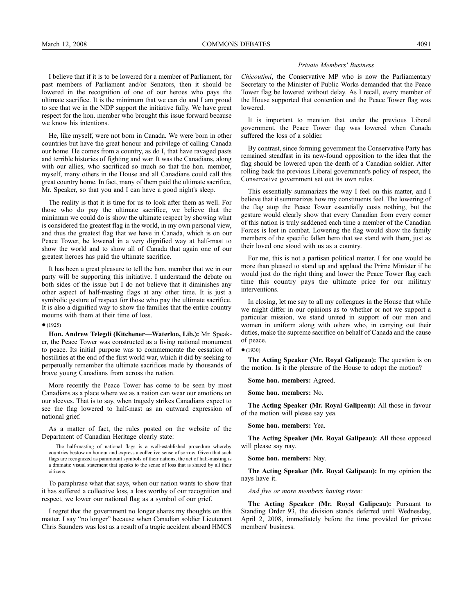I believe that if it is to be lowered for a member of Parliament, for past members of Parliament and/or Senators, then it should be lowered in the recognition of one of our heroes who pays the ultimate sacrifice. It is the minimum that we can do and I am proud to see that we in the NDP support the initiative fully. We have great respect for the hon. member who brought this issue forward because we know his intentions.

He, like myself, were not born in Canada. We were born in other countries but have the great honour and privilege of calling Canada our home. He comes from a country, as do I, that have ravaged pasts and terrible histories of fighting and war. It was the Canadians, along with our allies, who sacrificed so much so that the hon. member, myself, many others in the House and all Canadians could call this great country home. In fact, many of them paid the ultimate sacrifice, Mr. Speaker, so that you and I can have a good night's sleep.

The reality is that it is time for us to look after them as well. For those who do pay the ultimate sacrifice, we believe that the minimum we could do is show the ultimate respect by showing what is considered the greatest flag in the world, in my own personal view, and thus the greatest flag that we have in Canada, which is on our Peace Tower, be lowered in a very dignified way at half-mast to show the world and to show all of Canada that again one of our greatest heroes has paid the ultimate sacrifice.

It has been a great pleasure to tell the hon. member that we in our party will be supporting this initiative. I understand the debate on both sides of the issue but I do not believe that it diminishes any other aspect of half-masting flags at any other time. It is just a symbolic gesture of respect for those who pay the ultimate sacrifice. It is also a dignified way to show the families that the entire country mourns with them at their time of loss.

#### $•(1925)$

**Hon. Andrew Telegdi (Kitchener—Waterloo, Lib.):** Mr. Speaker, the Peace Tower was constructed as a living national monument to peace. Its initial purpose was to commemorate the cessation of hostilities at the end of the first world war, which it did by seeking to perpetually remember the ultimate sacrifices made by thousands of brave young Canadians from across the nation.

More recently the Peace Tower has come to be seen by most Canadians as a place where we as a nation can wear our emotions on our sleeves. That is to say, when tragedy strikes Canadians expect to see the flag lowered to half-mast as an outward expression of national grief.

As a matter of fact, the rules posted on the website of the Department of Canadian Heritage clearly state:

The half-masting of national flags is a well-established procedure whereby countries bestow an honour and express a collective sense of sorrow. Given that such flags are recognized as paramount symbols of their nations, the act of half-masting is a dramatic visual statement that speaks to the sense of loss that is shared by all their citizens.

To paraphrase what that says, when our nation wants to show that it has suffered a collective loss, a loss worthy of our recognition and respect, we lower our national flag as a symbol of our grief.

I regret that the government no longer shares my thoughts on this matter. I say "no longer" because when Canadian soldier Lieutenant Chris Saunders was lost as a result of a tragic accident aboard HMCS

#### *Private Members' Business*

*Chicoutimi*, the Conservative MP who is now the Parliamentary Secretary to the Minister of Public Works demanded that the Peace Tower flag be lowered without delay. As I recall, every member of the House supported that contention and the Peace Tower flag was lowered.

It is important to mention that under the previous Liberal government, the Peace Tower flag was lowered when Canada suffered the loss of a soldier.

By contrast, since forming government the Conservative Party has remained steadfast in its new-found opposition to the idea that the flag should be lowered upon the death of a Canadian soldier. After rolling back the previous Liberal government's policy of respect, the Conservative government set out its own rules.

This essentially summarizes the way I feel on this matter, and I believe that it summarizes how my constituents feel. The lowering of the flag atop the Peace Tower essentially costs nothing, but the gesture would clearly show that every Canadian from every corner of this nation is truly saddened each time a member of the Canadian Forces is lost in combat. Lowering the flag would show the family members of the specific fallen hero that we stand with them, just as their loved one stood with us as a country.

For me, this is not a partisan political matter. I for one would be more than pleased to stand up and applaud the Prime Minister if he would just do the right thing and lower the Peace Tower flag each time this country pays the ultimate price for our military interventions.

In closing, let me say to all my colleagues in the House that while we might differ in our opinions as to whether or not we support a particular mission, we stand united in support of our men and women in uniform along with others who, in carrying out their duties, make the supreme sacrifice on behalf of Canada and the cause of peace.

#### ●(1930)

**The Acting Speaker (Mr. Royal Galipeau):** The question is on the motion. Is it the pleasure of the House to adopt the motion?

**Some hon. members:** Agreed.

**Some hon. members:** No.

**The Acting Speaker (Mr. Royal Galipeau):** All those in favour of the motion will please say yea.

**Some hon. members:** Yea.

**The Acting Speaker (Mr. Royal Galipeau):** All those opposed will please say nay.

**Some hon. members:** Nay.

**The Acting Speaker (Mr. Royal Galipeau):** In my opinion the nays have it.

*And five or more members having risen:*

**The Acting Speaker (Mr. Royal Galipeau):** Pursuant to Standing Order 93, the division stands deferred until Wednesday, April 2, 2008, immediately before the time provided for private members' business.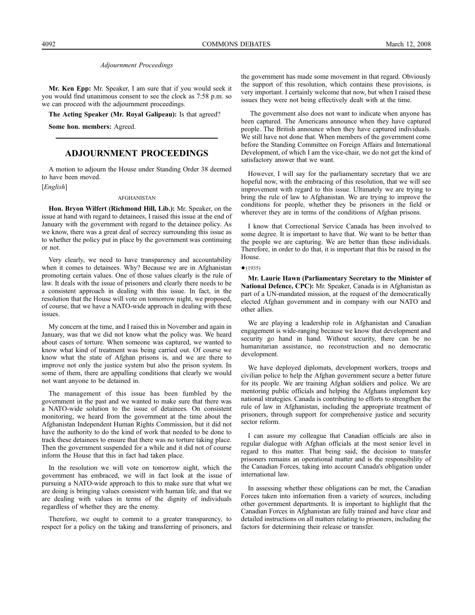**Mr. Ken Epp:** Mr. Speaker, I am sure that if you would seek it you would find unanimous consent to see the clock as 7:58 p.m. so we can proceed with the adjournment proceedings.

**The Acting Speaker (Mr. Royal Galipeau):** Is that agreed?

**Some hon. members:** Agreed.

# **ADJOURNMENT PROCEEDINGS**

A motion to adjourn the House under Standing Order 38 deemed to have been moved.

[*English*]

#### AFGHANISTAN

**Hon. Bryon Wilfert (Richmond Hill, Lib.):** Mr. Speaker, on the issue at hand with regard to detainees, I raised this issue at the end of January with the government with regard to the detainee policy. As we know, there was a great deal of secrecy surrounding this issue as to whether the policy put in place by the government was continuing or not.

Very clearly, we need to have transparency and accountability when it comes to detainees. Why? Because we are in Afghanistan promoting certain values. One of those values clearly is the rule of law. It deals with the issue of prisoners and clearly there needs to be a consistent approach in dealing with this issue. In fact, in the resolution that the House will vote on tomorrow night, we proposed, of course, that we have a NATO-wide approach in dealing with these issues.

My concern at the time, and I raised this in November and again in January, was that we did not know what the policy was. We heard about cases of torture. When someone was captured, we wanted to know what kind of treatment was being carried out. Of course we know what the state of Afghan prisons is, and we are there to improve not only the justice system but also the prison system. In some of them, there are appalling conditions that clearly we would not want anyone to be detained in.

The management of this issue has been fumbled by the government in the past and we wanted to make sure that there was a NATO-wide solution to the issue of detainees. On consistent monitoring, we heard from the government at the time about the Afghanistan Independent Human Rights Commission, but it did not have the authority to do the kind of work that needed to be done to track these detainees to ensure that there was no torture taking place. Then the government suspended for a while and it did not of course inform the House that this in fact had taken place.

In the resolution we will vote on tomorrow night, which the government has embraced, we will in fact look at the issue of pursuing a NATO-wide approach to this to make sure that what we are doing is bringing values consistent with human life, and that we are dealing with values in terms of the dignity of individuals regardless of whether they are the enemy.

Therefore, we ought to commit to a greater transparency, to respect for a policy on the taking and transferring of prisoners, and

the government has made some movement in that regard. Obviously the support of this resolution, which contains these provisions, is very important. I certainly welcome that now, but when I raised these issues they were not being effectively dealt with at the time.

The government also does not want to indicate when anyone has been captured. The Americans announce when they have captured people. The British announce when they have captured individuals. We still have not done that. When members of the government come before the Standing Committee on Foreign Affairs and International Development, of which I am the vice-chair, we do not get the kind of satisfactory answer that we want.

However, I will say for the parliamentary secretary that we are hopeful now, with the embracing of this resolution, that we will see improvement with regard to this issue. Ultimately we are trying to bring the rule of law to Afghanistan. We are trying to improve the conditions for people, whether they be prisoners in the field or wherever they are in terms of the conditions of Afghan prisons.

I know that Correctional Service Canada has been involved to some degree. It is important to have that. We want to be better than the people we are capturing. We are better than these individuals. Therefore, in order to do that, it is important that this be raised in the House.

 $•(1935)$ 

**Mr. Laurie Hawn (Parliamentary Secretary to the Minister of National Defence, CPC):** Mr. Speaker, Canada is in Afghanistan as part of a UN-mandated mission, at the request of the democratically elected Afghan government and in company with our NATO and other allies.

We are playing a leadership role in Afghanistan and Canadian engagement is wide-ranging because we know that development and security go hand in hand. Without security, there can be no humanitarian assistance, no reconstruction and no democratic development.

We have deployed diplomats, development workers, troops and civilian police to help the Afghan government secure a better future for its people. We are training Afghan soldiers and police. We are mentoring public officials and helping the Afghans implement key national strategies. Canada is contributing to efforts to strengthen the rule of law in Afghanistan, including the appropriate treatment of prisoners, through support for comprehensive justice and security sector reform.

I can assure my colleague that Canadian officials are also in regular dialogue with Afghan officials at the most senior level in regard to this matter. That being said, the decision to transfer prisoners remains an operational matter and is the responsibility of the Canadian Forces, taking into account Canada's obligation under international law.

In assessing whether these obligations can be met, the Canadian Forces taken into information from a variety of sources, including other government departments. It is important to highlight that the Canadian Forces in Afghanistan are fully trained and have clear and detailed instructions on all matters relating to prisoners, including the factors for determining their release or transfer.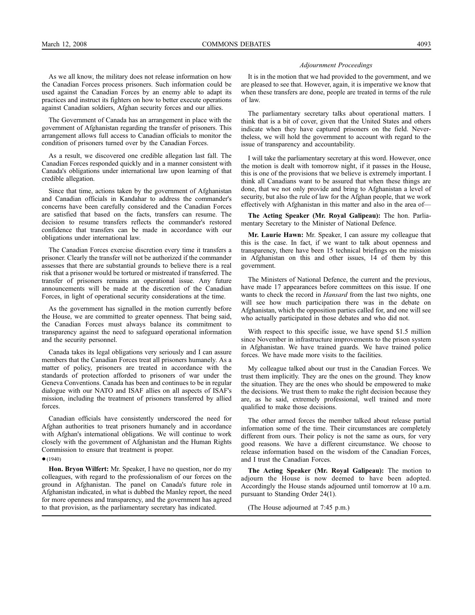As we all know, the military does not release information on how the Canadian Forces process prisoners. Such information could be used against the Canadian Forces by an enemy able to adapt its practices and instruct its fighters on how to better execute operations against Canadian soldiers, Afghan security forces and our allies.

The Government of Canada has an arrangement in place with the government of Afghanistan regarding the transfer of prisoners. This arrangement allows full access to Canadian officials to monitor the condition of prisoners turned over by the Canadian Forces.

As a result, we discovered one credible allegation last fall. The Canadian Forces responded quickly and in a manner consistent with Canada's obligations under international law upon learning of that credible allegation.

Since that time, actions taken by the government of Afghanistan and Canadian officials in Kandahar to address the commander's concerns have been carefully considered and the Canadian Forces are satisfied that based on the facts, transfers can resume. The decision to resume transfers reflects the commander's restored confidence that transfers can be made in accordance with our obligations under international law.

The Canadian Forces exercise discretion every time it transfers a prisoner. Clearly the transfer will not be authorized if the commander assesses that there are substantial grounds to believe there is a real risk that a prisoner would be tortured or mistreated if transferred. The transfer of prisoners remains an operational issue. Any future announcements will be made at the discretion of the Canadian Forces, in light of operational security considerations at the time.

As the government has signalled in the motion currently before the House, we are committed to greater openness. That being said, the Canadian Forces must always balance its commitment to transparency against the need to safeguard operational information and the security personnel.

Canada takes its legal obligations very seriously and I can assure members that the Canadian Forces treat all prisoners humanely. As a matter of policy, prisoners are treated in accordance with the standards of protection afforded to prisoners of war under the Geneva Conventions. Canada has been and continues to be in regular dialogue with our NATO and ISAF allies on all aspects of ISAF's mission, including the treatment of prisoners transferred by allied forces.

Canadian officials have consistently underscored the need for Afghan authorities to treat prisoners humanely and in accordance with Afghan's international obligations. We will continue to work closely with the government of Afghanistan and the Human Rights Commission to ensure that treatment is proper.

#### $•(1940)$

**Hon. Bryon Wilfert:** Mr. Speaker, I have no question, nor do my colleagues, with regard to the professionalism of our forces on the ground in Afghanistan. The panel on Canada's future role in Afghanistan indicated, in what is dubbed the Manley report, the need for more openness and transparency, and the government has agreed to that provision, as the parliamentary secretary has indicated.

#### *Adjournment Proceedings*

It is in the motion that we had provided to the government, and we are pleased to see that. However, again, it is imperative we know that when these transfers are done, people are treated in terms of the rule of law.

The parliamentary secretary talks about operational matters. I think that is a bit of cover, given that the United States and others indicate when they have captured prisoners on the field. Nevertheless, we will hold the government to account with regard to the issue of transparency and accountability.

I will take the parliamentary secretary at this word. However, once the motion is dealt with tomorrow night, if it passes in the House, this is one of the provisions that we believe is extremely important. I think all Canadians want to be assured that when these things are done, that we not only provide and bring to Afghanistan a level of security, but also the rule of law for the Afghan people, that we work effectively with Afghanistan in this matter and also in the area of—

**The Acting Speaker (Mr. Royal Galipeau):** The hon. Parliamentary Secretary to the Minister of National Defence.

**Mr. Laurie Hawn:** Mr. Speaker, I can assure my colleague that this is the case. In fact, if we want to talk about openness and transparency, there have been 15 technical briefings on the mission in Afghanistan on this and other issues, 14 of them by this government.

The Ministers of National Defence, the current and the previous, have made 17 appearances before committees on this issue. If one wants to check the record in *Hansard* from the last two nights, one will see how much participation there was in the debate on Afghanistan, which the opposition parties called for, and one will see who actually participated in those debates and who did not.

With respect to this specific issue, we have spend \$1.5 million since November in infrastructure improvements to the prison system in Afghanistan. We have trained guards. We have trained police forces. We have made more visits to the facilities.

My colleague talked about our trust in the Canadian Forces. We trust them implicitly. They are the ones on the ground. They know the situation. They are the ones who should be empowered to make the decisions. We trust them to make the right decision because they are, as he said, extremely professional, well trained and more qualified to make those decisions.

The other armed forces the member talked about release partial information some of the time. Their circumstances are completely different from ours. Their policy is not the same as ours, for very good reasons. We have a different circumstance. We choose to release information based on the wisdom of the Canadian Forces, and I trust the Canadian Forces.

**The Acting Speaker (Mr. Royal Galipeau):** The motion to adjourn the House is now deemed to have been adopted. Accordingly the House stands adjourned until tomorrow at 10 a.m. pursuant to Standing Order 24(1).

(The House adjourned at 7:45 p.m.)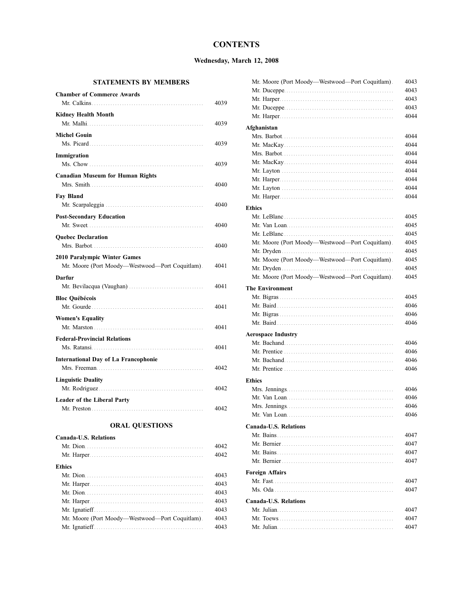# **CONTENTS**

# **Wednesday, March 12, 2008**

# **STATEMENTS BY MEMBERS**

| <b>Chamber of Commerce Awards</b>               |      |
|-------------------------------------------------|------|
|                                                 | 4039 |
| <b>Kidney Health Month</b>                      |      |
|                                                 | 4039 |
| <b>Michel Gouin</b>                             |      |
|                                                 | 4039 |
| Immigration                                     |      |
|                                                 | 4039 |
| <b>Canadian Museum for Human Rights</b>         |      |
|                                                 | 4040 |
| <b>Fay Bland</b>                                |      |
|                                                 | 4040 |
| <b>Post-Secondary Education</b>                 |      |
|                                                 | 4040 |
| <b>Ouebec Declaration</b>                       |      |
|                                                 | 4040 |
| 2010 Paralympic Winter Games                    |      |
| Mr. Moore (Port Moody-Westwood-Port Coquitlam). | 4041 |
| Darfur                                          |      |
|                                                 | 4041 |
| <b>Bloc Québécois</b>                           |      |
| Mr. Gourde                                      | 4041 |
| <b>Women's Equality</b>                         |      |
|                                                 | 4041 |
| <b>Federal-Provincial Relations</b>             |      |
|                                                 | 4041 |
| <b>International Day of La Francophonie</b>     |      |
|                                                 | 4042 |
| <b>Linguistic Duality</b>                       |      |
|                                                 | 4042 |
| Leader of the Liberal Party                     |      |
|                                                 | 4042 |
|                                                 |      |

# **ORAL QUESTIONS**

| <b>Canada-U.S. Relations</b>                    |      |
|-------------------------------------------------|------|
|                                                 | 4042 |
|                                                 | 4042 |
| Ethics                                          |      |
|                                                 | 4043 |
|                                                 | 4043 |
|                                                 | 4043 |
|                                                 | 4043 |
|                                                 | 4043 |
| Mr. Moore (Port Moody—Westwood—Port Coquitlam). | 4043 |
|                                                 | 4043 |

| Mr. Moore (Port Moody-Westwood-Port Coquitlam). | 4043 |
|-------------------------------------------------|------|
|                                                 | 4043 |
|                                                 | 4043 |
|                                                 | 4043 |
|                                                 | 4044 |
| Afghanistan                                     |      |
|                                                 | 4044 |
|                                                 | 4044 |
|                                                 | 4044 |
|                                                 | 4044 |
|                                                 | 4044 |
|                                                 | 4044 |
|                                                 | 4044 |
|                                                 | 4044 |
| <b>Ethics</b>                                   |      |
|                                                 | 4045 |
|                                                 | 4045 |
|                                                 | 4045 |
| Mr. Moore (Port Moody-Westwood-Port Coquitlam). | 4045 |
|                                                 | 4045 |
| Mr. Moore (Port Moody-Westwood-Port Coquitlam). | 4045 |
|                                                 | 4045 |
| Mr. Moore (Port Moody-Westwood-Port Coquitlam). | 4045 |
|                                                 |      |
| <b>The Environment</b>                          | 4045 |
|                                                 | 4046 |
|                                                 | 4046 |
|                                                 | 4046 |
|                                                 |      |
| <b>Aerospace Industry</b>                       |      |
|                                                 | 4046 |
|                                                 | 4046 |
|                                                 | 4046 |
|                                                 | 4046 |
| <b>Ethics</b>                                   |      |
|                                                 | 4046 |
|                                                 | 4046 |
|                                                 | 4046 |
|                                                 | 4046 |
| <b>Canada-U.S. Relations</b>                    |      |
|                                                 | 4047 |
|                                                 | 4047 |
|                                                 | 4047 |
|                                                 | 4047 |
| <b>Foreign Affairs</b>                          |      |
|                                                 | 4047 |
|                                                 | 4047 |
|                                                 |      |
| Canada-U.S. Relations                           |      |
|                                                 | 4047 |
|                                                 | 4047 |
|                                                 | 4047 |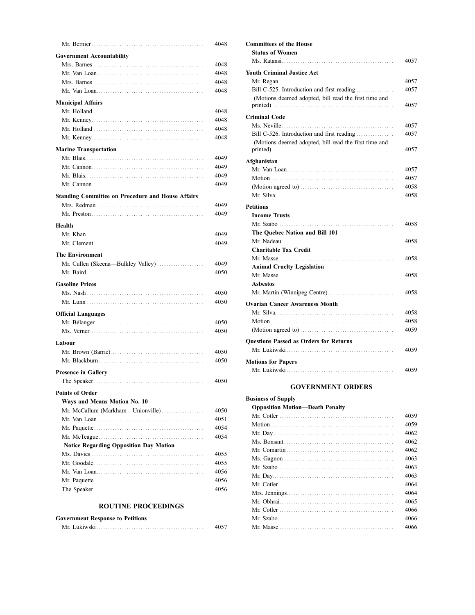|                                                          | 4048 |
|----------------------------------------------------------|------|
| <b>Government Accountability</b>                         |      |
|                                                          | 4048 |
|                                                          | 4048 |
|                                                          | 4048 |
|                                                          | 4048 |
|                                                          |      |
| <b>Municipal Affairs</b>                                 |      |
|                                                          | 4048 |
|                                                          | 4048 |
|                                                          | 4048 |
|                                                          | 4048 |
| <b>Marine Transportation</b>                             |      |
|                                                          | 4049 |
|                                                          | 4049 |
|                                                          | 4049 |
|                                                          | 4049 |
| <b>Standing Committee on Procedure and House Affairs</b> |      |
|                                                          | 4049 |
|                                                          | 4049 |
|                                                          |      |
| Health                                                   |      |
|                                                          | 4049 |
|                                                          | 4049 |
| <b>The Environment</b>                                   |      |
| Mr. Cullen (Skeena-Bulkley Valley)                       | 4049 |
|                                                          | 4050 |
| <b>Gasoline Prices</b>                                   |      |
|                                                          | 4050 |
|                                                          | 4050 |
|                                                          |      |
| <b>Official Languages</b>                                |      |
|                                                          | 4050 |
|                                                          | 4050 |
| Labour                                                   |      |
|                                                          | 4050 |
|                                                          | 4050 |
|                                                          |      |
| <b>Presence in Gallery</b>                               | 4050 |
|                                                          |      |
| <b>Points of Order</b>                                   |      |
| Ways and Means Motion No. 10                             |      |
| Mr. McCallum (Markham-Unionville)                        | 4050 |
|                                                          | 4051 |
|                                                          | 4054 |
|                                                          | 4054 |
| Notice Regarding Opposition Day Motion                   |      |
|                                                          | 4055 |
|                                                          | 4055 |
|                                                          | 4056 |
|                                                          | 4056 |
|                                                          | 4056 |
|                                                          |      |

# **ROUTINE PROCEEDINGS**

| <b>Government Response to Petitions</b> |      |
|-----------------------------------------|------|
|                                         | 4057 |

| <b>Youth Criminal Justice Act</b>                                                                        |  |
|----------------------------------------------------------------------------------------------------------|--|
|                                                                                                          |  |
| Bill C-525. Introduction and first reading                                                               |  |
| (Motions deemed adopted, bill read the first time and                                                    |  |
| <b>Criminal Code</b>                                                                                     |  |
|                                                                                                          |  |
| Bill C-526. Introduction and first reading                                                               |  |
| (Motions deemed adopted, bill read the first time and                                                    |  |
|                                                                                                          |  |
| Afghanistan                                                                                              |  |
|                                                                                                          |  |
|                                                                                                          |  |
| (Motion agreed to) $\ldots$ , $\ldots$ , $\ldots$ , $\ldots$ , $\ldots$ , $\ldots$ , $\ldots$ , $\ldots$ |  |
|                                                                                                          |  |
| <b>Petitions</b>                                                                                         |  |
| <b>Income Trusts</b>                                                                                     |  |
|                                                                                                          |  |
| The Ouebec Nation and Bill 101                                                                           |  |
|                                                                                                          |  |
| <b>Charitable Tax Credit</b>                                                                             |  |
|                                                                                                          |  |
| <b>Animal Cruelty Legislation</b>                                                                        |  |
|                                                                                                          |  |
| <b>Asbestos</b>                                                                                          |  |
|                                                                                                          |  |
| <b>Ovarian Cancer Awareness Month</b>                                                                    |  |
|                                                                                                          |  |
|                                                                                                          |  |
|                                                                                                          |  |
| <b>Ouestions Passed as Orders for Returns</b>                                                            |  |
|                                                                                                          |  |

# **GOVERNMENT ORDERS**

# **Business of Supply**

| <b>Opposition Motion—Death Penalty</b> |      |
|----------------------------------------|------|
|                                        | 4059 |
|                                        | 4059 |
|                                        | 4062 |
|                                        | 4062 |
|                                        | 4062 |
|                                        | 4063 |
|                                        | 4063 |
|                                        | 4063 |
|                                        | 4064 |
|                                        | 4064 |
|                                        | 4065 |
|                                        | 4066 |
|                                        | 4066 |
|                                        | 4066 |
|                                        |      |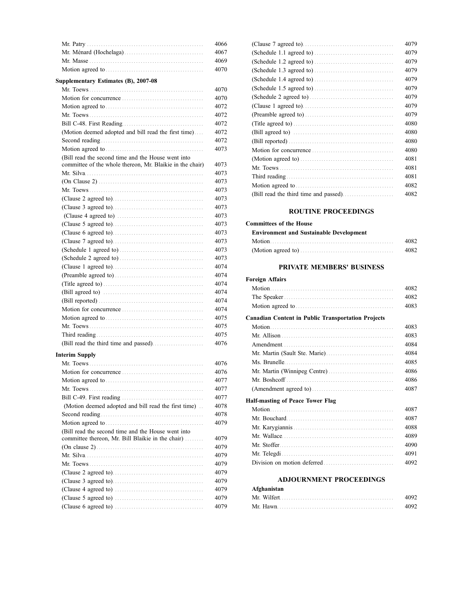|                                                           | 4066 |
|-----------------------------------------------------------|------|
|                                                           | 4067 |
|                                                           | 4069 |
|                                                           | 4070 |
| Supplementary Estimates (B), 2007-08                      |      |
|                                                           | 4070 |
|                                                           | 4070 |
|                                                           | 4072 |
|                                                           | 4072 |
|                                                           | 4072 |
| (Motion deemed adopted and bill read the first time)      | 4072 |
|                                                           | 4072 |
|                                                           | 4073 |
| (Bill read the second time and the House went into        |      |
| committee of the whole thereon, Mr. Blaikie in the chair) | 4073 |
|                                                           | 4073 |
|                                                           | 4073 |
|                                                           | 4073 |
|                                                           | 4073 |
|                                                           | 4073 |
|                                                           | 4073 |
|                                                           | 4073 |
|                                                           | 4073 |
|                                                           | 4073 |
|                                                           | 4073 |
|                                                           | 4073 |
|                                                           | 4074 |
|                                                           | 4074 |
|                                                           | 4074 |
|                                                           | 4074 |
|                                                           | 4074 |
|                                                           | 4074 |
|                                                           | 4075 |
|                                                           | 4075 |
|                                                           | 4075 |
|                                                           | 4076 |
| <b>Interim Supply</b>                                     |      |
|                                                           | 4076 |
|                                                           | 4076 |
|                                                           | 4077 |
|                                                           | 4077 |
|                                                           | 4077 |
| (Motion deemed adopted and bill read the first time)      | 4078 |
|                                                           | 4078 |
|                                                           | 4079 |
| (Bill read the second time and the House went into        |      |
| committee thereon, Mr. Bill Blaikie in the chair)         | 4079 |
|                                                           | 4079 |
|                                                           | 4079 |
|                                                           | 4079 |
|                                                           | 4079 |

(Clause 3 agreed to). . . . . . . . . . . . . . . . . . . . . . . . . . . . . . . . . . . . . . . 4079 (Clause 4 agreed to) . . . . . . . . . . . . . . . . . . . . . . . . . . . . . . . . . . . . . . 4079 (Clause 5 agreed to) . . . . . . . . . . . . . . . . . . . . . . . . . . . . . . . . . . . . . . 4079 (Clause 6 agreed to) . . . . . . . . . . . . . . . . . . . . . . . . . . . . . . . . . . . . . . 4079

|                                       | 4079 |
|---------------------------------------|------|
|                                       | 4079 |
|                                       | 4079 |
|                                       | 4079 |
|                                       | 4079 |
|                                       | 4079 |
|                                       | 4079 |
|                                       | 4079 |
|                                       | 4079 |
|                                       | 4080 |
|                                       | 4080 |
|                                       | 4080 |
|                                       | 4080 |
|                                       | 4081 |
|                                       | 4081 |
|                                       | 4081 |
|                                       | 4082 |
| (Bill read the third time and passed) | 4082 |

# **ROUTINE PROCEEDINGS**

| <b>Committees of the House</b>                 |      |
|------------------------------------------------|------|
| <b>Environment and Sustainable Development</b> |      |
|                                                | 4082 |
|                                                | 4082 |

# **PRIVATE MEMBERS' BUSINESS**

| <b>Foreign Affairs</b>                                    |      |
|-----------------------------------------------------------|------|
|                                                           | 4082 |
|                                                           | 4082 |
|                                                           | 4083 |
| <b>Canadian Content in Public Transportation Projects</b> |      |
|                                                           | 4083 |
|                                                           | 4083 |
|                                                           | 4084 |
|                                                           | 4084 |
|                                                           | 4085 |
|                                                           | 4086 |
|                                                           | 4086 |
|                                                           | 4087 |
| Half-masting of Peace Tower Flag                          |      |
|                                                           | 4087 |
|                                                           | 4087 |
|                                                           | 4088 |
|                                                           | 4089 |
|                                                           | 4090 |
|                                                           | 4091 |
|                                                           | 4092 |
| <b>ADJOURNMENT PROCEEDINGS</b>                            |      |
| Afghanistan                                               |      |